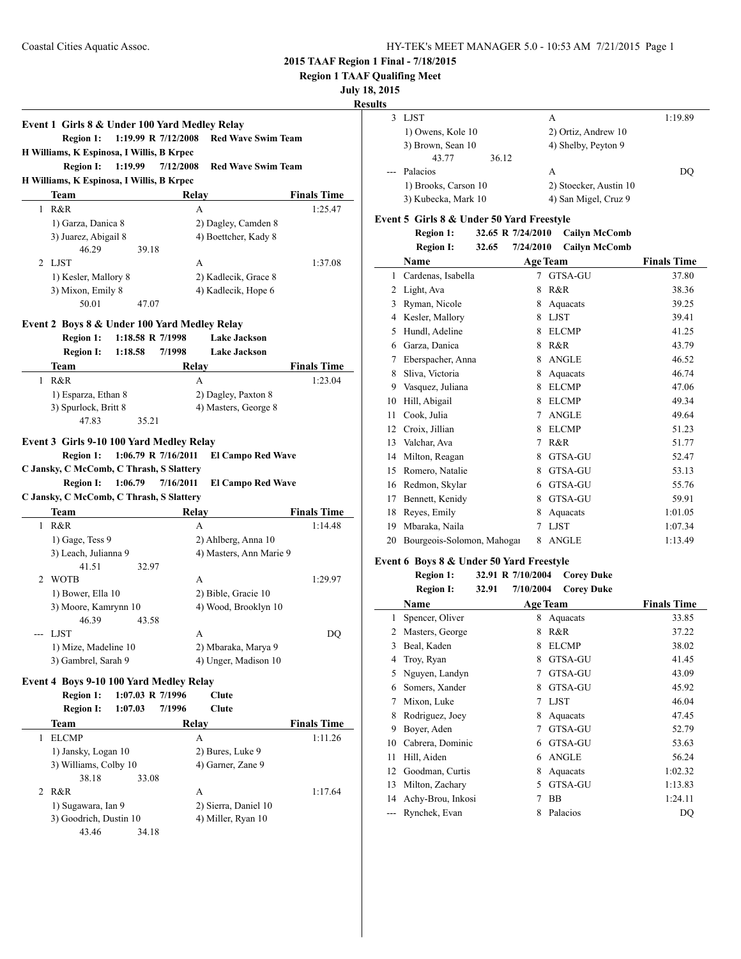**Event 1 Girls 8 & Under 100 Yard Medley Relay**

**Region 1: 1:19.99 R 7/12/2008 Red Wave Swim Team**

### **2015 TAAF Region 1 Final - 7/18/2015**

**Region 1 TAAF Qualifing Meet**

### **July 18, 2015**

### **Results**

 $\overline{\phantom{0}}$ 

| $\cdot$ |                      |                        |         |
|---------|----------------------|------------------------|---------|
|         | LJST                 | А                      | 1:19.89 |
|         | 1) Owens, Kole 10    | 2) Ortiz, Andrew 10    |         |
|         | 3) Brown, Sean 10    | 4) Shelby, Peyton 9    |         |
|         | 43.77                | 36.12                  |         |
|         | --- Palacios         | А                      | DO      |
|         | 1) Brooks, Carson 10 | 2) Stoecker, Austin 10 |         |
|         | 3) Kubecka, Mark 10  | 4) San Migel, Cruz 9   |         |

### **Event 5 Girls 8 & Under 50 Yard Freestyle**

**Region 1: 32.65 R 7/24/2010 Cailyn McComb**

|    | <b>Region I:</b>                         | 7/24/2010<br>32.65 | <b>Cailyn McComb</b> |                    |
|----|------------------------------------------|--------------------|----------------------|--------------------|
|    | Name                                     |                    | <b>Age Team</b>      | <b>Finals Time</b> |
| 1  | Cardenas, Isabella                       | 7                  | GTSA-GU              | 37.80              |
| 2  | Light, Ava                               | 8                  | R&R                  | 38.36              |
| 3  | Ryman, Nicole                            | 8                  | Aquacats             | 39.25              |
| 4  | Kesler, Mallory                          | 8                  | <b>LJST</b>          | 39.41              |
| 5  | Hundl, Adeline                           | 8                  | <b>ELCMP</b>         | 41.25              |
| 6  | Garza, Danica                            | 8                  | R&R                  | 43.79              |
| 7  | Eberspacher, Anna                        | 8                  | <b>ANGLE</b>         | 46.52              |
| 8  | Sliva, Victoria                          | 8                  | Aquacats             | 46.74              |
| 9  | Vasquez, Juliana                         | 8                  | <b>ELCMP</b>         | 47.06              |
| 10 | Hill, Abigail                            | 8                  | <b>ELCMP</b>         | 49.34              |
| 11 | Cook, Julia                              | 7                  | <b>ANGLE</b>         | 49.64              |
| 12 | Croix, Jillian                           | 8                  | <b>ELCMP</b>         | 51.23              |
| 13 | Valchar, Ava                             | 7                  | R&R                  | 51.77              |
| 14 | Milton, Reagan                           | 8                  | GTSA-GU              | 52.47              |
| 15 | Romero, Natalie                          | 8                  | GTSA-GU              | 53.13              |
| 16 | Redmon, Skylar                           | 6                  | GTSA-GU              | 55.76              |
| 17 | Bennett, Kenidy                          | 8                  | GTSA-GU              | 59.91              |
| 18 | Reyes, Emily                             | 8                  | Aquacats             | 1:01.05            |
| 19 | Mbaraka, Naila                           | 7                  | <b>LJST</b>          | 1:07.34            |
| 20 | Bourgeois-Solomon, Mahogar               | 8                  | <b>ANGLE</b>         | 1:13.49            |
|    | Event 6 Boys 8 & Under 50 Yard Freestyle |                    |                      |                    |

| <b>Region 1:</b>      |       | 32.91 R 7/10/2004 | <b>Corey Duke</b> |
|-----------------------|-------|-------------------|-------------------|
| Region I <sup>.</sup> | 32.91 | 7/10/2004         | <b>Corey Duke</b> |

|    | Region I:<br>32.91 | 7/10/2004       | <b>Corey Duke</b> |                    |
|----|--------------------|-----------------|-------------------|--------------------|
|    | Name               | <b>Age Team</b> |                   | <b>Finals Time</b> |
| 1  | Spencer, Oliver    | 8               | Aquacats          | 33.85              |
| 2  | Masters, George    | 8               | R&R               | 37.22              |
| 3  | Beal, Kaden        | 8               | <b>ELCMP</b>      | 38.02              |
| 4  | Troy, Ryan         | 8               | GTSA-GU           | 41.45              |
| 5  | Nguyen, Landyn     | 7               | GTSA-GU           | 43.09              |
| 6  | Somers, Xander     | 8               | GTSA-GU           | 45.92              |
| 7  | Mixon, Luke        | 7               | <b>LJST</b>       | 46.04              |
| 8  | Rodriguez, Joey    | 8               | Aquacats          | 47.45              |
| 9  | Boyer, Aden        | 7               | GTSA-GU           | 52.79              |
| 10 | Cabrera, Dominic   | 6               | GTSA-GU           | 53.63              |
| 11 | Hill, Aiden        | 6               | <b>ANGLE</b>      | 56.24              |
| 12 | Goodman, Curtis    | 8               | Aquacats          | 1:02.32            |
| 13 | Milton, Zachary    | 5               | GTSA-GU           | 1:13.83            |
| 14 | Achy-Brou, Inkosi  | 7               | BB                | 1:24.11            |
|    | Rynchek, Evan      | 8               | Palacios          | DQ                 |
|    |                    |                 |                   |                    |

| H Williams, K Espinosa, I Willis, B Krpec                                                                                                                                                       |                                |           |                                                      |                    |
|-------------------------------------------------------------------------------------------------------------------------------------------------------------------------------------------------|--------------------------------|-----------|------------------------------------------------------|--------------------|
| <b>Region I:</b>                                                                                                                                                                                | 1:19.99                        | 7/12/2008 | <b>Red Wave Swim Team</b>                            |                    |
| H Williams, K Espinosa, I Willis, B Krpec                                                                                                                                                       |                                |           |                                                      |                    |
| Team                                                                                                                                                                                            |                                | Relay     |                                                      | <b>Finals Time</b> |
| R&R<br>1                                                                                                                                                                                        |                                | A         |                                                      | 1:25.47            |
| 1) Garza, Danica 8                                                                                                                                                                              |                                |           | 2) Dagley, Camden 8                                  |                    |
| 3) Juarez, Abigail 8                                                                                                                                                                            |                                |           | 4) Boettcher, Kady 8                                 |                    |
| 46.29                                                                                                                                                                                           | 39.18                          |           |                                                      |                    |
| LJST<br>2                                                                                                                                                                                       |                                | A         |                                                      | 1:37.08            |
| 1) Kesler, Mallory 8                                                                                                                                                                            |                                |           | 2) Kadlecik, Grace 8                                 |                    |
| 3) Mixon, Emily 8                                                                                                                                                                               |                                |           | 4) Kadlecik, Hope 6                                  |                    |
| 50.01                                                                                                                                                                                           | 47.07                          |           |                                                      |                    |
| Event 2 Boys 8 & Under 100 Yard Medley Relay                                                                                                                                                    |                                |           |                                                      |                    |
| <b>Region 1:</b>                                                                                                                                                                                | 1:18.58 R 7/1998               |           | <b>Lake Jackson</b>                                  |                    |
| <b>Region I:</b>                                                                                                                                                                                | 1:18.58                        | 7/1998    | <b>Lake Jackson</b>                                  |                    |
| Team                                                                                                                                                                                            |                                | Relay     |                                                      | <b>Finals Time</b> |
| R&R<br>1                                                                                                                                                                                        |                                | A         |                                                      | 1:23.04            |
| 1) Esparza, Ethan 8                                                                                                                                                                             |                                |           | 2) Dagley, Paxton 8                                  |                    |
|                                                                                                                                                                                                 |                                |           |                                                      |                    |
|                                                                                                                                                                                                 |                                |           |                                                      |                    |
| 3) Spurlock, Britt 8<br>47.83                                                                                                                                                                   | 35.21                          |           | 4) Masters, George 8                                 |                    |
| <b>Region 1:</b><br><b>Region I:</b>                                                                                                                                                            | 1:06.79 R 7/16/2011<br>1:06.79 | 7/16/2011 | <b>El Campo Red Wave</b><br><b>El Campo Red Wave</b> |                    |
|                                                                                                                                                                                                 |                                |           |                                                      |                    |
| Team                                                                                                                                                                                            |                                | Relay     |                                                      | <b>Finals Time</b> |
| R&R<br>1                                                                                                                                                                                        |                                | A         |                                                      | 1:14.48            |
| 1) Gage, Tess 9                                                                                                                                                                                 |                                |           | 2) Ahlberg, Anna 10                                  |                    |
| 3) Leach, Julianna 9                                                                                                                                                                            |                                |           | 4) Masters, Ann Marie 9                              |                    |
| 41.51                                                                                                                                                                                           | 32.97                          |           |                                                      |                    |
| <b>WOTB</b><br>2                                                                                                                                                                                |                                | A         |                                                      | 1:29.97            |
| 1) Bower, Ella 10                                                                                                                                                                               |                                |           | 2) Bible, Gracie 10                                  |                    |
| 3) Moore, Kamrynn 10                                                                                                                                                                            |                                |           | 4) Wood, Brooklyn 10                                 |                    |
| 46.39                                                                                                                                                                                           | 43.58                          |           |                                                      |                    |
| LJST<br>$-$ -                                                                                                                                                                                   |                                | A         |                                                      | DQ                 |
| 1) Mize, Madeline 10                                                                                                                                                                            |                                |           | 2) Mbaraka, Marya 9                                  |                    |
| 3) Gambrel, Sarah 9                                                                                                                                                                             |                                |           | 4) Unger, Madison 10                                 |                    |
|                                                                                                                                                                                                 |                                |           |                                                      |                    |
| Event 3 Girls 9-10 100 Yard Medley Relay<br>C Jansky, C McComb, C Thrash, S Slattery<br>C Jansky, C McComb, C Thrash, S Slattery<br>Event 4 Boys 9-10 100 Yard Medley Relay<br><b>Region 1:</b> | 1:07.03 R 7/1996               |           | Clute                                                |                    |

| //1990<br>Clute      |                    |
|----------------------|--------------------|
| Relay                | <b>Finals Time</b> |
| А                    | 1:11.26            |
| 2) Bures, Luke 9     |                    |
| 4) Garner, Zane 9    |                    |
| 33.08                |                    |
| A                    | 1:17.64            |
| 2) Sierra, Daniel 10 |                    |
| 4) Miller, Ryan 10   |                    |
| 34.18                |                    |
|                      |                    |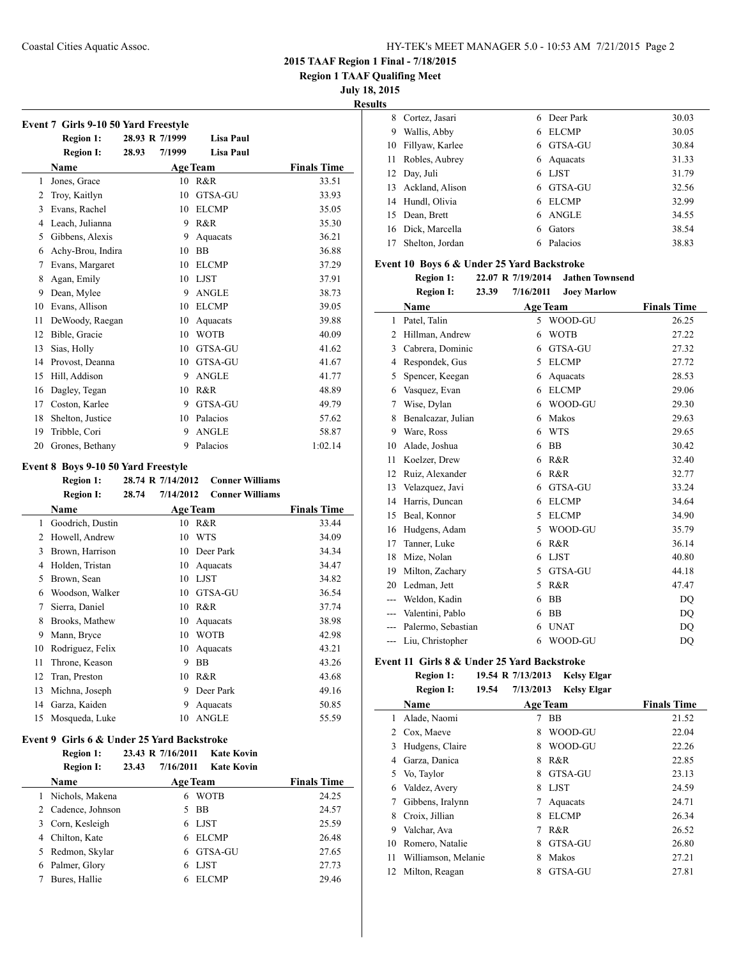**Region 1 TAAF Qualifing Meet**

**July 18, 2015**

**Results**

|    | <b>Region 1:</b>  | 28.93 R 7/1999 |        | <b>Lisa Paul</b> |                    |
|----|-------------------|----------------|--------|------------------|--------------------|
|    | <b>Region I:</b>  | 28.93          | 7/1999 | <b>Lisa Paul</b> |                    |
|    | <b>Name</b>       |                |        | <b>Age Team</b>  | <b>Finals Time</b> |
| 1  | Jones, Grace      |                |        | 10 R&R           | 33.51              |
| 2  | Troy, Kaitlyn     |                | 10     | <b>GTSA-GU</b>   | 33.93              |
| 3  | Evans, Rachel     |                | 10     | <b>ELCMP</b>     | 35.05              |
| 4  | Leach, Julianna   |                | 9      | R&R              | 35.30              |
| 5  | Gibbens, Alexis   |                | 9      | Aquacats         | 36.21              |
| 6  | Achy-Brou, Indira |                | 10     | <b>BB</b>        | 36.88              |
| 7  | Evans, Margaret   |                | 10     | <b>ELCMP</b>     | 37.29              |
| 8  | Agan, Emily       |                | 10     | <b>LJST</b>      | 37.91              |
| 9  | Dean, Mylee       |                | 9      | <b>ANGLE</b>     | 38.73              |
| 10 | Evans, Allison    |                | 10     | <b>ELCMP</b>     | 39.05              |
| 11 | DeWoody, Raegan   |                | 10     | Aquacats         | 39.88              |
| 12 | Bible, Gracie     |                | 10     | <b>WOTB</b>      | 40.09              |
| 13 | Sias, Holly       |                | 10     | <b>GTSA-GU</b>   | 41.62              |
| 14 | Provost, Deanna   |                | 10     | GTSA-GU          | 41.67              |
| 15 | Hill, Addison     |                | 9      | <b>ANGLE</b>     | 41.77              |
| 16 | Dagley, Tegan     |                | 10     | R&R              | 48.89              |
| 17 | Coston, Karlee    |                | 9      | GTSA-GU          | 49.79              |
| 18 | Shelton, Justice  |                | 10     | Palacios         | 57.62              |
| 19 | Tribble, Cori     |                | 9      | <b>ANGLE</b>     | 58.87              |
| 20 | Grones, Bethany   |                | 9      | Palacios         | 1:02.14            |

#### **Event 8 Boys 9-10 50 Yard Freestyle**

|    | <b>Region 1:</b> | 28.74 R 7/14/2012  | <b>Conner Williams</b> |                    |
|----|------------------|--------------------|------------------------|--------------------|
|    | <b>Region I:</b> | 7/14/2012<br>28.74 | <b>Conner Williams</b> |                    |
|    | Name             |                    | <b>Age Team</b>        | <b>Finals Time</b> |
| 1  | Goodrich, Dustin | 10                 | R&R                    | 33.44              |
| 2  | Howell, Andrew   | 10                 | <b>WTS</b>             | 34.09              |
| 3  | Brown, Harrison  | 10                 | Deer Park              | 34.34              |
| 4  | Holden, Tristan  | 10                 | Aquacats               | 34.47              |
| 5  | Brown, Sean      | 10                 | <b>LJST</b>            | 34.82              |
| 6  | Woodson, Walker  | 10                 | GTSA-GU                | 36.54              |
| 7  | Sierra, Daniel   | 10                 | R&R                    | 37.74              |
| 8  | Brooks, Mathew   | 10                 | Aquacats               | 38.98              |
| 9  | Mann, Bryce      | 10                 | WOTB                   | 42.98              |
| 10 | Rodriguez, Felix | 10                 | Aquacats               | 43.21              |
| 11 | Throne, Keason   | 9                  | BB                     | 43.26              |
| 12 | Tran, Preston    | 10                 | R&R                    | 43.68              |
| 13 | Michna, Joseph   | 9                  | Deer Park              | 49.16              |
| 14 | Garza, Kaiden    | 9                  | Aquacats               | 50.85              |
| 15 | Mosqueda, Luke   | 10                 | <b>ANGLE</b>           | 55.59              |

### **Event 9 Girls 6 & Under 25 Yard Backstroke**

|    | <b>Region 1:</b><br><b>Region I:</b> | 23.43 R 7/16/2011<br>23.43<br>7/16/2011 |    | <b>Kate Kovin</b><br><b>Kate Kovin</b> |                    |
|----|--------------------------------------|-----------------------------------------|----|----------------------------------------|--------------------|
|    | <b>Name</b>                          |                                         |    | <b>Age Team</b>                        | <b>Finals Time</b> |
|    | Nichols, Makena                      |                                         | 6  | <b>WOTB</b>                            | 24.25              |
| 2  | Cadence, Johnson                     |                                         | 5. | <b>BB</b>                              | 24.57              |
| 3  | Corn, Kesleigh                       |                                         | 6. | LJST                                   | 25.59              |
| 4  | Chilton, Kate                        |                                         | 6  | ELCMP                                  | 26.48              |
| 5. | Redmon, Skylar                       |                                         | 6  | GTSA-GU                                | 27.65              |
| 6  | Palmer, Glory                        |                                         | 6  | <b>LIST</b>                            | 27.73              |
|    | Bures, Hallie                        |                                         |    | ELCMP                                  | 29.46              |

| 113 |                    |    |              |       |
|-----|--------------------|----|--------------|-------|
| 8   | Cortez, Jasari     | 6. | Deer Park    | 30.03 |
| 9   | Wallis, Abby       | 6  | <b>ELCMP</b> | 30.05 |
|     | 10 Fillyaw, Karlee | 6  | GTSA-GU      | 30.84 |
|     | 11 Robles, Aubrey  | 6  | Aquacats     | 31.33 |
|     | 12 Day, Juli       |    | 6 LJST       | 31.79 |
|     | 13 Ackland, Alison | 6  | GTSA-GU      | 32.56 |
|     | 14 Hundl, Olivia   | 6  | <b>ELCMP</b> | 32.99 |
| 15  | Dean, Brett        | 6. | <b>ANGLE</b> | 34.55 |
|     | 16 Dick, Marcella  | 6  | Gators       | 38.54 |
|     | Shelton, Jordan    |    | Palacios     | 38.83 |

#### **Event 10 Boys 6 & Under 25 Yard Backstroke**

**Region 1: 22.07 R 7/19/2014 Jathen Townsend Region I: 23.39 7/16/2011 Joey Marlow**

|                | <b>Region 1:</b><br>23.39 | 7/16/2011<br><b>Joey Marlow</b> |                    |
|----------------|---------------------------|---------------------------------|--------------------|
|                | Name                      | <b>Age Team</b>                 | <b>Finals Time</b> |
| 1              | Patel, Talin              | 5<br>WOOD-GU                    | 26.25              |
| $\overline{c}$ | Hillman, Andrew           | <b>WOTB</b><br>6                | 27.22              |
| 3              | Cabrera, Dominic          | GTSA-GU<br>6                    | 27.32              |
| 4              | Respondek, Gus            | <b>ELCMP</b><br>5               | 27.72              |
| 5              | Spencer, Keegan           | Aquacats<br>6                   | 28.53              |
| 6              | Vasquez, Evan             | <b>ELCMP</b><br>6               | 29.06              |
| 7              | Wise, Dylan               | WOOD-GU<br>6                    | 29.30              |
| 8              | Benalcazar, Julian        | Makos<br>6                      | 29.63              |
| 9              | Ware, Ross                | <b>WTS</b><br>6                 | 29.65              |
| 10             | Alade, Joshua             | <b>BB</b><br>6                  | 30.42              |
| 11             | Koelzer, Drew             | R&R<br>6                        | 32.40              |
| 12             | Ruiz, Alexander           | R&R<br>6                        | 32.77              |
| 13             | Velazquez, Javi           | GTSA-GU<br>6                    | 33.24              |
| 14             | Harris, Duncan            | <b>ELCMP</b><br>6               | 34.64              |
| 15             | Beal, Konnor              | <b>ELCMP</b><br>5               | 34.90              |
| 16             | Hudgens, Adam             | WOOD-GU<br>5                    | 35.79              |
| 17             | Tanner, Luke              | R&R<br>6                        | 36.14              |
| 18             | Mize, Nolan               | <b>LJST</b><br>6                | 40.80              |
| 19             | Milton, Zachary           | GTSA-GU<br>5                    | 44.18              |
| 20             | Ledman, Jett              | R&R<br>5                        | 47.47              |
| ---            | Weldon, Kadin             | <b>BB</b><br>6                  | DO                 |
|                | Valentini, Pablo          | BB<br>6                         | DQ                 |
|                | Palermo, Sebastian        | <b>UNAT</b><br>6                | DO                 |
| ---            | Liu, Christopher          | WOOD-GU<br>6                    | DQ                 |

### **Event 11 Girls 8 & Under 25 Yard Backstroke**

| Region 1: | 19.54 R 7/13/2013 | Kelsy Elgar |
|-----------|-------------------|-------------|
|           |                   |             |

|    | <b>Region I:</b>    | 19.54 | 7/13/2013       | <b>Kelsy Elgar</b> |                    |
|----|---------------------|-------|-----------------|--------------------|--------------------|
|    | Name                |       | <b>Age Team</b> |                    | <b>Finals Time</b> |
| 1  | Alade, Naomi        |       | 7               | BB                 | 21.52              |
| 2  | Cox, Maeve          |       | 8               | WOOD-GU            | 22.04              |
| 3  | Hudgens, Claire     |       | 8               | WOOD-GU            | 22.26              |
| 4  | Garza, Danica       |       | 8               | R&R                | 22.85              |
| 5  | Vo, Taylor          |       | 8               | GTSA-GU            | 23.13              |
| 6  | Valdez, Avery       |       | 8               | <b>LJST</b>        | 24.59              |
| 7  | Gibbens, Iralynn    |       |                 | Aquacats           | 24.71              |
| 8  | Croix, Jillian      |       | 8               | <b>ELCMP</b>       | 26.34              |
| 9  | Valchar, Ava        |       | 7               | R&R                | 26.52              |
| 10 | Romero, Natalie     |       | 8               | GTSA-GU            | 26.80              |
| 11 | Williamson, Melanie |       | 8               | Makos              | 27.21              |
| 12 | Milton, Reagan      |       | 8               | GTSA-GU            | 27.81              |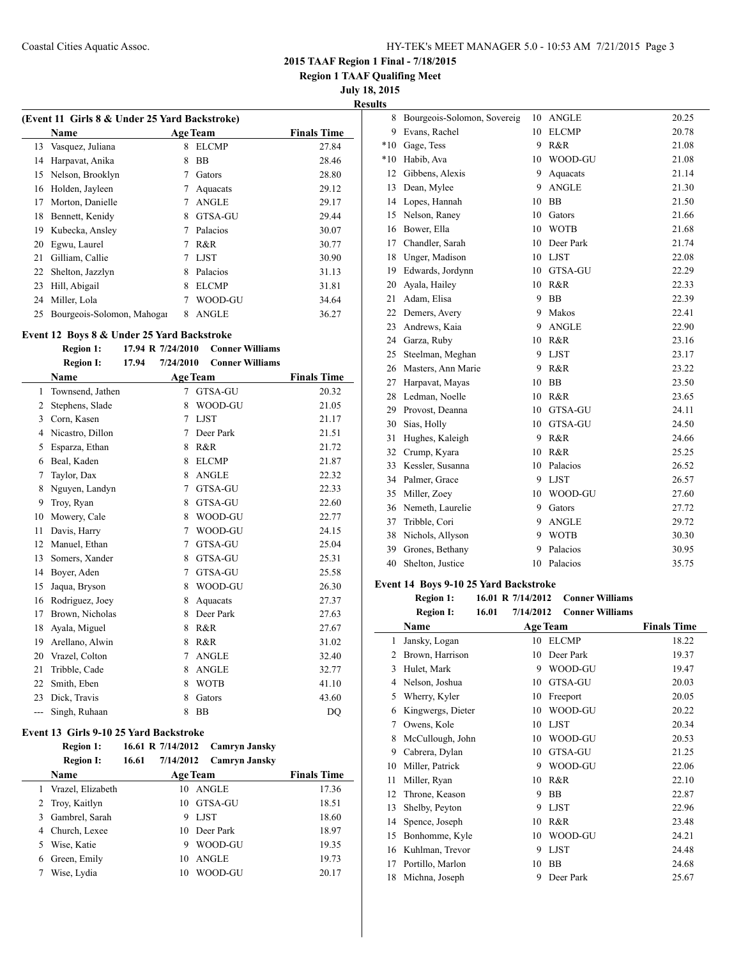**Region 1 TAAF Qualifing Meet**

**July 18, 2015**

**Results**

| (Event 11 Girls 8 & Under 25 Yard Backstroke) |                            |   |                 |                    |  |
|-----------------------------------------------|----------------------------|---|-----------------|--------------------|--|
|                                               | Name                       |   | <b>Age Team</b> | <b>Finals Time</b> |  |
| 13                                            | Vasquez, Juliana           | 8 | <b>ELCMP</b>    | 27.84              |  |
| 14                                            | Harpavat, Anika            | 8 | <b>BB</b>       | 28.46              |  |
| 15                                            | Nelson, Brooklyn           |   | Gators          | 28.80              |  |
| 16                                            | Holden, Jayleen            | 7 | Aquacats        | 29.12              |  |
| 17                                            | Morton, Danielle           |   | <b>ANGLE</b>    | 29.17              |  |
| 18                                            | Bennett, Kenidy            | 8 | GTSA-GU         | 29.44              |  |
| 19                                            | Kubecka, Ansley            |   | Palacios        | 30.07              |  |
| 20                                            | Egwu, Laurel               | 7 | R&R             | 30.77              |  |
| 21                                            | Gilliam, Callie            |   | <b>LJST</b>     | 30.90              |  |
| 22                                            | Shelton, Jazzlyn           | 8 | Palacios        | 31.13              |  |
| 23                                            | Hill, Abigail              | 8 | <b>ELCMP</b>    | 31.81              |  |
| 24                                            | Miller, Lola               |   | WOOD-GU         | 34.64              |  |
| 25                                            | Bourgeois-Solomon, Mahogar | 8 | <b>ANGLE</b>    | 36.27              |  |
|                                               |                            |   |                 |                    |  |

### **Event 12 Boys 8 & Under 25 Yard Backstroke**

# **Region 1: 17.94 R 7/24/2010 Conner Williams**

|     | <b>Region I:</b> | 17.94 | 7/24/2010 | <b>Conner Williams</b> |                    |
|-----|------------------|-------|-----------|------------------------|--------------------|
|     | Name             |       |           | <b>Age Team</b>        | <b>Finals Time</b> |
| 1   | Townsend, Jathen |       | 7         | GTSA-GU                | 20.32              |
| 2   | Stephens, Slade  |       | 8         | WOOD-GU                | 21.05              |
| 3   | Corn, Kasen      |       | 7         | <b>LJST</b>            | 21.17              |
| 4   | Nicastro, Dillon |       | 7         | Deer Park              | 21.51              |
| 5   | Esparza, Ethan   |       | 8         | R&R                    | 21.72              |
| 6   | Beal, Kaden      |       | 8         | <b>ELCMP</b>           | 21.87              |
| 7   | Taylor, Dax      |       | 8         | ANGLE                  | 22.32              |
| 8   | Nguyen, Landyn   |       | 7         | GTSA-GU                | 22.33              |
| 9   | Troy, Ryan       |       | 8         | <b>GTSA-GU</b>         | 22.60              |
| 10  | Mowery, Cale     |       | 8         | WOOD-GU                | 22.77              |
| 11  | Davis, Harry     |       | 7         | WOOD-GU                | 24.15              |
| 12  | Manuel, Ethan    |       | 7         | <b>GTSA-GU</b>         | 25.04              |
| 13  | Somers, Xander   |       | 8         | GTSA-GU                | 25.31              |
| 14  | Boyer, Aden      |       | 7         | GTSA-GU                | 25.58              |
| 15  | Jaqua, Bryson    |       | 8         | WOOD-GU                | 26.30              |
| 16  | Rodriguez, Joey  |       | 8         | Aquacats               | 27.37              |
| 17  | Brown, Nicholas  |       | 8         | Deer Park              | 27.63              |
| 18  | Ayala, Miguel    |       | 8         | R&R                    | 27.67              |
| 19  | Arellano, Alwin  |       | 8         | R&R                    | 31.02              |
| 20  | Vrazel, Colton   |       | 7         | <b>ANGLE</b>           | 32.40              |
| 21  | Tribble, Cade    |       | 8         | <b>ANGLE</b>           | 32.77              |
| 22  | Smith, Eben      |       | 8         | <b>WOTB</b>            | 41.10              |
| 23  | Dick, Travis     |       | 8         | Gators                 | 43.60              |
| --- | Singh, Ruhaan    |       | 8         | <b>BB</b>              | DQ                 |

# **Event 13 Girls 9-10 25 Yard Backstroke**

**Region 1: 16.61 R 7/14/2012 Camryn Jansky**

|    | <b>Region I:</b>  | 16.61 | 7/14/2012 | Camryn Jansky   |                    |
|----|-------------------|-------|-----------|-----------------|--------------------|
|    | <b>Name</b>       |       |           | <b>Age Team</b> | <b>Finals Time</b> |
|    | Vrazel, Elizabeth |       |           | 10 ANGLE        | 17.36              |
|    | 2 Troy, Kaitlyn   |       |           | 10 GTSA-GU      | 18.51              |
|    | 3 Gambrel, Sarah  |       | 9         | <b>LJST</b>     | 18.60              |
| 4  | Church, Lexee     |       |           | 10 Deer Park    | 18.97              |
| 5. | Wise, Katie       |       | 9         | WOOD-GU         | 19.35              |
| 6  | Green, Emily      |       | 10        | <b>ANGLE</b>    | 19.73              |
|    | Wise, Lydia       |       | 10        | WOOD-GU         | 20.17              |

| 8     | Bourgeois-Solomon, Sovereig | 10 | <b>ANGLE</b> | 20.25 |
|-------|-----------------------------|----|--------------|-------|
| 9     | Evans, Rachel               | 10 | <b>ELCMP</b> | 20.78 |
| $*10$ | Gage, Tess                  | 9  | R&R          | 21.08 |
| $*10$ | Habib, Ava                  | 10 | WOOD-GU      | 21.08 |
| 12    | Gibbens, Alexis             | 9  | Aquacats     | 21.14 |
| 13    | Dean, Mylee                 | 9  | <b>ANGLE</b> | 21.30 |
| 14    | Lopes, Hannah               | 10 | <b>BB</b>    | 21.50 |
| 15    | Nelson, Raney               | 10 | Gators       | 21.66 |
| 16    | Bower, Ella                 | 10 | <b>WOTB</b>  | 21.68 |
| 17    | Chandler, Sarah             | 10 | Deer Park    | 21.74 |
| 18    | Unger, Madison              |    | 10 LJST      | 22.08 |
| 19    | Edwards, Jordynn            | 10 | GTSA-GU      | 22.29 |
| 20    | Ayala, Hailey               | 10 | R&R          | 22.33 |
| 21    | Adam, Elisa                 | 9  | <b>BB</b>    | 22.39 |
| 22    | Demers, Avery               | 9  | Makos        | 22.41 |
| 23    | Andrews, Kaia               | 9  | <b>ANGLE</b> | 22.90 |
| 24    | Garza, Ruby                 | 10 | R&R          | 23.16 |
| 25    | Steelman, Meghan            | 9  | <b>LJST</b>  | 23.17 |
| 26    | Masters, Ann Marie          | 9  | R&R          | 23.22 |
| 27    | Harpavat, Mayas             | 10 | <b>BB</b>    | 23.50 |
| 28    | Ledman, Noelle              | 10 | R&R          | 23.65 |
| 29    | Provost, Deanna             | 10 | GTSA-GU      | 24.11 |
| 30    | Sias, Holly                 | 10 | GTSA-GU      | 24.50 |
| 31    | Hughes, Kaleigh             | 9  | R&R          | 24.66 |
| 32    | Crump, Kyara                | 10 | R&R          | 25.25 |
| 33    | Kessler, Susanna            | 10 | Palacios     | 26.52 |
| 34    | Palmer, Grace               | 9  | <b>LJST</b>  | 26.57 |
| 35    | Miller, Zoey                | 10 | WOOD-GU      | 27.60 |
| 36    | Nemeth, Laurelie            | 9. | Gators       | 27.72 |
| 37    | Tribble, Cori               | 9  | <b>ANGLE</b> | 29.72 |
| 38    | Nichols, Allyson            | 9  | <b>WOTB</b>  | 30.30 |
| 39    | Grones, Bethany             | 9  | Palacios     | 30.95 |
| 40    | Shelton, Justice            | 10 | Palacios     | 35.75 |

### **Event 14 Boys 9-10 25 Yard Backstroke**

 $\overline{\phantom{a}}$ 

**Region 1: 16.01 R 7/14/2012 Conner Williams**

|    | 16.01<br><b>Region I:</b> | 7/14/2012<br><b>Conner Williams</b> |                    |
|----|---------------------------|-------------------------------------|--------------------|
|    | Name                      | <b>Age Team</b>                     | <b>Finals Time</b> |
| 1  | Jansky, Logan             | 10<br><b>ELCMP</b>                  | 18.22              |
| 2  | Brown, Harrison           | 10<br>Deer Park                     | 19.37              |
| 3  | Hulet, Mark               | WOOD-GU<br>9                        | 19.47              |
| 4  | Nelson, Joshua            | <b>GTSA-GU</b><br>10                | 20.03              |
| 5  | Wherry, Kyler             | 10<br>Freeport                      | 20.05              |
| 6  | Kingwergs, Dieter         | 10<br>WOOD-GU                       | 20.22              |
| 7  | Owens, Kole               | <b>LJST</b><br>10                   | 20.34              |
| 8  | McCullough, John          | WOOD-GU<br>10                       | 20.53              |
| 9  | Cabrera, Dylan            | GTSA-GU<br>10                       | 21.25              |
| 10 | Miller, Patrick           | WOOD-GU<br>9                        | 22.06              |
| 11 | Miller, Ryan              | R&R<br>10                           | 22.10              |
| 12 | Throne, Keason            | <b>BB</b><br>9                      | 22.87              |
| 13 | Shelby, Peyton            | <b>LJST</b><br>9                    | 22.96              |
| 14 | Spence, Joseph            | 10<br>R&R                           | 23.48              |
| 15 | Bonhomme, Kyle            | WOOD-GU<br>10                       | 24.21              |
| 16 | Kuhlman, Trevor           | <b>LJST</b><br>9                    | 24.48              |
| 17 | Portillo, Marlon          | 10<br><b>BB</b>                     | 24.68              |
| 18 | Michna, Joseph            | 9<br>Deer Park                      | 25.67              |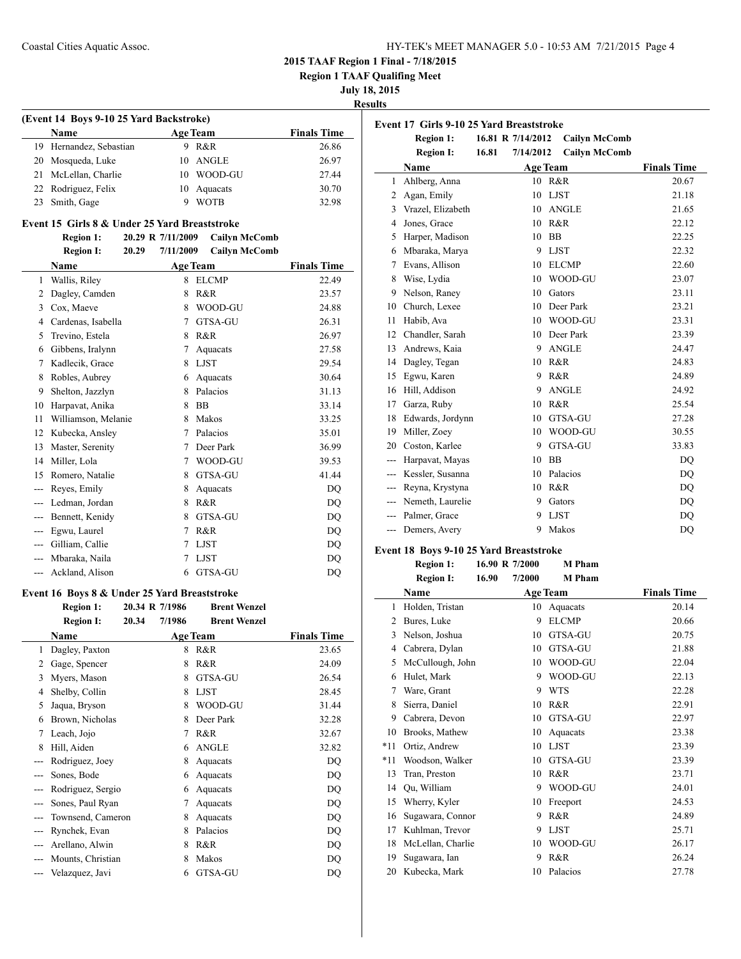**Region 1 TAAF Qualifing Meet**

**July 18, 2015**

**Results**

 $\overline{a}$ 

| (Event 14 Boys 9-10 25 Yard Backstroke) |  |                 |                    |  |  |
|-----------------------------------------|--|-----------------|--------------------|--|--|
| Name                                    |  | <b>Age Team</b> | <b>Finals Time</b> |  |  |
| 19 Hernandez, Sebastian                 |  | 9 R&R           | 26.86              |  |  |
| 20 Mosqueda, Luke                       |  | 10 ANGLE        | 26.97              |  |  |
| 21 McLellan, Charlie                    |  | 10 WOOD-GU      | 27.44              |  |  |
| 22 Rodriguez, Felix                     |  | 10 Aquacats     | 30.70              |  |  |
| 23 Smith, Gage                          |  | <b>WOTB</b>     | 32.98              |  |  |

#### **Event 15 Girls 8 & Under 25 Yard Breaststroke**

#### **Region 1: 20.29 R 7/11/2009 Cailyn McComb Region I: 20.29 7/11/2009 Cailyn McComb**

|                | Name                |   | <b>Age Team</b> | <b>Finals Time</b> |
|----------------|---------------------|---|-----------------|--------------------|
| 1              | Wallis, Riley       | 8 | <b>ELCMP</b>    | 22.49              |
| 2              | Dagley, Camden      | 8 | R&R             | 23.57              |
| 3              | Cox, Maeve          | 8 | WOOD-GU         | 24.88              |
| $\overline{4}$ | Cardenas, Isabella  | 7 | <b>GTSA-GU</b>  | 26.31              |
| 5              | Trevino, Estela     | 8 | R&R             | 26.97              |
| 6              | Gibbens, Iralynn    | 7 | Aquacats        | 27.58              |
| 7              | Kadlecik, Grace     | 8 | <b>LJST</b>     | 29.54              |
| 8              | Robles, Aubrey      | 6 | Aquacats        | 30.64              |
| 9              | Shelton, Jazzlyn    | 8 | Palacios        | 31.13              |
| 10             | Harpavat, Anika     | 8 | <b>BB</b>       | 33.14              |
| 11             | Williamson, Melanie | 8 | Makos           | 33.25              |
| 12             | Kubecka, Ansley     | 7 | Palacios        | 35.01              |
| 13             | Master, Serenity    | 7 | Deer Park       | 36.99              |
| 14             | Miller, Lola        | 7 | WOOD-GU         | 39.53              |
| 15             | Romero, Natalie     | 8 | GTSA-GU         | 41.44              |
| ---            | Reyes, Emily        | 8 | Aquacats        | DQ                 |
|                | Ledman, Jordan      | 8 | R&R             | DQ                 |
| $---$          | Bennett, Kenidy     | 8 | GTSA-GU         | DQ                 |
| $---$          | Egwu, Laurel        | 7 | R&R             | <b>DQ</b>          |
|                | Gilliam, Callie     | 7 | <b>LJST</b>     | <b>DQ</b>          |
|                | Mbaraka, Naila      | 7 | <b>LJST</b>     | DQ                 |
| ---            | Ackland, Alison     | 6 | GTSA-GU         | DQ                 |

### **Event 16 Boys 8 & Under 25 Yard Breaststroke**

|                | <b>Region 1:</b>  |       | 20.34 R 7/1986 | <b>Brent Wenzel</b> |                    |
|----------------|-------------------|-------|----------------|---------------------|--------------------|
|                | <b>Region I:</b>  | 20.34 | 7/1986         | <b>Brent Wenzel</b> |                    |
|                | Name              |       |                | <b>Age Team</b>     | <b>Finals Time</b> |
| 1              | Dagley, Paxton    |       | 8              | R&R                 | 23.65              |
| $\overline{c}$ | Gage, Spencer     |       | 8              | R&R                 | 24.09              |
| 3              | Myers, Mason      |       | 8              | GTSA-GU             | 26.54              |
| 4              | Shelby, Collin    |       | 8              | <b>LJST</b>         | 28.45              |
| 5              | Jaqua, Bryson     |       | 8              | WOOD-GU             | 31.44              |
| 6              | Brown, Nicholas   |       | 8              | Deer Park           | 32.28              |
| 7              | Leach, Jojo       |       | 7              | R&R                 | 32.67              |
| 8              | Hill, Aiden       |       | 6              | <b>ANGLE</b>        | 32.82              |
|                | Rodriguez, Joey   |       | 8              | Aquacats            | DQ                 |
|                | Sones, Bode       |       | 6              | Aquacats            | DQ                 |
|                | Rodriguez, Sergio |       | 6              | Aquacats            | DQ                 |
|                | Sones, Paul Ryan  |       | 7              | Aquacats            | DQ                 |
|                | Townsend, Cameron |       | 8              | Aquacats            | DQ                 |
|                | Rynchek, Evan     |       | 8              | Palacios            | DQ                 |
|                | Arellano, Alwin   |       | 8              | R&R                 | DQ                 |
|                | Mounts, Christian |       | 8              | Makos               | DQ                 |
|                | Velazquez, Javi   |       | 6              | GTSA-GU             | DQ                 |

| Event 17 Girls 9-10 25 Yard Breaststroke |                   |                    |                      |                    |  |
|------------------------------------------|-------------------|--------------------|----------------------|--------------------|--|
|                                          | <b>Region 1:</b>  | 16.81 R 7/14/2012  | <b>Cailyn McComb</b> |                    |  |
|                                          | <b>Region I:</b>  | 16.81<br>7/14/2012 | <b>Cailyn McComb</b> |                    |  |
|                                          | Name              |                    | <b>Age Team</b>      | <b>Finals Time</b> |  |
| 1                                        | Ahlberg, Anna     |                    | 10 R&R               | 20.67              |  |
| 2                                        | Agan, Emily       | 10                 | <b>LJST</b>          | 21.18              |  |
| 3                                        | Vrazel, Elizabeth | 10                 | <b>ANGLE</b>         | 21.65              |  |
| 4                                        | Jones, Grace      | 10                 | R&R                  | 22.12              |  |
| 5                                        | Harper, Madison   | 10                 | <b>BB</b>            | 22.25              |  |
| 6                                        | Mbaraka, Marya    | 9                  | <b>LJST</b>          | 22.32              |  |
| 7                                        | Evans, Allison    | 10                 | <b>ELCMP</b>         | 22.60              |  |
| 8                                        | Wise, Lydia       | 10                 | WOOD-GU              | 23.07              |  |
| 9                                        | Nelson, Raney     | 10                 | Gators               | 23.11              |  |
| 10                                       | Church, Lexee     | 10                 | Deer Park            | 23.21              |  |
| 11                                       | Habib, Ava        | 10                 | WOOD-GU              | 23.31              |  |
| 12                                       | Chandler, Sarah   | 10                 | Deer Park            | 23.39              |  |
| 13                                       | Andrews, Kaia     | 9                  | <b>ANGLE</b>         | 24.47              |  |
| 14                                       | Dagley, Tegan     | 10                 | R&R                  | 24.83              |  |
| 15                                       | Egwu, Karen       | 9                  | R&R                  | 24.89              |  |
| 16                                       | Hill, Addison     | 9                  | <b>ANGLE</b>         | 24.92              |  |
| 17                                       | Garza, Ruby       | 10                 | R&R                  | 25.54              |  |
| 18                                       | Edwards, Jordynn  | 10                 | GTSA-GU              | 27.28              |  |
| 19                                       | Miller, Zoey      | 10                 | WOOD-GU              | 30.55              |  |
| 20                                       | Coston, Karlee    | 9                  | GTSA-GU              | 33.83              |  |
| ---                                      | Harpavat, Mayas   | 10                 | <b>BB</b>            | DO                 |  |
| ---                                      | Kessler, Susanna  | 10                 | Palacios             | DO                 |  |
| ---                                      | Reyna, Krystyna   | 10                 | R&R                  | DQ                 |  |
| ---                                      | Nemeth, Laurelie  | 9                  | Gators               | DO                 |  |
| $---$                                    | Palmer, Grace     | 9                  | <b>LJST</b>          | DO                 |  |
| $---$                                    | Demers, Avery     | 9                  | Makos                | DQ                 |  |
|                                          |                   |                    |                      |                    |  |

### **Event 18 Boys 9-10 25 Yard Breaststroke**

#### **Region 1: 16.90 R 7/2000 M Pham Region I: 16.90 7/2000 M Pham**

|                | RESION 1:<br>10.YV | 772000 | м глаш          |                    |
|----------------|--------------------|--------|-----------------|--------------------|
|                | Name               |        | <b>Age Team</b> | <b>Finals Time</b> |
| 1              | Holden, Tristan    | 10     | Aquacats        | 20.14              |
| $\overline{c}$ | Bures, Luke        | 9      | <b>ELCMP</b>    | 20.66              |
| 3              | Nelson, Joshua     | 10     | GTSA-GU         | 20.75              |
| 4              | Cabrera, Dylan     | 10     | GTSA-GU         | 21.88              |
| 5              | McCullough, John   | 10     | WOOD-GU         | 22.04              |
| 6              | Hulet, Mark        | 9      | WOOD-GU         | 22.13              |
| 7              | Ware, Grant        | 9      | <b>WTS</b>      | 22.28              |
| 8              | Sierra, Daniel     | 10     | R&R             | 22.91              |
| 9              | Cabrera, Devon     | 10     | GTSA-GU         | 22.97              |
| 10             | Brooks, Mathew     | 10     | Aquacats        | 23.38              |
| $*11$          | Ortiz, Andrew      | 10     | <b>LJST</b>     | 23.39              |
| $*11$          | Woodson, Walker    | 10     | GTSA-GU         | 23.39              |
| 13             | Tran, Preston      | 10     | R&R             | 23.71              |
| 14             | Ou, William        | 9      | WOOD-GU         | 24.01              |
| 15             | Wherry, Kyler      | 10     | Freeport        | 24.53              |
| 16             | Sugawara, Connor   | 9      | R&R             | 24.89              |
| 17             | Kuhlman, Trevor    | 9      | <b>LJST</b>     | 25.71              |
| 18             | McLellan, Charlie  | 10     | WOOD-GU         | 26.17              |
| 19             | Sugawara, Ian      | 9      | R&R             | 26.24              |
| 20             | Kubecka, Mark      | 10     | Palacios        | 27.78              |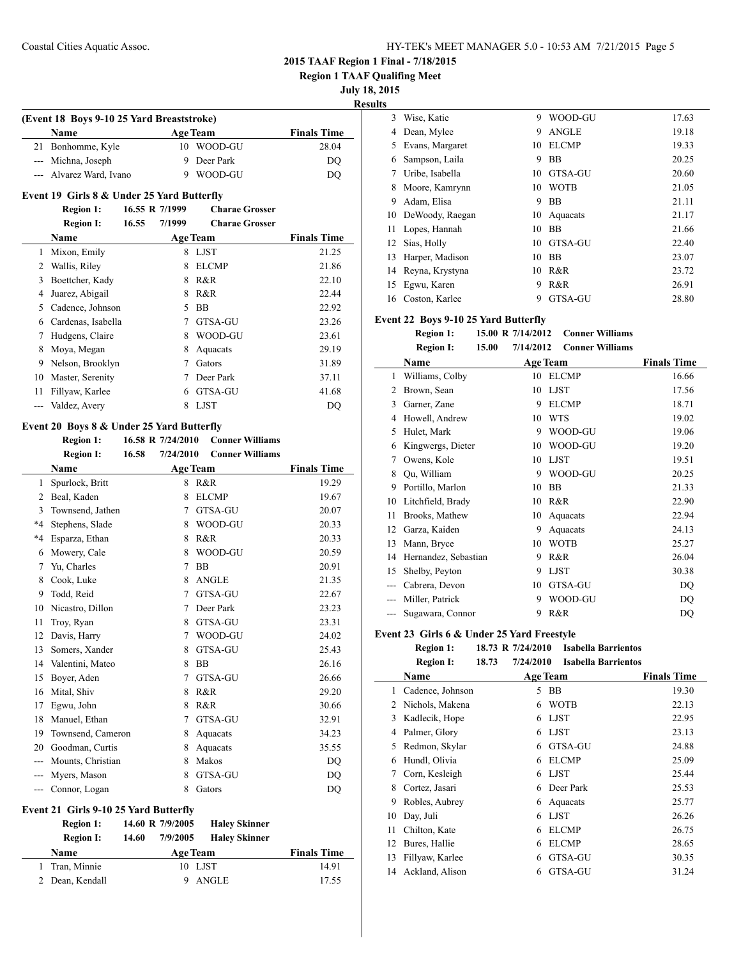**Region 1 TAAF Qualifing Meet**

**July 18, 2015**

| $0$ ury $10, 20$ |                |  |
|------------------|----------------|--|
|                  | <b>Results</b> |  |
|                  |                |  |

| (Event 18 Boys 9-10 25 Yard Breaststroke) |                 |                    |  |  |  |
|-------------------------------------------|-----------------|--------------------|--|--|--|
| Name                                      | <b>Age Team</b> | <b>Finals Time</b> |  |  |  |
| 21 Bonhomme, Kyle                         | 10 WOOD-GU      | 28.04              |  |  |  |
| --- Michna, Joseph                        | 9 Deer Park     | DO                 |  |  |  |
| --- Alvarez Ward, Ivano                   | WOOD-GU         | DO                 |  |  |  |

### **Event 19 Girls 8 & Under 25 Yard Butterfly**

|    | <b>Region 1:</b>   | 16.55 R 7/1999 |        | <b>Charae Grosser</b> |                    |
|----|--------------------|----------------|--------|-----------------------|--------------------|
|    | <b>Region I:</b>   | 16.55          | 7/1999 | <b>Charae Grosser</b> |                    |
|    | Name               |                |        | <b>Age Team</b>       | <b>Finals Time</b> |
| 1  | Mixon, Emily       |                | 8      | <b>LJST</b>           | 21.25              |
| 2  | Wallis, Riley      |                | 8      | <b>ELCMP</b>          | 21.86              |
| 3  | Boettcher, Kady    |                | 8      | R&R                   | 22.10              |
| 4  | Juarez, Abigail    |                | 8      | R&R                   | 22.44              |
| 5  | Cadence, Johnson   |                | 5      | <b>BB</b>             | 22.92              |
| 6  | Cardenas, Isabella |                | 7      | GTSA-GU               | 23.26              |
| 7  | Hudgens, Claire    |                | 8      | WOOD-GU               | 23.61              |
| 8  | Moya, Megan        |                | 8      | Aquacats              | 29.19              |
| 9  | Nelson, Brooklyn   |                |        | Gators                | 31.89              |
| 10 | Master, Serenity   |                |        | Deer Park             | 37.11              |
| 11 | Fillyaw, Karlee    |                | 6      | GTSA-GU               | 41.68              |
|    | Valdez, Avery      |                | 8      | <b>LJST</b>           | DQ                 |

### **Event 20 Boys 8 & Under 25 Yard Butterfly**

|         | <b>Region 1:</b>  |       | 16.58 R 7/24/2010 | <b>Conner Williams</b> |                    |
|---------|-------------------|-------|-------------------|------------------------|--------------------|
|         | <b>Region I:</b>  | 16.58 | 7/24/2010         | <b>Conner Williams</b> |                    |
|         | Name              |       |                   | <b>Age Team</b>        | <b>Finals Time</b> |
| 1       | Spurlock, Britt   |       | 8                 | R&R                    | 19.29              |
| 2       | Beal, Kaden       |       | 8                 | <b>ELCMP</b>           | 19.67              |
| 3       | Townsend, Jathen  |       | 7                 | GTSA-GU                | 20.07              |
| $*4$    | Stephens, Slade   |       | 8                 | WOOD-GU                | 20.33              |
| $*_{4}$ | Esparza, Ethan    |       | 8                 | R&R                    | 20.33              |
| 6       | Mowery, Cale      |       | 8                 | WOOD-GU                | 20.59              |
| 7       | Yu, Charles       |       | 7                 | <b>BB</b>              | 20.91              |
| 8       | Cook, Luke        |       | 8                 | <b>ANGLE</b>           | 21.35              |
| 9       | Todd, Reid        |       | 7                 | GTSA-GU                | 22.67              |
| 10      | Nicastro, Dillon  |       | 7                 | Deer Park              | 23.23              |
| 11      | Troy, Ryan        |       | 8                 | GTSA-GU                | 23.31              |
| 12      | Davis, Harry      |       | 7                 | WOOD-GU                | 24.02              |
| 13      | Somers, Xander    |       | 8                 | GTSA-GU                | 25.43              |
| 14      | Valentini, Mateo  |       | 8                 | <b>BB</b>              | 26.16              |
| 15      | Boyer, Aden       |       | 7                 | GTSA-GU                | 26.66              |
| 16      | Mital, Shiv       |       | 8                 | R&R                    | 29.20              |
| 17      | Egwu, John        |       | 8                 | R&R                    | 30.66              |
| 18      | Manuel, Ethan     |       | 7                 | GTSA-GU                | 32.91              |
| 19      | Townsend, Cameron |       | 8                 | Aquacats               | 34.23              |
| 20      | Goodman, Curtis   |       | 8                 | Aquacats               | 35.55              |
| $---$   | Mounts, Christian |       | 8                 | Makos                  | DO                 |
|         | Myers, Mason      |       | 8                 | GTSA-GU                | DO                 |
|         | Connor, Logan     |       | 8                 | Gators                 | DQ                 |
|         |                   |       |                   |                        |                    |

### **Event 21 Girls 9-10 25 Yard Butterfly**

| <b>Region 1:</b> | 14.60 R 7/9/2005  | <b>Haley Skinner</b> |                    |
|------------------|-------------------|----------------------|--------------------|
| <b>Region I:</b> | 7/9/2005<br>14.60 | <b>Haley Skinner</b> |                    |
| Name             | <b>Age Team</b>   |                      | <b>Finals Time</b> |
| 1 Tran, Minnie   |                   | 10 LJST              | 14.91              |
| 2 Dean, Kendall  |                   | 9 ANGLE              | 17.55              |

| lts |                 |    |              |       |
|-----|-----------------|----|--------------|-------|
| 3   | Wise, Katie     | 9  | WOOD-GU      | 17.63 |
| 4   | Dean, Mylee     | 9  | <b>ANGLE</b> | 19.18 |
| 5   | Evans, Margaret | 10 | <b>ELCMP</b> | 19.33 |
| 6   | Sampson, Laila  | 9  | <b>BB</b>    | 20.25 |
| 7   | Uribe, Isabella | 10 | GTSA-GU      | 20.60 |
| 8   | Moore, Kamrynn  | 10 | <b>WOTB</b>  | 21.05 |
| 9   | Adam, Elisa     | 9  | <b>BB</b>    | 21.11 |
| 10  | DeWoody, Raegan | 10 | Aquacats     | 21.17 |
| 11  | Lopes, Hannah   | 10 | <b>BB</b>    | 21.66 |
| 12  | Sias, Holly     | 10 | GTSA-GU      | 22.40 |
| 13  | Harper, Madison | 10 | <b>BB</b>    | 23.07 |
| 14  | Reyna, Krystyna | 10 | R&R          | 23.72 |
| 15  | Egwu, Karen     | 9  | R&R          | 26.91 |
| 16  | Coston, Karlee  | 9  | GTSA-GU      | 28.80 |
|     |                 |    |              |       |

### **Event 22 Boys 9-10 25 Yard Butterfly**

| <b>Region 1:</b> |       | 15.00 R 7/14/2012 | <b>Conner Williams</b> |
|------------------|-------|-------------------|------------------------|
| <b>Region I:</b> | 15.00 | 7/14/2012         | <b>Conner Williams</b> |

|    | Name                 |    | <b>Age Team</b> | <b>Finals Time</b> |
|----|----------------------|----|-----------------|--------------------|
| 1  | Williams, Colby      | 10 | <b>ELCMP</b>    | 16.66              |
| 2  | Brown, Sean          | 10 | <b>LJST</b>     | 17.56              |
| 3  | Garner, Zane         | 9  | <b>ELCMP</b>    | 18.71              |
| 4  | Howell, Andrew       | 10 | <b>WTS</b>      | 19.02              |
| 5  | Hulet, Mark          | 9  | WOOD-GU         | 19.06              |
| 6  | Kingwergs, Dieter    | 10 | WOOD-GU         | 19.20              |
| 7  | Owens, Kole          | 10 | <b>LJST</b>     | 19.51              |
| 8  | Ou, William          | 9  | WOOD-GU         | 20.25              |
| 9  | Portillo, Marlon     | 10 | BB              | 21.33              |
| 10 | Litchfield, Brady    | 10 | R&R             | 22.90              |
| 11 | Brooks, Mathew       | 10 | Aquacats        | 22.94              |
| 12 | Garza, Kaiden        | 9  | Aquacats        | 24.13              |
| 13 | Mann, Bryce          | 10 | <b>WOTB</b>     | 25.27              |
| 14 | Hernandez, Sebastian | 9  | R&R             | 26.04              |
| 15 | Shelby, Peyton       | 9  | <b>LJST</b>     | 30.38              |
|    | Cabrera, Devon       | 10 | GTSA-GU         | DQ                 |
|    | Miller, Patrick      | 9  | WOOD-GU         | DQ                 |
|    | Sugawara, Connor     | 9  | R&R             | DQ                 |

#### **Event 23 Girls 6 & Under 25 Yard Freestyle**

| <b>Region 1:</b> | 18.73 R 7/24/2010               | <b>Isabella Barrientos</b>   |
|------------------|---------------------------------|------------------------------|
| D.,              | 7/24/2010<br>10. T <sub>2</sub> | $L = L = U = D =  L = L = L$ |

|    | <b>Region I:</b> | 18.73 | 7/24/2010 | <b>Isabella Barrientos</b> |                    |
|----|------------------|-------|-----------|----------------------------|--------------------|
|    | Name             |       |           | Age Team                   | <b>Finals Time</b> |
| 1  | Cadence, Johnson |       | 5         | <b>BB</b>                  | 19.30              |
| 2  | Nichols, Makena  |       | 6         | <b>WOTB</b>                | 22.13              |
| 3  | Kadlecik, Hope   |       | 6         | <b>LJST</b>                | 22.95              |
| 4  | Palmer, Glory    |       | 6         | <b>LJST</b>                | 23.13              |
| 5  | Redmon, Skylar   |       | 6         | GTSA-GU                    | 24.88              |
| 6  | Hundl, Olivia    |       | 6         | <b>ELCMP</b>               | 25.09              |
| 7  | Corn, Kesleigh   |       | 6         | <b>LJST</b>                | 25.44              |
| 8  | Cortez, Jasari   |       | 6         | Deer Park                  | 25.53              |
| 9  | Robles, Aubrey   |       | 6         | Aquacats                   | 25.77              |
| 10 | Day, Juli        |       | 6         | <b>LJST</b>                | 26.26              |
| 11 | Chilton, Kate    |       | 6         | <b>ELCMP</b>               | 26.75              |
| 12 | Bures, Hallie    |       | 6         | <b>ELCMP</b>               | 28.65              |
| 13 | Fillyaw, Karlee  |       | 6         | GTSA-GU                    | 30.35              |
| 14 | Ackland, Alison  |       | 6         | GTSA-GU                    | 31.24              |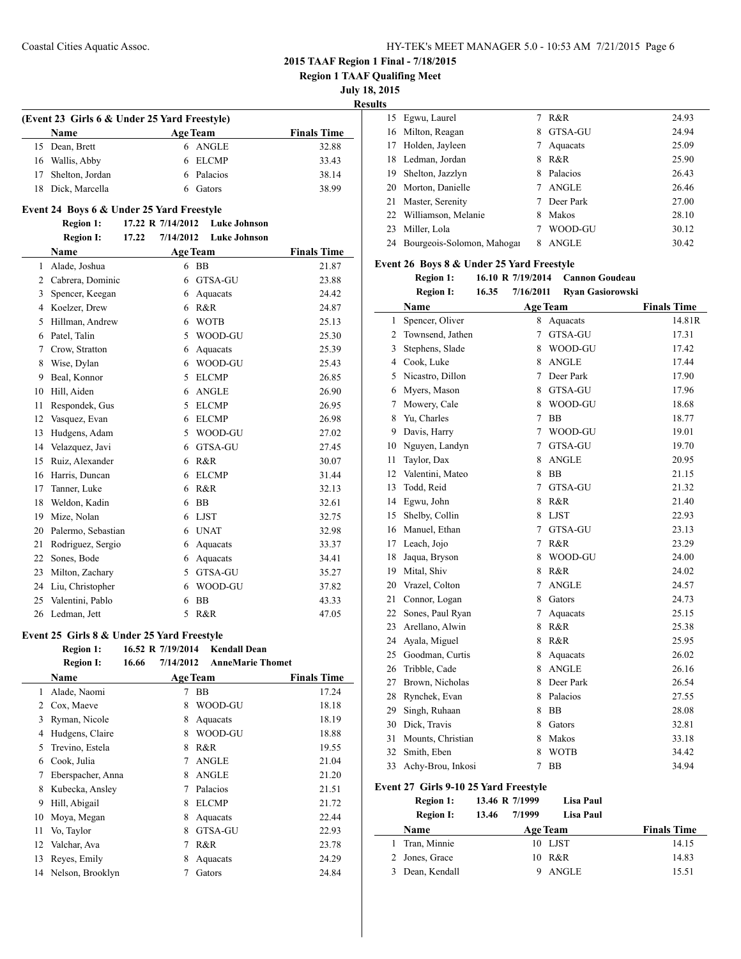**Region 1 TAAF Qualifing Meet**

**July 18, 2015**

**Results**

 $\overline{a}$ 

| (Event 23 Girls 6 & Under 25 Yard Freestyle) |                    |                 |                    |  |  |  |
|----------------------------------------------|--------------------|-----------------|--------------------|--|--|--|
|                                              | <b>Name</b>        | <b>Age Team</b> | <b>Finals Time</b> |  |  |  |
|                                              | 15 Dean, Brett     | 6 ANGLE         | 32.88              |  |  |  |
|                                              | 16 Wallis, Abby    | 6 ELCMP         | 33.43              |  |  |  |
|                                              | 17 Shelton, Jordan | 6 Palacios      | 38.14              |  |  |  |
|                                              | 18 Dick, Marcella  | Gators          | 38.99              |  |  |  |

### **Event 24 Boys 6 & Under 25 Yard Freestyle**

#### **Region 1: 17.22 R 7/14/2012 Luke Johnson Region I: 17.22 7/14/2012 Luke Johnson**

|    | кеgіон і;<br>17.44 | 771472012 | глие зопизоп    |                    |
|----|--------------------|-----------|-----------------|--------------------|
|    | <b>Name</b>        |           | <b>Age Team</b> | <b>Finals Time</b> |
| 1  | Alade, Joshua      | 6         | <b>BB</b>       | 21.87              |
| 2  | Cabrera, Dominic   | 6         | GTSA-GU         | 23.88              |
| 3  | Spencer, Keegan    | 6         | Aquacats        | 24.42              |
| 4  | Koelzer, Drew      | 6         | R&R             | 24.87              |
| 5  | Hillman, Andrew    | 6         | <b>WOTB</b>     | 25.13              |
| 6  | Patel, Talin       | 5         | WOOD-GU         | 25.30              |
| 7  | Crow, Stratton     | 6         | Aquacats        | 25.39              |
| 8  | Wise, Dylan        | 6         | WOOD-GU         | 25.43              |
| 9  | Beal, Konnor       | 5         | <b>ELCMP</b>    | 26.85              |
| 10 | Hill, Aiden        | 6         | <b>ANGLE</b>    | 26.90              |
| 11 | Respondek, Gus     | 5         | <b>ELCMP</b>    | 26.95              |
| 12 | Vasquez, Evan      | 6         | <b>ELCMP</b>    | 26.98              |
| 13 | Hudgens, Adam      | 5         | WOOD-GU         | 27.02              |
| 14 | Velazquez, Javi    | 6         | GTSA-GU         | 27.45              |
| 15 | Ruiz, Alexander    | 6         | R&R             | 30.07              |
| 16 | Harris, Duncan     | 6         | <b>ELCMP</b>    | 31.44              |
| 17 | Tanner, Luke       | 6         | R&R             | 32.13              |
| 18 | Weldon, Kadin      | 6         | <b>BB</b>       | 32.61              |
| 19 | Mize, Nolan        | 6         | <b>LJST</b>     | 32.75              |
| 20 | Palermo, Sebastian | 6         | <b>UNAT</b>     | 32.98              |
| 21 | Rodriguez, Sergio  | 6         | Aquacats        | 33.37              |
| 22 | Sones, Bode        | 6         | Aquacats        | 34.41              |
| 23 | Milton, Zachary    | 5         | <b>GTSA-GU</b>  | 35.27              |
| 24 | Liu, Christopher   | 6         | WOOD-GU         | 37.82              |
| 25 | Valentini, Pablo   | 6         | <b>BB</b>       | 43.33              |
| 26 | Ledman, Jett       | 5         | R&R             | 47.05              |

### **Event 25 Girls 8 & Under 25 Yard Freestyle**

|    | <b>Region 1:</b>  |       | 16.52 R 7/19/2014 | <b>Kendall Dean</b>     |                    |
|----|-------------------|-------|-------------------|-------------------------|--------------------|
|    | <b>Region I:</b>  | 16.66 | 7/14/2012         | <b>AnneMarie Thomet</b> |                    |
|    | Name              |       | <b>Age Team</b>   |                         | <b>Finals Time</b> |
| 1  | Alade, Naomi      |       | 7                 | <b>BB</b>               | 17.24              |
| 2  | Cox, Maeve        |       | 8                 | WOOD-GU                 | 18.18              |
| 3  | Ryman, Nicole     |       | 8                 | Aquacats                | 18.19              |
| 4  | Hudgens, Claire   |       | 8                 | WOOD-GU                 | 18.88              |
| 5  | Trevino, Estela   |       | 8                 | R&R                     | 19.55              |
| 6  | Cook, Julia       |       | 7                 | <b>ANGLE</b>            | 21.04              |
| 7  | Eberspacher, Anna |       | 8                 | <b>ANGLE</b>            | 21.20              |
| 8  | Kubecka, Ansley   |       | 7                 | Palacios                | 21.51              |
| 9  | Hill, Abigail     |       | 8                 | <b>ELCMP</b>            | 21.72              |
| 10 | Moya, Megan       |       | 8                 | Aquacats                | 22.44              |
| 11 | Vo, Taylor        |       | 8                 | GTSA-GU                 | 22.93              |
| 12 | Valchar, Ava      |       | 7                 | R&R                     | 23.78              |
| 13 | Reyes, Emily      |       | 8                 | Aquacats                | 24.29              |
| 14 | Nelson, Brooklyn  |       |                   | Gators                  | 24.84              |
|    |                   |       |                   |                         |                    |

| .  |                               |   |              |       |
|----|-------------------------------|---|--------------|-------|
|    | 15 Egwu, Laurel               |   | R&R          | 24.93 |
| 16 | Milton, Reagan                | 8 | GTSA-GU      | 24.94 |
| 17 | Holden, Jayleen               |   | Aquacats     | 25.09 |
| 18 | Ledman, Jordan                | 8 | R&R          | 25.90 |
| 19 | Shelton, Jazzlyn              | 8 | Palacios     | 26.43 |
| 20 | Morton, Danielle              |   | <b>ANGLE</b> | 26.46 |
| 21 | Master, Serenity              |   | Deer Park    | 27.00 |
|    | 22 Williamson, Melanie        | 8 | Makos        | 28.10 |
| 23 | Miller, Lola                  |   | WOOD-GU      | 30.12 |
|    | 24 Bourgeois-Solomon, Mahogar | 8 | <b>ANGLE</b> | 30.42 |

### **Event 26 Boys 8 & Under 25 Yard Freestyle**

| <b>Region 1:</b> | 16.10 R 7/19/2014  | - Cannon Goudeau   |
|------------------|--------------------|--------------------|
| <b>Region I:</b> | 16.35<br>7/16/2011 | - Rvan Gasiorowski |

|    | Name              |                | <b>Age Team</b> | <b>Finals Time</b> |
|----|-------------------|----------------|-----------------|--------------------|
| 1  | Spencer, Oliver   | 8.             | Aquacats        | 14.81R             |
| 2  | Townsend, Jathen  | 7              | GTSA-GU         | 17.31              |
| 3  | Stephens, Slade   | 8              | WOOD-GU         | 17.42              |
| 4  | Cook, Luke        | 8              | <b>ANGLE</b>    | 17.44              |
| 5  | Nicastro, Dillon  | 7              | Deer Park       | 17.90              |
| 6  | Myers, Mason      | 8              | GTSA-GU         | 17.96              |
| 7  | Mowery, Cale      | 8              | WOOD-GU         | 18.68              |
| 8  | Yu, Charles       | 7              | <b>BB</b>       | 18.77              |
| 9  | Davis, Harry      | 7              | WOOD-GU         | 19.01              |
| 10 | Nguyen, Landyn    | 7              | GTSA-GU         | 19.70              |
| 11 | Taylor, Dax       | 8              | <b>ANGLE</b>    | 20.95              |
| 12 | Valentini, Mateo  | 8              | BB              | 21.15              |
| 13 | Todd, Reid        | $\overline{7}$ | GTSA-GU         | 21.32              |
| 14 | Egwu, John        | 8              | R&R             | 21.40              |
| 15 | Shelby, Collin    | 8              | <b>LJST</b>     | 22.93              |
| 16 | Manuel, Ethan     | 7              | GTSA-GU         | 23.13              |
| 17 | Leach, Jojo       | 7              | R&R             | 23.29              |
| 18 | Jaqua, Bryson     | 8              | WOOD-GU         | 24.00              |
| 19 | Mital, Shiv       | 8              | R&R             | 24.02              |
| 20 | Vrazel, Colton    | 7              | <b>ANGLE</b>    | 24.57              |
| 21 | Connor, Logan     | 8              | Gators          | 24.73              |
| 22 | Sones, Paul Ryan  | 7              | Aquacats        | 25.15              |
| 23 | Arellano, Alwin   | 8              | R&R             | 25.38              |
| 24 | Ayala, Miguel     | 8              | R&R             | 25.95              |
| 25 | Goodman, Curtis   | 8              | Aquacats        | 26.02              |
| 26 | Tribble, Cade     | 8              | <b>ANGLE</b>    | 26.16              |
| 27 | Brown, Nicholas   | 8              | Deer Park       | 26.54              |
| 28 | Rynchek, Evan     | 8              | Palacios        | 27.55              |
| 29 | Singh, Ruhaan     | 8              | <b>BB</b>       | 28.08              |
| 30 | Dick, Travis      | 8              | Gators          | 32.81              |
| 31 | Mounts, Christian | 8              | Makos           | 33.18              |
| 32 | Smith, Eben       | 8              | <b>WOTB</b>     | 34.42              |
| 33 | Achy-Brou, Inkosi | $\overline{7}$ | <b>BB</b>       | 34.94              |

### **Event 27 Girls 9-10 25 Yard Freestyle**

| <b>Region 1:</b> | 13.46 R 7/1999  | Lisa Paul       |                    |
|------------------|-----------------|-----------------|--------------------|
| <b>Region I:</b> | 7/1999<br>13.46 | Lisa Paul       |                    |
| <b>Name</b>      |                 | <b>Age Team</b> | <b>Finals Time</b> |
| Tran, Minnie     |                 | 10 LJST         | 14.15              |
| 2 Jones, Grace   |                 | 10 R&R          | 14.83              |
| Dean, Kendall    |                 | <b>ANGLE</b>    | 15.51              |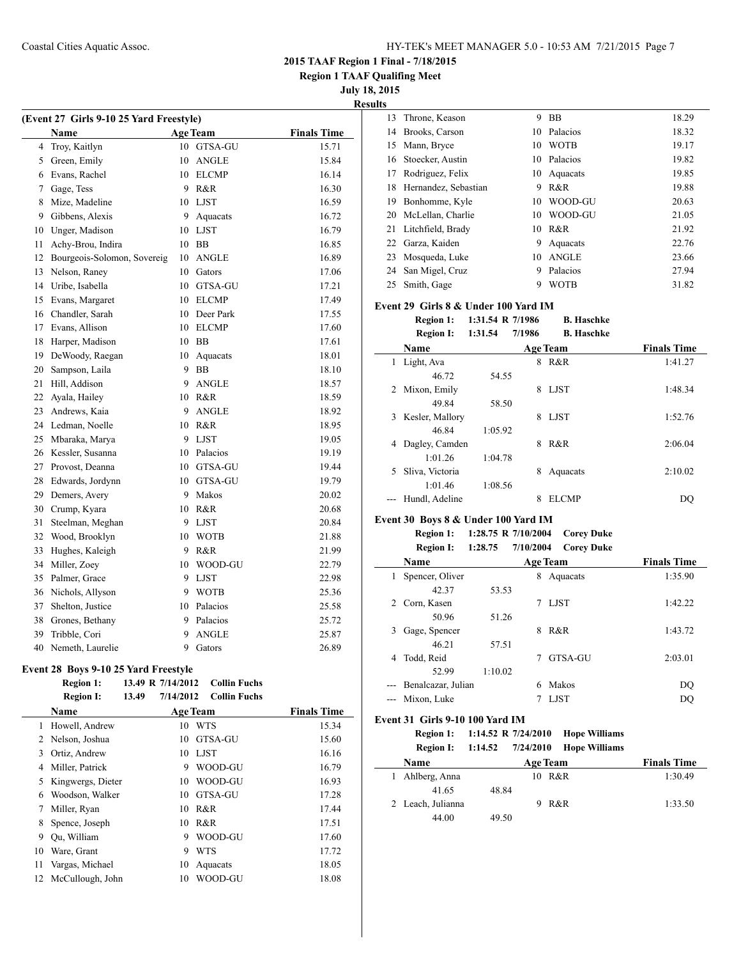**Region 1 TAAF Qualifing Meet**

**July 18, 2015**

**Results**

| (Event 27 Girls 9-10 25 Yard Freestyle) |                             |                 |                |                    |  |  |
|-----------------------------------------|-----------------------------|-----------------|----------------|--------------------|--|--|
|                                         | Name                        | <b>Age Team</b> |                | <b>Finals Time</b> |  |  |
| 4                                       | Troy, Kaitlyn               | 10              | <b>GTSA-GU</b> | 15.71              |  |  |
| 5                                       | Green, Emily                | 10              | <b>ANGLE</b>   | 15.84              |  |  |
| 6                                       | Evans, Rachel               |                 | 10 ELCMP       | 16.14              |  |  |
| 7                                       | Gage, Tess                  | 9               | R&R            | 16.30              |  |  |
| 8                                       | Mize, Madeline              | 10              | <b>LJST</b>    | 16.59              |  |  |
| 9                                       | Gibbens, Alexis             | 9               | Aquacats       | 16.72              |  |  |
| 10                                      | Unger, Madison              | 10              | <b>LJST</b>    | 16.79              |  |  |
| 11                                      | Achy-Brou, Indira           | 10              | BB             | 16.85              |  |  |
| 12                                      | Bourgeois-Solomon, Sovereig | 10              | <b>ANGLE</b>   | 16.89              |  |  |
| 13                                      | Nelson, Raney               | 10              | Gators         | 17.06              |  |  |
| 14                                      | Uribe, Isabella             | 10              | GTSA-GU        | 17.21              |  |  |
| 15                                      | Evans, Margaret             | 10              | <b>ELCMP</b>   | 17.49              |  |  |
| 16                                      | Chandler, Sarah             | 10              | Deer Park      | 17.55              |  |  |
| 17                                      | Evans, Allison              | 10              | <b>ELCMP</b>   | 17.60              |  |  |
| 18                                      | Harper, Madison             | 10              | BB             | 17.61              |  |  |
| 19                                      | DeWoody, Raegan             | 10              | Aquacats       | 18.01              |  |  |
| 20                                      | Sampson, Laila              | 9               | <b>BB</b>      | 18.10              |  |  |
| 21                                      | Hill, Addison               | 9               | <b>ANGLE</b>   | 18.57              |  |  |
| 22                                      | Ayala, Hailey               | 10              | R&R            | 18.59              |  |  |
| 23                                      | Andrews, Kaia               | 9               | <b>ANGLE</b>   | 18.92              |  |  |
| 24                                      | Ledman, Noelle              | 10              | R&R            | 18.95              |  |  |
| 25                                      | Mbaraka, Marya              | 9               | <b>LJST</b>    | 19.05              |  |  |
| 26                                      | Kessler, Susanna            | 10              | Palacios       | 19.19              |  |  |
| 27                                      | Provost, Deanna             | 10              | GTSA-GU        | 19.44              |  |  |
| 28                                      | Edwards, Jordynn            |                 | 10 GTSA-GU     | 19.79              |  |  |
| 29                                      | Demers, Avery               | 9               | Makos          | 20.02              |  |  |
| 30                                      | Crump, Kyara                | 10              | R&R            | 20.68              |  |  |
| 31                                      | Steelman, Meghan            | 9               | LJST           | 20.84              |  |  |
| 32                                      | Wood, Brooklyn              | 10              | WOTB           | 21.88              |  |  |
| 33                                      | Hughes, Kaleigh             | 9               | R&R            | 21.99              |  |  |
| 34                                      | Miller, Zoey                | 10              | WOOD-GU        | 22.79              |  |  |
| 35                                      | Palmer, Grace               | 9               | <b>LJST</b>    | 22.98              |  |  |
| 36                                      | Nichols, Allyson            | 9               | <b>WOTB</b>    | 25.36              |  |  |
| 37                                      | Shelton, Justice            | 10              | Palacios       | 25.58              |  |  |
| 38                                      | Grones, Bethany             | 9               | Palacios       | 25.72              |  |  |
| 39                                      | Tribble, Cori               | 9               | <b>ANGLE</b>   | 25.87              |  |  |
| 40                                      | Nemeth, Laurelie            | 9               | Gators         | 26.89              |  |  |

#### **Event 28 Boys 9-10 25 Yard Freestyle**

|    | <b>Region 1:</b>  |       | 13.49 R 7/14/2012 | <b>Collin Fuchs</b> |                    |
|----|-------------------|-------|-------------------|---------------------|--------------------|
|    | <b>Region I:</b>  | 13.49 | 7/14/2012         | <b>Collin Fuchs</b> |                    |
|    | <b>Name</b>       |       |                   | <b>Age Team</b>     | <b>Finals Time</b> |
| 1  | Howell, Andrew    |       | 10                | WTS                 | 15.34              |
| 2  | Nelson, Joshua    |       | 10                | GTSA-GU             | 15.60              |
| 3  | Ortiz, Andrew     |       | 10                | <b>LJST</b>         | 16.16              |
| 4  | Miller, Patrick   |       | 9                 | WOOD-GU             | 16.79              |
| 5  | Kingwergs, Dieter |       | 10                | WOOD-GU             | 16.93              |
| 6  | Woodson, Walker   |       | 10                | <b>GTSA-GU</b>      | 17.28              |
| 7  | Miller, Ryan      |       | 10                | R&R                 | 17.44              |
| 8  | Spence, Joseph    |       | 10                | R&R                 | 17.51              |
| 9  | Ou, William       |       | 9                 | WOOD-GU             | 17.60              |
| 10 | Ware, Grant       |       | 9                 | <b>WTS</b>          | 17.72              |
| 11 | Vargas, Michael   |       | 10                | Aquacats            | 18.05              |
| 12 | McCullough, John  |       | 10                | WOOD-GU             | 18.08              |
|    |                   |       |                   |                     |                    |

|    | 13 Throne, Keason       | 9  | <b>BB</b>    | 18.29 |
|----|-------------------------|----|--------------|-------|
| 14 | Brooks, Carson          | 10 | Palacios     | 18.32 |
| 15 | Mann, Bryce             | 10 | <b>WOTB</b>  | 19.17 |
| 16 | Stoecker, Austin        | 10 | Palacios     | 19.82 |
| 17 | Rodriguez, Felix        | 10 | Aquacats     | 19.85 |
|    | 18 Hernandez, Sebastian | 9  | R&R          | 19.88 |
| 19 | Bonhomme, Kyle          | 10 | WOOD-GU      | 20.63 |
| 20 | McLellan, Charlie       | 10 | WOOD-GU      | 21.05 |
| 21 | Litchfield, Brady       | 10 | R & R        | 21.92 |
| 22 | Garza, Kaiden           | 9  | Aquacats     | 22.76 |
| 23 | Mosqueda, Luke          | 10 | <b>ANGLE</b> | 23.66 |
|    | 24 San Migel, Cruz      | 9  | Palacios     | 27.94 |
| 25 | Smith, Gage             | 9  | <b>WOTB</b>  | 31.82 |
|    |                         |    |              |       |

#### **Event 29 Girls 8 & Under 100 Yard IM Region 1: 1:31.54 R 7/1986 B. Haschke**

|    | <b>IVEZION 1.</b> | $1.31.37 \, N \, 11700$ |        | р. намикс         |                    |
|----|-------------------|-------------------------|--------|-------------------|--------------------|
|    | <b>Region I:</b>  | 1:31.54                 | 7/1986 | <b>B.</b> Haschke |                    |
|    | Name              |                         |        | <b>Age Team</b>   | <b>Finals Time</b> |
| 1  | Light, Ava        |                         | 8      | R&R               | 1:41.27            |
|    | 46.72             | 54.55                   |        |                   |                    |
| 2  | Mixon, Emily      |                         | 8      | <b>LJST</b>       | 1:48.34            |
|    | 49.84             | 58.50                   |        |                   |                    |
| 3  | Kesler, Mallory   |                         | 8      | <b>LIST</b>       | 1:52.76            |
|    | 46.84             | 1:05.92                 |        |                   |                    |
| 4  | Dagley, Camden    |                         | 8      | R&R               | 2:06.04            |
|    | 1:01.26           | 1:04.78                 |        |                   |                    |
| 5. | Sliva, Victoria   |                         | 8      | Aquacats          | 2:10.02            |
|    | 1:01.46           | 1:08.56                 |        |                   |                    |
|    | Hundl, Adeline    |                         | 8      | ELCMP             | DO                 |
|    |                   |                         |        |                   |                    |

### **Event 30 Boys 8 & Under 100 Yard IM**

 $\overline{\phantom{0}}$ 

**Region 1: 1:28.75 R 7/10/2004 Corey Duke Region I: 1:28.75 7/10/2004 Corey Duke**

|   | Name               |         |   | <b>Age Team</b> | <b>Finals Time</b> |
|---|--------------------|---------|---|-----------------|--------------------|
|   | Spencer, Oliver    |         | 8 | Aquacats        | 1:35.90            |
|   | 42.37              | 53.53   |   |                 |                    |
|   | Corn, Kasen        |         |   | <b>LJST</b>     | 1:42.22            |
|   | 50.96              | 51.26   |   |                 |                    |
| 3 | Gage, Spencer      |         | 8 | R&R             | 1:43.72            |
|   | 46.21              | 57.51   |   |                 |                    |
| 4 | Todd, Reid         |         |   | GTSA-GU         | 2:03.01            |
|   | 52.99              | 1:10.02 |   |                 |                    |
|   | Benalcazar, Julian |         | 6 | Makos           | DQ                 |
|   | --- Mixon, Luke    |         |   | <b>LJST</b>     | DO                 |

### **Event 31 Girls 9-10 100 Yard IM**

**Region 1: 1:14.52 R 7/24/2010 Hope Williams**

**Region I: 1:14.52 7/24/2010 Hope Williams**

| <b>Name</b>       | <b>Age Team</b> | <b>Finals Time</b> |
|-------------------|-----------------|--------------------|
| 1 Ahlberg, Anna   | 10 R&R          | 1:30.49            |
| 41.65             | 48.84           |                    |
| 2 Leach, Julianna | R&R             | 1:33.50            |
| 44.00             | 49.50           |                    |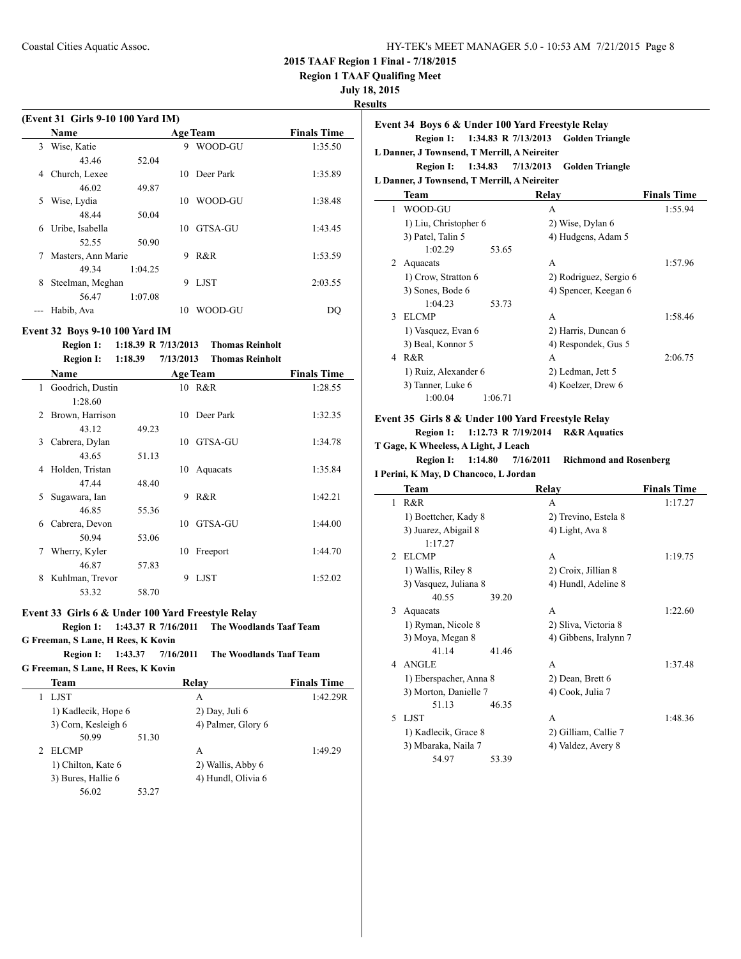| HY-TEK's MEET MANAGER 5.0 - 10:53 AM 7/21/2015 Page 8 |  |
|-------------------------------------------------------|--|
|-------------------------------------------------------|--|

**Region 1 TAAF Qualifing Meet**

**July 18, 2015**

**Results**

 $\sim$ 

 $\overline{\phantom{a}}$ 

| (Event 31 Girls 9-10 100 Yard IM) |                    |         |    |                 |                    |  |
|-----------------------------------|--------------------|---------|----|-----------------|--------------------|--|
|                                   | Name               |         |    | <b>Age Team</b> | <b>Finals Time</b> |  |
| 3                                 | Wise, Katie        |         | 9  | WOOD-GU         | 1:35.50            |  |
|                                   | 43.46              | 52.04   |    |                 |                    |  |
| 4                                 | Church, Lexee      |         | 10 | Deer Park       | 1:35.89            |  |
|                                   | 46.02              | 49.87   |    |                 |                    |  |
| 5                                 | Wise, Lydia        |         | 10 | WOOD-GU         | 1:38.48            |  |
|                                   | 48.44              | 50.04   |    |                 |                    |  |
| 6                                 | Uribe, Isabella    |         | 10 | GTSA-GU         | 1:43.45            |  |
|                                   | 52.55              | 50.90   |    |                 |                    |  |
| 7                                 | Masters, Ann Marie |         | 9  | R&R             | 1:53.59            |  |
|                                   | 49 34              | 1:04.25 |    |                 |                    |  |
| 8                                 | Steelman, Meghan   |         | 9  | <b>LIST</b>     | 2:03.55            |  |
|                                   | 56.47              | 1:07.08 |    |                 |                    |  |
|                                   | Habib, Ava         |         | 10 | WOOD-GU         | DO                 |  |

#### **Event 32 Boys 9-10 100 Yard IM**

### **Region 1: 1:18.39 R 7/13/2013 Thomas Reinholt Region I: 1:18.39 7/13/2013 Thomas Reinholt**

|               | <b>IVERON 1.</b> | 1,10,07 | 77374013 | т пошаз іленной |                    |
|---------------|------------------|---------|----------|-----------------|--------------------|
|               | <b>Name</b>      |         |          | <b>Age Team</b> | <b>Finals Time</b> |
| 1.            | Goodrich, Dustin |         |          | 10 R&R          | 1:28.55            |
|               | 1:28.60          |         |          |                 |                    |
| $\mathcal{L}$ | Brown, Harrison  |         |          | 10 Deer Park    | 1:32.35            |
|               | 43.12            | 49.23   |          |                 |                    |
| 3             | Cabrera, Dylan   |         | 10       | GTSA-GU         | 1:34.78            |
|               | 43.65            | 51.13   |          |                 |                    |
| 4             | Holden, Tristan  |         | 10       | Aquacats        | 1:35.84            |
|               | 47.44            | 48.40   |          |                 |                    |
| 5             | Sugawara, Ian    |         | 9        | R&R             | 1:42.21            |
|               | 46.85            | 55.36   |          |                 |                    |
| 6             | Cabrera, Devon   |         | 10       | GTSA-GU         | 1:44.00            |
|               | 50.94            | 53.06   |          |                 |                    |
| 7             | Wherry, Kyler    |         | 10       | Freeport        | 1:44.70            |
|               | 46.87            | 57.83   |          |                 |                    |
| 8             | Kuhlman, Trevor  |         | 9        | <b>LJST</b>     | 1:52.02            |
|               | 53.32            | 58.70   |          |                 |                    |

### **Event 33 Girls 6 & Under 100 Yard Freestyle Relay**

### **Region 1: 1:43.37 R 7/16/2011 The Woodlands Taaf Team**

**G Freeman, S Lane, H Rees, K Kovin**

**Region I: 1:43.37 7/16/2011 The Woodlands Taaf Team G Freeman, S Lane, H Rees, K Kovin**

| Team                                        | Relay              | <b>Finals Time</b> |
|---------------------------------------------|--------------------|--------------------|
| LIST                                        | A                  | 1:42.29R           |
| 1) Kadlecik, Hope 6                         | 2) Day, Juli 6     |                    |
| 3) Corn, Kesleigh 6                         | 4) Palmer, Glory 6 |                    |
| 50.99                                       | 51.30              |                    |
| <b>ELCMP</b><br>$\mathcal{D}_{\mathcal{L}}$ | A                  | 1:49.29            |
| 1) Chilton, Kate 6                          | 2) Wallis, Abby 6  |                    |
| 3) Bures, Hallie 6                          | 4) Hundl, Olivia 6 |                    |
| 56.02                                       | 53.27              |                    |

|              | Event 34 Boys 6 & Under 100 Yard Freestyle Relay |       |                                               |                    |
|--------------|--------------------------------------------------|-------|-----------------------------------------------|--------------------|
|              | L Danner, J Townsend, T Merrill, A Neireiter     |       | Region 1: 1:34.83 R 7/13/2013 Golden Triangle |                    |
|              |                                                  |       | Region I: 1:34.83 7/13/2013 Golden Triangle   |                    |
|              | L Danner, J Townsend, T Merrill, A Neireiter     |       |                                               |                    |
|              | Team                                             |       | Relay                                         | <b>Finals Time</b> |
| 1            | WOOD-GU                                          |       | A                                             | 1:55.94            |
|              | 1) Liu, Christopher 6                            |       | 2) Wise, Dylan 6                              |                    |
|              | 3) Patel, Talin 5                                |       | 4) Hudgens, Adam 5                            |                    |
|              | 1:02.29                                          | 53.65 |                                               |                    |
| 2            | Aquacats                                         |       | A                                             | 1:57.96            |
|              | 1) Crow, Stratton 6                              |       | 2) Rodriguez, Sergio 6                        |                    |
|              | 3) Sones, Bode 6                                 |       | 4) Spencer, Keegan 6                          |                    |
|              | 1:04.23                                          | 53.73 |                                               |                    |
| $\mathbf{3}$ | <b>ELCMP</b>                                     |       | A                                             | 1:58.46            |
|              | 1) Vasquez, Evan 6                               |       | 2) Harris, Duncan 6                           |                    |
|              | 3) Beal, Konnor 5                                |       | 4) Respondek, Gus 5                           |                    |
| 4            | R&R                                              |       | A                                             | 2:06.75            |
|              | 1) Ruiz, Alexander 6                             |       | 2) Ledman, Jett 5                             |                    |
|              | 3) Tanner, Luke 6                                |       | 4) Koelzer, Drew 6                            |                    |

### 1:00.04 1:06.71

## **Event 35 Girls 8 & Under 100 Yard Freestyle Relay**

**Region 1: 1:12.73 R 7/19/2014 R&R Aquatics**

## **T Gage, K Wheeless, A Light, J Leach**

**Region I: 1:14.80 7/16/2011 Richmond and Rosenberg**

|                | I Perini, K May, D Chancoco, L Jordan |       |                       |                    |  |  |
|----------------|---------------------------------------|-------|-----------------------|--------------------|--|--|
|                | Team                                  |       | Relay                 | <b>Finals Time</b> |  |  |
| 1              | R&R                                   |       | A                     | 1:17.27            |  |  |
|                | 1) Boettcher, Kady 8                  |       | 2) Trevino, Estela 8  |                    |  |  |
|                | 3) Juarez, Abigail 8<br>1:17.27       |       | 4) Light, Ava 8       |                    |  |  |
| $\mathfrak{D}$ | <b>ELCMP</b>                          |       | A                     | 1:19.75            |  |  |
|                | 1) Wallis, Riley 8                    |       | 2) Croix, Jillian 8   |                    |  |  |
|                | 3) Vasquez, Juliana 8                 |       | 4) Hundl, Adeline 8   |                    |  |  |
|                | 40.55                                 | 39.20 |                       |                    |  |  |
| 3              | Aquacats                              |       | A                     | 1:22.60            |  |  |
|                | 1) Ryman, Nicole 8                    |       | 2) Sliva, Victoria 8  |                    |  |  |
|                | 3) Moya, Megan 8                      |       | 4) Gibbens, Iralynn 7 |                    |  |  |
|                | 41.14                                 | 41.46 |                       |                    |  |  |
| 4              | <b>ANGLE</b>                          |       | A                     | 1:37.48            |  |  |
|                | 1) Eberspacher, Anna 8                |       | 2) Dean, Brett 6      |                    |  |  |
|                | 3) Morton, Danielle 7                 |       | 4) Cook, Julia 7      |                    |  |  |
|                | 51.13                                 | 46.35 |                       |                    |  |  |
| 5              | LJST                                  |       | A                     | 1:48.36            |  |  |
|                | 1) Kadlecik, Grace 8                  |       | 2) Gilliam, Callie 7  |                    |  |  |
|                | 3) Mbaraka, Naila 7                   |       | 4) Valdez, Avery 8    |                    |  |  |
|                | 54.97                                 | 53.39 |                       |                    |  |  |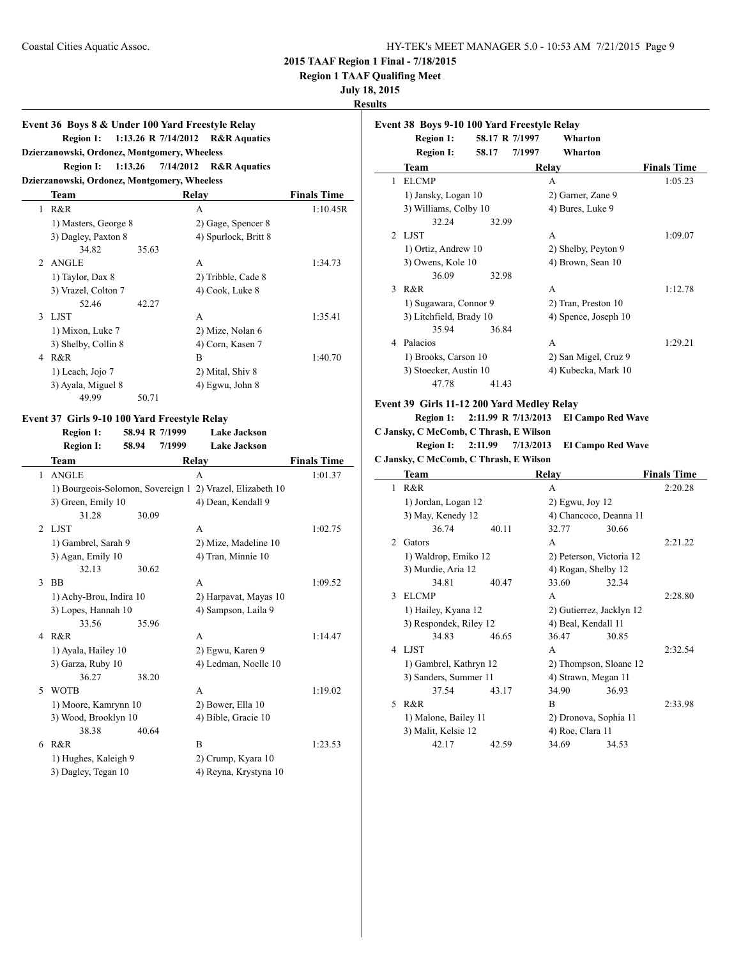**Region 1 TAAF Qualifing Meet**

#### **July 18, 2015**

### **Results**

### **Event 36 Boys 8 & Under 100 Yard Freestyle Relay Region 1: 1:13.26 R 7/14/2012 R&R Aquatics Dzierzanowski, Ordonez, Montgomery, Wheeless**

### **Region I: 1:13.26 7/14/2012 R&R Aquatics**

### **Dzierzanowski, Ordonez, Montgomery, Wheeless**

|                | Team                 |       | Relay                | <b>Finals Time</b> |
|----------------|----------------------|-------|----------------------|--------------------|
| 1              | R&R                  |       | А                    | 1:10.45R           |
|                | 1) Masters, George 8 |       | 2) Gage, Spencer 8   |                    |
|                | 3) Dagley, Paxton 8  |       | 4) Spurlock, Britt 8 |                    |
|                | 34.82                | 35.63 |                      |                    |
| $\mathfrak{D}$ | <b>ANGLE</b>         |       | A                    | 1:34.73            |
|                | 1) Taylor, Dax 8     |       | 2) Tribble, Cade 8   |                    |
|                | 3) Vrazel, Colton 7  |       | 4) Cook, Luke 8      |                    |
|                | 52.46                | 42.27 |                      |                    |
| 3              | LJST                 |       | A                    | 1:35.41            |
|                | 1) Mixon, Luke 7     |       | 2) Mize, Nolan 6     |                    |
|                | 3) Shelby, Collin 8  |       | 4) Corn, Kasen 7     |                    |
| 4              | R&R                  |       | B                    | 1:40.70            |
|                | 1) Leach, Jojo 7     |       | 2) Mital, Shiv 8     |                    |
|                | 3) Ayala, Miguel 8   |       | 4) Egwu, John 8      |                    |
|                | 49.99                | 50.71 |                      |                    |

#### **Event 37 Girls 9-10 100 Yard Freestyle Relay**

**Region 1: 58.94 R 7/1999 Lake Jackson**

|                | inegion 1.                        | $30.77 \, \text{K}$ 111777 | L'ARC J'ACR3UII         |                    |
|----------------|-----------------------------------|----------------------------|-------------------------|--------------------|
|                | <b>Region I:</b>                  | 58.94<br>7/1999            | <b>Lake Jackson</b>     |                    |
|                | Team                              |                            | Relay                   | <b>Finals Time</b> |
| 1              | <b>ANGLE</b>                      |                            | A                       | 1:01.37            |
|                | 1) Bourgeois-Solomon, Sovereign 1 |                            | 2) Vrazel, Elizabeth 10 |                    |
|                | 3) Green, Emily 10                |                            | 4) Dean, Kendall 9      |                    |
|                | 31.28                             | 30.09                      |                         |                    |
| $\mathfrak{D}$ | <b>LJST</b>                       |                            | A                       | 1:02.75            |
|                | 1) Gambrel, Sarah 9               |                            | 2) Mize, Madeline 10    |                    |
|                | 3) Agan, Emily 10                 |                            | 4) Tran, Minnie 10      |                    |
|                | 32.13                             | 30.62                      |                         |                    |
| 3              | <b>BB</b>                         |                            | A                       | 1:09.52            |
|                | 1) Achy-Brou, Indira 10           |                            | 2) Harpavat, Mayas 10   |                    |
|                | 3) Lopes, Hannah 10               |                            | 4) Sampson, Laila 9     |                    |
|                | 33.56                             | 35.96                      |                         |                    |
| 4              | R&R                               |                            | A                       | 1:14.47            |
|                | 1) Ayala, Hailey 10               |                            | 2) Egwu, Karen 9        |                    |
|                | 3) Garza, Ruby 10                 |                            | 4) Ledman, Noelle 10    |                    |
|                | 36.27                             | 38.20                      |                         |                    |
| 5              | <b>WOTB</b>                       |                            | A                       | 1:19.02            |
|                | 1) Moore, Kamrynn 10              |                            | 2) Bower, Ella 10       |                    |
|                | 3) Wood, Brooklyn 10              |                            | 4) Bible, Gracie 10     |                    |
|                | 38.38                             | 40.64                      |                         |                    |
| 6              | R&R                               |                            | B                       | 1:23.53            |
|                | 1) Hughes, Kaleigh 9              |                            | 2) Crump, Kyara 10      |                    |
|                | 3) Dagley, Tegan 10               |                            | 4) Reyna, Krystyna 10   |                    |

### **Event 38 Boys 9-10 100 Yard Freestyle Relay Region 1: 58.17 R 7/1997 Wharton Region I: 58.17 7/1997 Wharton Team Relay Finals Time** 1 ELCMP A 1:05.23 1) Jansky, Logan 10 2) Garner, Zane 9 3) Williams, Colby 10 4) Bures, Luke 9 32.24 32.99 2 LJST A 1:09.07 1) Ortiz, Andrew 10 2) Shelby, Peyton 9 3) Owens, Kole 10 4) Brown, Sean 10 36.09 32.98 3 R&R 1:12.78 1) Sugawara, Connor 9 2) Tran, Preston 10 3) Litchfield, Brady 10 4) Spence, Joseph 10 35.94 36.84 4 Palacios A 1:29.21 1) Brooks, Carson 10 2) San Migel, Cruz 9 3) Stoecker, Austin 10 4) Kubecka, Mark 10 47.78 41.43 **Event 39 Girls 11-12 200 Yard Medley Relay Region 1: 2:11.99 R 7/13/2013 El Campo Red Wave C Jansky, C McComb, C Thrash, E Wilson Region I: 2:11.99 7/13/2013 El Campo Red Wave C Jansky, C McComb, C Thrash, E Wilson Team Relay Finals Time** 1 R&R 2:20.28 1) Jordan, Logan 12 2) Egwu, Joy 12 3) May, Kenedy 12 4) Chancoco, Deanna 11 36.74 40.11 32.77 30.66 2 Gators **A** 2:21.22 1) Waldrop, Emiko 12 2) Peterson, Victoria 12 3) Murdie, Aria 12 4) Rogan, Shelby 12 34.81 40.47 33.60 32.34 3 ELCMP A 2:28.80 1) Hailey, Kyana 12 2) Gutierrez, Jacklyn 12 3) Respondek, Riley 12 4) Beal, Kendall 11 34.83 46.65 36.47 30.85 4 LJST A 2:32.54 1) Gambrel, Kathryn 12 2) Thompson, Sloane 12 3) Sanders, Summer 11 4) Strawn, Megan 11 37.54 43.17 34.90 36.93 5 R&R B 2:33.98 1) Malone, Bailey 11 2) Dronova, Sophia 11 3) Malit, Kelsie 12 4) Roe, Clara 11 42.17 42.59 34.69 34.53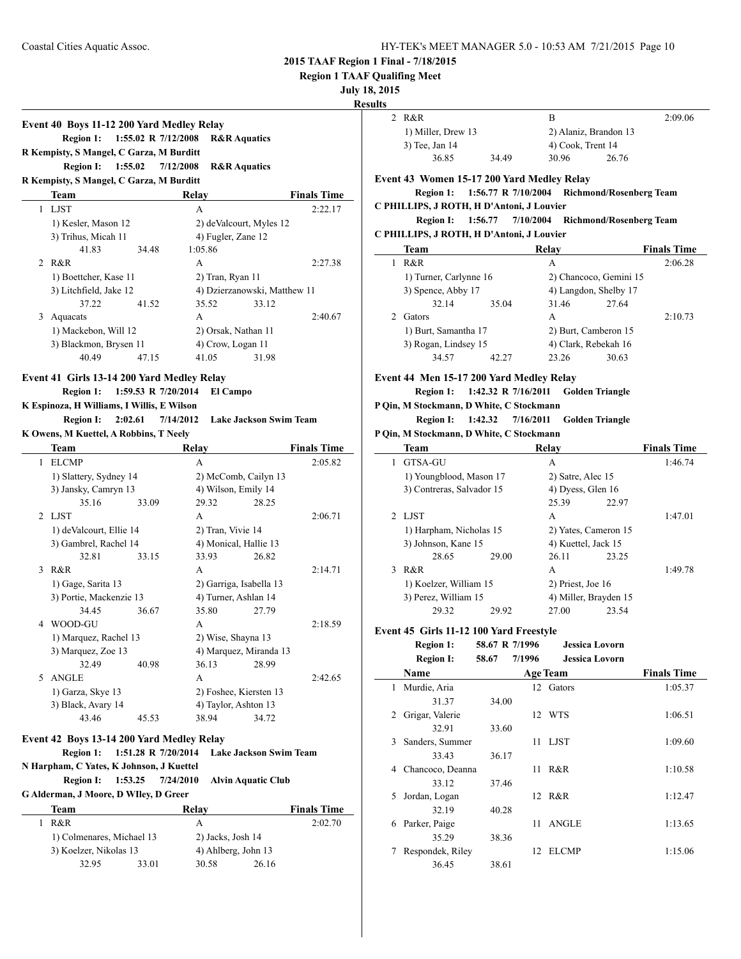#### **Region 1 TAAF Qualifing Meet**

#### **July 18, 2015**

### **Results**

### **Event 40 Boys 11-12 200 Yard Medley Relay Region 1: 1:55.02 R 7/12/2008 R&R Aquatics R Kempisty, S Mangel, C Garza, M Burditt Region I: 1:55.02 7/12/2008 R&R Aquatics R Kempisty, S Mangel, C Garza, M Burditt**

|   | <b>Team</b>            |       | Relav                        |                         | <b>Finals Time</b> |
|---|------------------------|-------|------------------------------|-------------------------|--------------------|
| 1 | <b>LJST</b>            |       | A                            |                         | 2:22.17            |
|   | 1) Kesler, Mason 12    |       |                              | 2) deValcourt, Myles 12 |                    |
|   | 3) Trihus, Micah 11    |       | 4) Fugler, Zane 12           |                         |                    |
|   | 41.83                  | 34.48 | 1:05.86                      |                         |                    |
|   | 2 R&R                  |       | A                            |                         | 2:27.38            |
|   | 1) Boettcher, Kase 11  |       | 2) Tran, Ryan 11             |                         |                    |
|   | 3) Litchfield, Jake 12 |       | 4) Dzierzanowski, Matthew 11 |                         |                    |
|   | 37.22                  | 41.52 | 35.52                        | 33.12                   |                    |
| 3 | Aquacats               |       | A                            |                         | 2:40.67            |
|   | 1) Mackebon, Will 12   |       | 2) Orsak, Nathan 11          |                         |                    |
|   | 3) Blackmon, Brysen 11 |       | 4) Crow, Logan 11            |                         |                    |
|   | 40.49                  | 47.15 | 41.05                        | 31.98                   |                    |

### **Event 41 Girls 13-14 200 Yard Medley Relay**

**Region 1: 1:59.53 R 7/20/2014 El Campo**

### **K Espinoza, H Williams, I Willis, E Wilson**

| <b>Region I:</b>                        | 2:02.61 | 7/14/2012 | Lake Jackson Swim Team |
|-----------------------------------------|---------|-----------|------------------------|
| K Owens. M Kuettel. A Robbins. T Neelv. |         |           |                        |

|                                          | Team                                                              |                      | Relay                   |                           | <b>Finals Time</b> |  |
|------------------------------------------|-------------------------------------------------------------------|----------------------|-------------------------|---------------------------|--------------------|--|
| 1                                        | <b>ELCMP</b>                                                      |                      | A                       |                           | 2:05.82            |  |
|                                          | 1) Slattery, Sydney 14                                            |                      | 2) McComb, Cailyn 13    |                           |                    |  |
|                                          | 3) Jansky, Camryn 13                                              |                      | 4) Wilson, Emily 14     |                           |                    |  |
|                                          | 35.16                                                             | 33.09                | 29.32                   | 28.25                     |                    |  |
| $\mathfrak{D}$                           | LJST                                                              |                      | A                       |                           | 2:06.71            |  |
|                                          | 1) deValcourt, Ellie 14                                           |                      | 2) Tran, Vivie 14       |                           |                    |  |
|                                          | 3) Gambrel, Rachel 14                                             |                      | 4) Monical, Hallie 13   |                           |                    |  |
|                                          | 32.81                                                             | 33.15                | 33.93                   | 26.82                     |                    |  |
| $\mathcal{F}$                            | R&R                                                               |                      | A                       |                           | 2:14.71            |  |
|                                          | 1) Gage, Sarita 13                                                |                      | 2) Garriga, Isabella 13 |                           |                    |  |
|                                          | 3) Portie, Mackenzie 13                                           |                      | 4) Turner, Ashlan 14    |                           |                    |  |
|                                          | 34.45                                                             | 36.67                | 35.80                   | 27.79                     |                    |  |
| 4                                        | WOOD-GU                                                           |                      | A                       |                           | 2:18.59            |  |
|                                          | 1) Marquez, Rachel 13                                             |                      | 2) Wise, Shayna 13      |                           |                    |  |
|                                          | 3) Marquez, Zoe 13                                                |                      | 4) Marquez, Miranda 13  |                           |                    |  |
|                                          | 32.49                                                             | 40.98                | 36.13                   | 28.99                     |                    |  |
| 5                                        | <b>ANGLE</b>                                                      |                      | A                       |                           | 2:42.65            |  |
|                                          | 1) Garza, Skye 13                                                 |                      | 2) Foshee, Kiersten 13  |                           |                    |  |
|                                          | 3) Black, Avary 14                                                |                      | 4) Taylor, Ashton 13    |                           |                    |  |
|                                          | 43.46                                                             | 45.53                | 38.94                   | 34.72                     |                    |  |
|                                          | Event 42 Boys 13-14 200 Yard Medley Relay                         |                      |                         |                           |                    |  |
|                                          | 1:51.28 R 7/20/2014<br><b>Region 1:</b><br>Lake Jackson Swim Team |                      |                         |                           |                    |  |
| N Harpham, C Yates, K Johnson, J Kuettel |                                                                   |                      |                         |                           |                    |  |
|                                          | <b>Region I:</b>                                                  | 1:53.25<br>7/24/2010 |                         | <b>Alvin Aquatic Club</b> |                    |  |
|                                          | C Alderman, I Means, D Willey, D Cusen                            |                      |                         |                           |                    |  |

**G Alderman, J Moore, D WIley, D Greer**

|     | Team                      |       | Relay               |       | <b>Finals Time</b> |
|-----|---------------------------|-------|---------------------|-------|--------------------|
| R&R |                           |       | А                   |       | 2:02.70            |
|     | 1) Colmenares, Michael 13 |       | 2) Jacks, Josh 14   |       |                    |
|     | 3) Koelzer, Nikolas 13    |       | 4) Ahlberg, John 13 |       |                    |
|     | 32.95                     | 33.01 | 30.58               | 26.16 |                    |

| . |                    |       |                       |       |         |
|---|--------------------|-------|-----------------------|-------|---------|
|   | 2 R&R              |       | В                     |       | 2:09.06 |
|   | 1) Miller, Drew 13 |       | 2) Alaniz, Brandon 13 |       |         |
|   | 3) Tee, Jan 14     |       | 4) Cook, Trent 14     |       |         |
|   | 36.85              | 34.49 | 30.96                 | 26.76 |         |

### **Event 43 Women 15-17 200 Yard Medley Relay**

### **Region 1: 1:56.77 R 7/10/2004 Richmond/Rosenberg Team C PHILLIPS, J ROTH, H D'Antoni, J Louvier**

### **Region I: 1:56.77 7/10/2004 Richmond/Rosenberg Team C PHILLIPS, J ROTH, H D'Antoni, J Louvier**

|    | C FHILLIFS, J ROTH, H D Alltoni, J Louvier   |       |                        |       |                    |  |  |
|----|----------------------------------------------|-------|------------------------|-------|--------------------|--|--|
|    | Team                                         |       | Relay                  |       | <b>Finals Time</b> |  |  |
|    | R&R                                          |       | A                      |       | 2:06.28            |  |  |
|    | 1) Turner, Carlynne 16                       |       | 2) Chancoco, Gemini 15 |       |                    |  |  |
|    | 3) Spence, Abby 17                           |       | 4) Langdon, Shelby 17  |       |                    |  |  |
|    | 32.14                                        | 35.04 | 31.46                  | 27.64 |                    |  |  |
| 2. | Gators                                       |       | A                      |       | 2:10.73            |  |  |
|    | 1) Burt, Samantha 17<br>3) Rogan, Lindsey 15 |       | 2) Burt, Camberon 15   |       |                    |  |  |
|    |                                              |       | 4) Clark, Rebekah 16   |       |                    |  |  |
|    | 34.57                                        | 42.27 | 23.26                  | 30.63 |                    |  |  |
|    |                                              |       |                        |       |                    |  |  |

### **Event 44 Men 15-17 200 Yard Medley Relay**

**Region 1: 1:42.32 R 7/16/2011 Golden Triangle**

### **P Qin, M Stockmann, D White, C Stockmann**

#### **Region I: 1:42.32 7/16/2011 Golden Triangle P Qin, M Stockmann, D White, C Stockmann**

|   | $\mathsf{O}_{\mathsf{H}}$ in stockmann, $\mathsf{D}$ and $\mathsf{C}$ stockmann |       |                       |       |                    |  |  |  |  |
|---|---------------------------------------------------------------------------------|-------|-----------------------|-------|--------------------|--|--|--|--|
|   | Team                                                                            |       | Relav                 |       | <b>Finals Time</b> |  |  |  |  |
| 1 | GTSA-GU                                                                         |       | A                     |       | 1:46.74            |  |  |  |  |
|   | 1) Youngblood, Mason 17                                                         |       | 2) Satre, Alec 15     |       |                    |  |  |  |  |
|   | 3) Contreras, Salvador 15                                                       |       | 4) Dyess, Glen 16     |       |                    |  |  |  |  |
|   |                                                                                 |       | 25.39                 | 22.97 |                    |  |  |  |  |
|   | 2 LIST                                                                          |       | A                     |       | 1:47.01            |  |  |  |  |
|   | 1) Harpham, Nicholas 15                                                         |       | 2) Yates, Cameron 15  |       |                    |  |  |  |  |
|   | 3) Johnson, Kane 15                                                             |       | 4) Kuettel, Jack 15   |       |                    |  |  |  |  |
|   | 28.65                                                                           | 29.00 | 26.11                 | 23.25 |                    |  |  |  |  |
| 3 | R&R                                                                             |       | A                     |       | 1:49.78            |  |  |  |  |
|   | 1) Koelzer, William 15                                                          |       | 2) Priest, Joe 16     |       |                    |  |  |  |  |
|   | 3) Perez, William 15                                                            |       | 4) Miller, Brayden 15 |       |                    |  |  |  |  |
|   | 29.32                                                                           | 29.92 | 27.00                 | 23.54 |                    |  |  |  |  |

### **Event 45 Girls 11-12 100 Yard Freestyle**

|              | <b>Region 1:</b> | 58.67 R 7/1996 |        | <b>Jessica Lovorn</b> |                    |
|--------------|------------------|----------------|--------|-----------------------|--------------------|
|              | <b>Region I:</b> | 58.67          | 7/1996 | <b>Jessica Lovorn</b> |                    |
|              | Name             |                |        | <b>Age Team</b>       | <b>Finals Time</b> |
| 1            | Murdie, Aria     |                |        | 12 Gators             | 1:05.37            |
|              | 31.37            | 34.00          |        |                       |                    |
| 2            | Grigar, Valerie  |                |        | 12 WTS                | 1:06.51            |
|              | 32.91            | 33.60          |        |                       |                    |
| $\mathbf{3}$ | Sanders, Summer  |                | 11     | LJST                  | 1:09.60            |
|              | 33.43            | 36.17          |        |                       |                    |
| 4            | Chancoco, Deanna |                | 11     | R&R                   | 1:10.58            |
|              | 33.12            | 37.46          |        |                       |                    |
| 5            | Jordan, Logan    |                |        | 12 R&R                | 1:12.47            |
|              | 32.19            | 40.28          |        |                       |                    |
| 6            | Parker, Paige    |                | 11     | <b>ANGLE</b>          | 1:13.65            |
|              | 35.29            | 38.36          |        |                       |                    |
| 7            | Respondek, Riley |                | 12     | <b>ELCMP</b>          | 1:15.06            |
|              | 36.45            | 38.61          |        |                       |                    |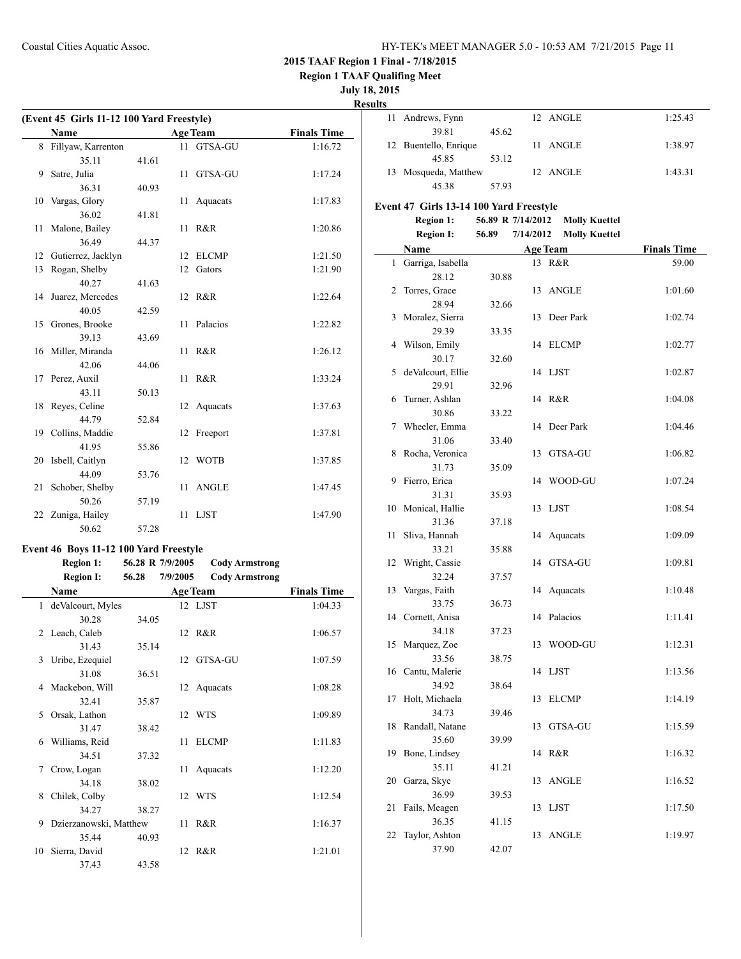**Region 1 TAAF Qualifing Meet**

**July 18, 2015**

**Results**

| (Event 45 Girls 11-12 100 Yard Freestyle) |                      |       |    |                 |                    |  |
|-------------------------------------------|----------------------|-------|----|-----------------|--------------------|--|
|                                           | <b>Name</b>          |       |    | <b>Age Team</b> | <b>Finals Time</b> |  |
|                                           | 8 Fillyaw, Karrenton |       | 11 | GTSA-GU         | 1:16.72            |  |
|                                           | 35.11                | 41.61 |    |                 |                    |  |
| 9                                         | Satre, Julia         |       | 11 | GTSA-GU         | 1:17.24            |  |
|                                           | 36.31                | 40.93 |    |                 |                    |  |
| 10                                        | Vargas, Glory        |       | 11 | Aquacats        | 1:17.83            |  |
|                                           | 36.02                | 41.81 |    |                 |                    |  |
| 11                                        | Malone, Bailey       |       | 11 | R&R             | 1:20.86            |  |
|                                           | 36.49                | 44.37 |    |                 |                    |  |
| 12                                        | Gutierrez, Jacklyn   |       | 12 | ELCMP           | 1:21.50            |  |
| 13                                        | Rogan, Shelby        |       | 12 | Gators          | 1:21.90            |  |
|                                           | 40.27                | 41.63 |    |                 |                    |  |
| 14                                        | Juarez, Mercedes     |       |    | 12 R&R          | 1:22.64            |  |
|                                           | 40.05                | 42.59 |    |                 |                    |  |
| 15                                        | Grones, Brooke       |       | 11 | Palacios        | 1:22.82            |  |
|                                           | 39.13                | 43.69 |    |                 |                    |  |
|                                           | 16 Miller, Miranda   |       | 11 | R&R             | 1:26.12            |  |
|                                           | 42.06                | 44.06 |    |                 |                    |  |
| 17                                        | Perez, Auxil         |       | 11 | R&R             | 1:33.24            |  |
|                                           | 43.11                | 50.13 |    |                 |                    |  |
| 18                                        | Reyes, Celine        |       | 12 | Aquacats        | 1:37.63            |  |
|                                           | 44.79                | 52.84 |    |                 |                    |  |
|                                           | 19 Collins, Maddie   |       |    | 12 Freeport     | 1:37.81            |  |
|                                           | 41.95                | 55.86 |    |                 |                    |  |
| 20                                        | Isbell, Caitlyn      |       | 12 | <b>WOTB</b>     | 1:37.85            |  |
|                                           | 44.09                | 53.76 |    |                 |                    |  |
| 21                                        | Schober, Shelby      |       | 11 | <b>ANGLE</b>    | 1:47.45            |  |
|                                           | 50.26                | 57.19 |    |                 |                    |  |
| 22                                        | Zuniga, Hailey       |       | 11 | LJST            | 1:47.90            |  |
|                                           | 50.62                | 57.28 |    |                 |                    |  |

### **Event 46 Boys 11-12 100 Yard Freestyle**

### **Region 1: 56.28 R 7/9/2005 Cody Armstrong**

|    | <b>Region I:</b>       | 56.28 | 7/9/2005        | <b>Cody Armstrong</b> |                    |
|----|------------------------|-------|-----------------|-----------------------|--------------------|
|    | <b>Name</b>            |       | <b>Age Team</b> |                       | <b>Finals Time</b> |
| 1  | deValcourt, Myles      |       |                 | 12 LJST               | 1:04.33            |
|    | 30.28                  | 34.05 |                 |                       |                    |
|    | 2 Leach, Caleb         |       |                 | 12 R&R                | 1:06.57            |
|    | 31.43                  | 35.14 |                 |                       |                    |
| 3  | Uribe, Ezequiel        |       |                 | 12 GTSA-GU            | 1:07.59            |
|    | 31.08                  | 36.51 |                 |                       |                    |
| 4  | Mackebon, Will         |       |                 | 12 Aquacats           | 1:08.28            |
|    | 32.41                  | 35.87 |                 |                       |                    |
| 5  | Orsak, Lathon          |       |                 | 12 WTS                | 1:09.89            |
|    | 31.47                  | 38.42 |                 |                       |                    |
| 6  | Williams, Reid         |       | 11              | <b>ELCMP</b>          | 1:11.83            |
|    | 34.51                  | 37.32 |                 |                       |                    |
| 7  | Crow, Logan            |       |                 | 11 Aquacats           | 1:12.20            |
|    | 34.18                  | 38.02 |                 |                       |                    |
| 8  | Chilek, Colby          |       |                 | 12 WTS                | 1:12.54            |
|    | 34.27                  | 38.27 |                 |                       |                    |
| 9  | Dzierzanowski, Matthew |       | 11              | R&R                   | 1:16.37            |
|    | 35.44                  | 40.93 |                 |                       |                    |
| 10 | Sierra, David          |       | 12              | R&R                   | 1:21.01            |
|    | 37.43                  | 43.58 |                 |                       |                    |

| ıэ |                       |       |          |         |
|----|-----------------------|-------|----------|---------|
|    | 11 Andrews, Fynn      |       | 12 ANGLE | 1:25.43 |
|    | 39.81                 | 45.62 |          |         |
|    | 12 Buentello, Enrique |       | 11 ANGLE | 1:38.97 |
|    | 45.85                 | 53.12 |          |         |
|    | 13 Mosqueda, Matthew  |       | 12 ANGLE | 1:43.31 |
|    | 45.38                 | 57.93 |          |         |

### **Event 47 Girls 13-14 100 Yard Freestyle**

| Event 47 Girls 13-14 100 Yard Freestyle |                   |                   |           |                      |                    |  |
|-----------------------------------------|-------------------|-------------------|-----------|----------------------|--------------------|--|
|                                         | <b>Region 1:</b>  | 56.89 R 7/14/2012 |           | <b>Molly Kuettel</b> |                    |  |
|                                         | <b>Region I:</b>  | 56.89             | 7/14/2012 | <b>Molly Kuettel</b> |                    |  |
|                                         | Name              |                   |           | <b>Age Team</b>      | <b>Finals Time</b> |  |
| 1                                       | Garriga, Isabella |                   |           | 13 R&R               | 59.00              |  |
|                                         | 28.12             | 30.88             |           |                      |                    |  |
| 2                                       | Torres, Grace     |                   | 13        | <b>ANGLE</b>         | 1:01.60            |  |
|                                         | 28.94             | 32.66             |           |                      |                    |  |
| 3                                       | Moralez, Sierra   |                   | 13        | Deer Park            | 1:02.74            |  |
|                                         | 29.39             | 33.35             |           |                      |                    |  |
| 4                                       | Wilson, Emily     |                   | 14        | <b>ELCMP</b>         | 1:02.77            |  |
|                                         | 30.17             | 32.60             |           |                      |                    |  |
| 5                                       | deValcourt, Ellie |                   |           | 14 LJST              | 1:02.87            |  |
|                                         | 29.91             | 32.96             |           |                      |                    |  |
| 6                                       | Turner, Ashlan    |                   |           | 14 R&R               | 1:04.08            |  |
|                                         | 30.86             | 33.22             |           |                      |                    |  |
| 7                                       | Wheeler, Emma     |                   | 14        | Deer Park            | 1:04.46            |  |
|                                         | 31.06             | 33.40             |           |                      |                    |  |
| 8                                       | Rocha, Veronica   |                   | 13        | GTSA-GU              | 1:06.82            |  |
|                                         | 31.73             | 35.09             |           |                      |                    |  |
| 9                                       | Fierro, Erica     |                   | 14        | WOOD-GU              | 1:07.24            |  |
|                                         | 31.31             | 35.93             |           |                      |                    |  |
| 10                                      | Monical, Hallie   |                   | 13        | LJST                 | 1:08.54            |  |
|                                         | 31.36             | 37.18             |           |                      |                    |  |
| 11                                      | Sliva, Hannah     |                   | 14        | Aquacats             | 1:09.09            |  |
|                                         | 33.21             | 35.88             |           |                      |                    |  |
| 12                                      | Wright, Cassie    |                   | 14        | GTSA-GU              | 1:09.81            |  |
|                                         | 32.24             | 37.57             |           |                      |                    |  |
| 13                                      | Vargas, Faith     |                   | 14        | Aquacats             | 1:10.48            |  |
|                                         | 33.75             | 36.73             |           |                      |                    |  |
| 14                                      | Cornett, Anisa    |                   | 14        | Palacios             | 1:11.41            |  |
|                                         | 34.18             | 37.23             |           |                      |                    |  |
| 15                                      | Marquez, Zoe      |                   | 13        | WOOD-GU              | 1:12.31            |  |
|                                         | 33.56             | 38.75             |           |                      |                    |  |
|                                         | 16 Cantu, Malerie |                   |           | 14 LJST              | 1:13.56            |  |
|                                         | 34.92             | 38.64             |           |                      |                    |  |
| 17                                      | Holt, Michaela    |                   | 13        | <b>ELCMP</b>         | 1:14.19            |  |
|                                         | 34.73             | 39.46             |           |                      |                    |  |
| 18                                      | Randall, Natane   |                   | 13        | GTSA-GU              | 1:15.59            |  |
|                                         | 35.60             | 39.99             |           |                      |                    |  |
| 19                                      | Bone, Lindsey     |                   |           | 14 R&R               | 1:16.32            |  |
|                                         | 35.11             | 41.21             |           |                      |                    |  |
| 20                                      | Garza, Skye       |                   | 13        | <b>ANGLE</b>         | 1:16.52            |  |
|                                         | 36.99             | 39.53             |           |                      |                    |  |
| 21                                      | Fails, Meagen     |                   | 13        | <b>LJST</b>          | 1:17.50            |  |
|                                         | 36.35             | 41.15             |           |                      |                    |  |
| 22                                      | Taylor, Ashton    |                   | 13        | <b>ANGLE</b>         | 1:19.97            |  |
|                                         | 37.90             | 42.07             |           |                      |                    |  |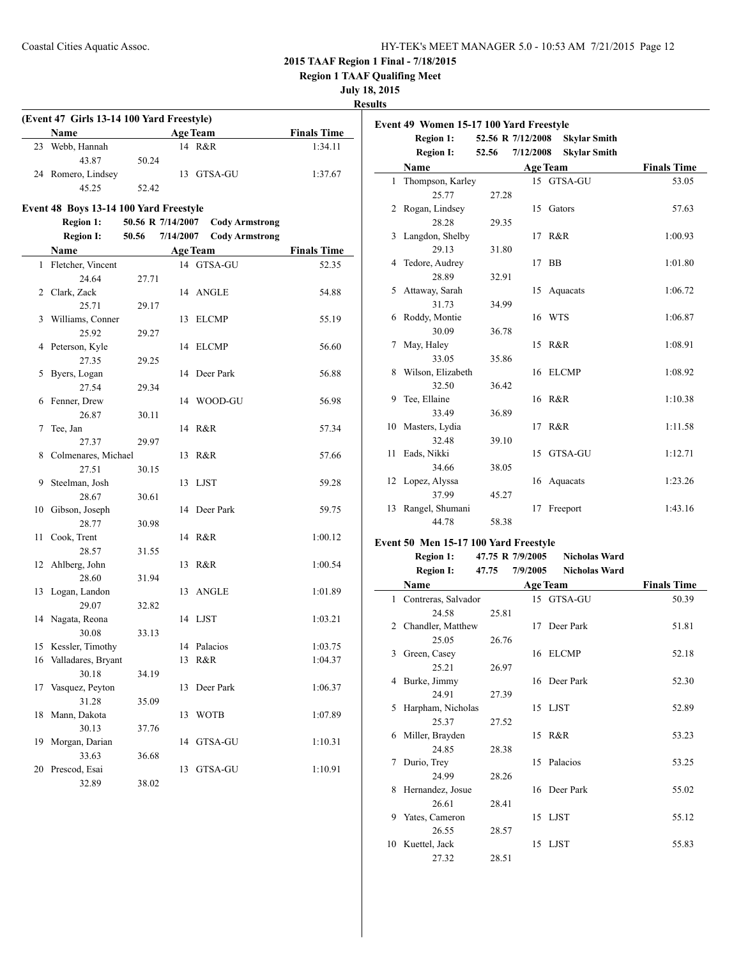**Region 1 TAAF Qualifing Meet**

### **July 18, 2015**

### **Results**

 $\overline{\phantom{a}}$ 

| (Event 47 Girls 13-14 100 Yard Freestyle) |                    |       |                 |                    |  |  |  |
|-------------------------------------------|--------------------|-------|-----------------|--------------------|--|--|--|
|                                           | <b>Name</b>        |       | <b>Age Team</b> | <b>Finals Time</b> |  |  |  |
|                                           | 23 Webb, Hannah    |       | 14 R&R          | 1:34.11            |  |  |  |
|                                           | 43.87              | 50.24 |                 |                    |  |  |  |
|                                           | 24 Romero, Lindsey |       | 13 GTSA-GU      | 1:37.67            |  |  |  |
|                                           | 45 25              | 52.42 |                 |                    |  |  |  |

### **Event 48 Boys 13-14 100 Yard Freestyle**

### **Region 1: 50.56 R 7/14/2007 Cody Armstrong Region I: 50.56 7/14/2007 Cody Armstrong**

|              | Name                                         |       |    | <b>Age Team</b> | <b>Finals Time</b> |
|--------------|----------------------------------------------|-------|----|-----------------|--------------------|
| $\mathbf{1}$ | Fletcher, Vincent                            |       |    | 14 GTSA-GU      | 52.35              |
|              | 24.64                                        | 27.71 |    |                 |                    |
| 2            | Clark, Zack                                  |       | 14 | <b>ANGLE</b>    | 54.88              |
|              | 25.71                                        | 29.17 |    |                 |                    |
| 3            | Williams, Conner                             |       | 13 | <b>ELCMP</b>    | 55.19              |
|              | 25.92                                        | 29.27 |    |                 |                    |
| 4            | Peterson, Kyle                               |       | 14 | <b>ELCMP</b>    | 56.60              |
|              | 27.35                                        | 29.25 |    |                 |                    |
| 5            | Byers, Logan                                 |       | 14 | Deer Park       | 56.88              |
|              | 27.54                                        | 29.34 |    |                 |                    |
| 6            | Fenner, Drew                                 |       | 14 | WOOD-GU         | 56.98              |
|              | 26.87                                        | 30.11 |    |                 |                    |
| 7            | Tee, Jan                                     |       | 14 | R&R             | 57.34              |
|              | 27.37                                        | 29.97 |    |                 |                    |
| 8            | Colmenares, Michael                          |       | 13 | R&R             | 57.66              |
|              | 27.51                                        | 30.15 |    |                 |                    |
| 9            | Steelman, Josh                               |       | 13 | <b>LJST</b>     | 59.28              |
|              | 28.67                                        | 30.61 |    |                 |                    |
| 10           | Gibson, Joseph                               |       | 14 | Deer Park       | 59.75              |
|              | 28.77                                        | 30.98 |    |                 |                    |
| 11           | Cook, Trent                                  |       |    | 14 R&R          | 1:00.12            |
|              | 28.57                                        | 31.55 |    |                 |                    |
| 12           | Ahlberg, John                                |       | 13 | R&R             | 1:00.54            |
|              | 28.60                                        | 31.94 |    |                 |                    |
| 13           | Logan, Landon                                |       | 13 | <b>ANGLE</b>    | 1:01.89            |
|              | 29.07                                        | 32.82 |    |                 |                    |
| 14           | Nagata, Reona<br>30.08                       |       | 14 | LJST            | 1:03.21            |
|              |                                              | 33.13 | 14 | Palacios        |                    |
|              | 15 Kessler, Timothy<br>16 Valladares, Bryant |       | 13 | R&R             | 1:03.75<br>1:04.37 |
|              | 30.18                                        | 34.19 |    |                 |                    |
| 17           | Vasquez, Peyton                              |       | 13 | Deer Park       | 1:06.37            |
|              | 31.28                                        | 35.09 |    |                 |                    |
| 18           | Mann, Dakota                                 |       | 13 | <b>WOTB</b>     | 1:07.89            |
|              | 30.13                                        | 37.76 |    |                 |                    |
| 19           | Morgan, Darian                               |       | 14 | GTSA-GU         | 1:10.31            |
|              | 33.63                                        | 36.68 |    |                 |                    |
| 20           | Prescod, Esai                                |       | 13 | GTSA-GU         | 1:10.91            |
|              | 32.89                                        | 38.02 |    |                 |                    |

| Event 49 Women 15-17 100 Yard Freestyle |                   |                   |           |                     |                    |  |
|-----------------------------------------|-------------------|-------------------|-----------|---------------------|--------------------|--|
|                                         | Region 1:         | 52.56 R 7/12/2008 |           | <b>Skylar Smith</b> |                    |  |
|                                         | <b>Region I:</b>  | 52.56             | 7/12/2008 | <b>Skylar Smith</b> |                    |  |
|                                         | Name              |                   |           | <b>Age Team</b>     | <b>Finals Time</b> |  |
| $\mathbf{1}$                            | Thompson, Karley  |                   |           | 15 GTSA-GU          | 53.05              |  |
|                                         | 25.77             | 27.28             |           |                     |                    |  |
| 2                                       | Rogan, Lindsey    |                   |           | 15 Gators           | 57.63              |  |
|                                         | 28.28             | 29.35             |           |                     |                    |  |
| 3                                       | Langdon, Shelby   |                   |           | 17 R&R              | 1:00.93            |  |
|                                         | 29.13             | 31.80             |           |                     |                    |  |
| 4                                       | Tedore, Audrey    |                   | 17        | BB                  | 1:01.80            |  |
|                                         | 28.89             | 32.91             |           |                     |                    |  |
| 5                                       | Attaway, Sarah    |                   |           | 15 Aquacats         | 1:06.72            |  |
|                                         | 31.73             | 34.99             |           |                     |                    |  |
| 6                                       | Roddy, Montie     |                   |           | 16 WTS              | 1:06.87            |  |
|                                         | 30.09             | 36.78             |           |                     |                    |  |
| 7                                       | May, Haley        |                   |           | 15 R&R              | 1:08.91            |  |
|                                         | 33.05             | 35.86             |           |                     |                    |  |
| 8                                       | Wilson, Elizabeth |                   |           | 16 ELCMP            | 1:08.92            |  |
|                                         | 32.50             | 36.42             |           |                     |                    |  |
| 9                                       | Tee, Ellaine      |                   |           | 16 R&R              | 1:10.38            |  |
|                                         | 33.49             | 36.89             |           |                     |                    |  |
|                                         | 10 Masters, Lydia |                   | 17        | R&R                 | 1:11.58            |  |
|                                         | 32.48             | 39.10             |           |                     |                    |  |
| 11                                      | Eads, Nikki       |                   |           | 15 GTSA-GU          | 1:12.71            |  |
|                                         | 34.66             | 38.05             |           |                     |                    |  |
|                                         | 12 Lopez, Alyssa  |                   |           | 16 Aquacats         | 1:23.26            |  |
|                                         | 37.99             | 45.27             |           |                     |                    |  |
| 13                                      | Rangel, Shumani   |                   | 17        | Freeport            | 1:43.16            |  |
|                                         | 44.78             | 58.38             |           |                     |                    |  |

### **Event 50 Men 15-17 100 Yard Freestyle**

#### **Region 1: 47.75 R 7/9/2005 Nicholas Ward**

| <b>Region I:</b> | 47.75 | 7/9/2005 | <b>Nicholas Ward</b> |
|------------------|-------|----------|----------------------|
|------------------|-------|----------|----------------------|

|              | Name                |       |    | <b>Age Team</b> | <b>Finals Time</b> |
|--------------|---------------------|-------|----|-----------------|--------------------|
| $\mathbf{1}$ | Contreras, Salvador |       |    | 15 GTSA-GU      | 50.39              |
|              | 24.58               | 25.81 |    |                 |                    |
| 2            | Chandler, Matthew   |       |    | 17 Deer Park    | 51.81              |
|              | 25.05               | 26.76 |    |                 |                    |
| 3            | Green, Casey        |       |    | 16 ELCMP        | 52.18              |
|              | 25.21               | 26.97 |    |                 |                    |
| 4            | Burke, Jimmy        |       |    | 16 Deer Park    | 52.30              |
|              | 24.91               | 27.39 |    |                 |                    |
| 5            | Harpham, Nicholas   |       |    | 15 LJST         | 52.89              |
|              | 25.37               | 27.52 |    |                 |                    |
| 6            | Miller, Brayden     |       |    | 15 R&R          | 53.23              |
|              | 24.85               | 28.38 |    |                 |                    |
| 7            | Durio, Trey         |       | 15 | Palacios        | 53.25              |
|              | 24.99               | 28.26 |    |                 |                    |
| 8            | Hernandez, Josue    |       |    | 16 Deer Park    | 55.02              |
|              | 26.61               | 28.41 |    |                 |                    |
| 9            | Yates, Cameron      |       |    | 15 LJST         | 55.12              |
|              | 26.55               | 28.57 |    |                 |                    |
| 10           | Kuettel, Jack       |       |    | 15 LJST         | 55.83              |
|              | 27.32               | 28.51 |    |                 |                    |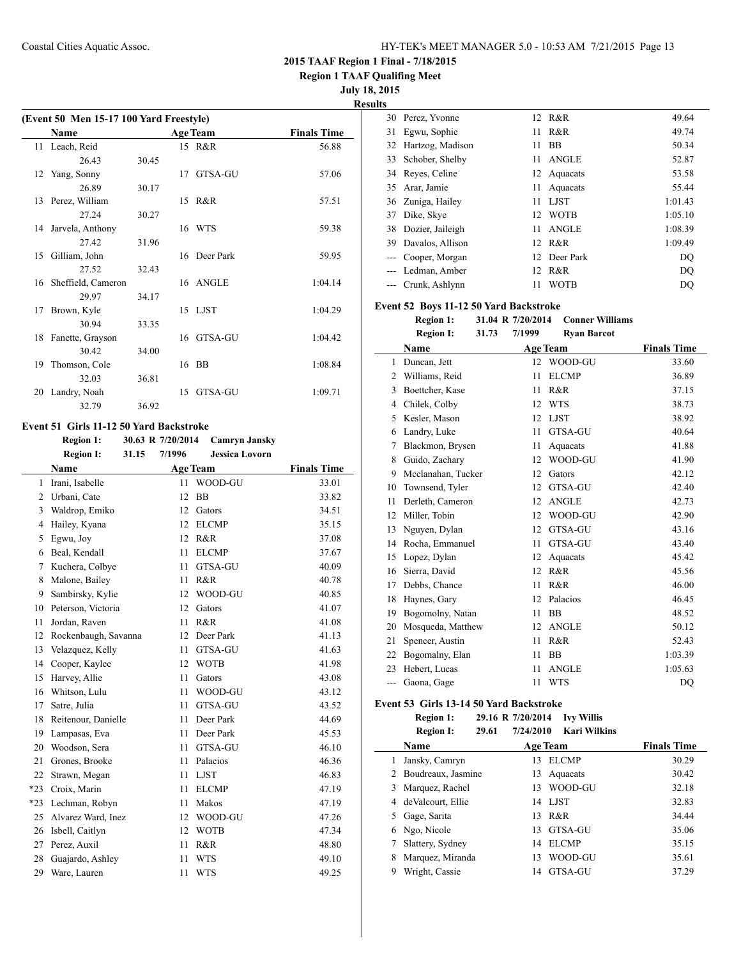**Region 1 TAAF Qualifing Meet**

**July 18, 2015**

**Results**

|    | (Event 50 Men 15-17 100 Yard Freestyle) |       |    |                 |                    |  |  |
|----|-----------------------------------------|-------|----|-----------------|--------------------|--|--|
|    | <b>Name</b>                             |       |    | <b>Age Team</b> | <b>Finals Time</b> |  |  |
|    | 11 Leach, Reid                          |       |    | 15 R&R          | 56.88              |  |  |
|    | 26.43                                   | 30.45 |    |                 |                    |  |  |
|    | 12 Yang, Sonny                          |       |    | 17 GTSA-GU      | 57.06              |  |  |
|    | 26.89                                   | 30.17 |    |                 |                    |  |  |
|    | 13 Perez, William                       |       |    | 15 R&R          | 57.51              |  |  |
|    | 27.24                                   | 30.27 |    |                 |                    |  |  |
|    | 14 Jarvela, Anthony                     |       |    | 16 WTS          | 59.38              |  |  |
|    | 27.42                                   | 31.96 |    |                 |                    |  |  |
|    | 15 Gilliam, John                        |       |    | 16 Deer Park    | 59.95              |  |  |
|    | 27.52                                   | 32.43 |    |                 |                    |  |  |
|    | 16 Sheffield, Cameron                   |       |    | 16 ANGLE        | 1:04.14            |  |  |
|    | 29.97                                   | 34.17 |    |                 |                    |  |  |
| 17 | Brown, Kyle                             |       |    | 15 LJST         | 1:04.29            |  |  |
|    | 30.94                                   | 33.35 |    |                 |                    |  |  |
|    | 18 Fanette, Grayson                     |       |    | 16 GTSA-GU      | 1:04.42            |  |  |
|    | 30.42                                   | 34.00 |    |                 |                    |  |  |
| 19 | Thomson, Cole                           |       |    | 16 BB           | 1:08.84            |  |  |
|    | 32.03                                   | 36.81 |    |                 |                    |  |  |
|    | 20 Landry, Noah                         |       | 15 | GTSA-GU         | 1:09.71            |  |  |
|    | 32.79                                   | 36.92 |    |                 |                    |  |  |

### **Event 51 Girls 11-12 50 Yard Backstroke**

|                | <b>Region 1:</b>     |       | 30.63 R 7/20/2014 | <b>Camryn Jansky</b>  |                    |
|----------------|----------------------|-------|-------------------|-----------------------|--------------------|
|                | <b>Region I:</b>     | 31.15 | 7/1996            | <b>Jessica Lovorn</b> |                    |
|                | <b>Name</b>          |       |                   | <b>Age Team</b>       | <b>Finals Time</b> |
| $\mathbf{1}$   | Irani, Isabelle      |       | 11                | WOOD-GU               | 33.01              |
| $\overline{2}$ | Urbani, Cate         |       | 12                | <b>BB</b>             | 33.82              |
| 3              | Waldrop, Emiko       |       | 12                | Gators                | 34.51              |
| $\overline{4}$ | Hailey, Kyana        |       | 12                | <b>ELCMP</b>          | 35.15              |
| 5              | Egwu, Joy            |       | 12                | R&R                   | 37.08              |
| 6              | Beal, Kendall        |       | 11                | <b>ELCMP</b>          | 37.67              |
| 7              | Kuchera, Colbye      |       | 11                | GTSA-GU               | 40.09              |
| 8              | Malone, Bailey       |       | 11                | R&R                   | 40.78              |
| 9              | Sambirsky, Kylie     |       | 12                | WOOD-GU               | 40.85              |
| 10             | Peterson, Victoria   |       | 12                | Gators                | 41.07              |
| 11             | Jordan, Raven        |       | 11                | R&R                   | 41.08              |
| 12             | Rockenbaugh, Savanna |       | 12                | Deer Park             | 41.13              |
| 13             | Velazquez, Kelly     |       | 11                | GTSA-GU               | 41.63              |
| 14             | Cooper, Kaylee       |       | 12                | <b>WOTB</b>           | 41.98              |
| 15             | Harvey, Allie        |       | 11                | Gators                | 43.08              |
| 16             | Whitson, Lulu        |       | 11                | WOOD-GU               | 43.12              |
| 17             | Satre, Julia         |       | 11                | GTSA-GU               | 43.52              |
| 18             | Reitenour, Danielle  |       | 11                | Deer Park             | 44.69              |
| 19             | Lampasas, Eva        |       | 11                | Deer Park             | 45.53              |
| 20             | Woodson, Sera        |       | 11                | GTSA-GU               | 46.10              |
| 21             | Grones, Brooke       |       | 11                | Palacios              | 46.36              |
| 22             | Strawn, Megan        |       | 11                | <b>LJST</b>           | 46.83              |
| $*23$          | Croix, Marin         |       | 11                | <b>ELCMP</b>          | 47.19              |
| $*23$          | Lechman, Robyn       |       | 11                | Makos                 | 47.19              |
| 25             | Alvarez Ward, Inez   |       | 12                | WOOD-GU               | 47.26              |
| 26             | Isbell, Caitlyn      |       | 12                | <b>WOTB</b>           | 47.34              |
| 27             | Perez, Auxil         |       | 11                | R&R                   | 48.80              |
| 28             | Guajardo, Ashley     |       | 11                | <b>WTS</b>            | 49.10              |
| 29             | Ware, Lauren         |       | 11                | <b>WTS</b>            | 49.25              |
|                |                      |       |                   |                       |                    |

| llS   |                   |    |              |         |
|-------|-------------------|----|--------------|---------|
|       | 30 Perez, Yvonne  | 12 | R&R          | 49.64   |
| 31    | Egwu, Sophie      | 11 | R&R          | 49.74   |
| 32    | Hartzog, Madison  | 11 | BB           | 50.34   |
| 33    | Schober, Shelby   | 11 | <b>ANGLE</b> | 52.87   |
| 34    | Reyes, Celine     | 12 | Aquacats     | 53.58   |
| 35    | Arar, Jamie       | 11 | Aquacats     | 55.44   |
|       | 36 Zuniga, Hailey | 11 | <b>LIST</b>  | 1:01.43 |
| 37    | Dike, Skye        | 12 | <b>WOTB</b>  | 1:05.10 |
| 38    | Dozier, Jaileigh  | 11 | <b>ANGLE</b> | 1:08.39 |
| 39.   | Davalos, Allison  | 12 | R&R          | 1:09.49 |
| $---$ | Cooper, Morgan    | 12 | Deer Park    | DQ      |
|       | Ledman, Amber     | 12 | R&R          | DO      |
|       | Crunk, Ashlynn    | 11 | <b>WOTB</b>  | DO      |

### **Event 52 Boys 11-12 50 Yard Backstroke**

|     | <b>Region 1:</b>   |       | 31.04 R 7/20/2014 | <b>Conner Williams</b> |                    |
|-----|--------------------|-------|-------------------|------------------------|--------------------|
|     | <b>Region I:</b>   | 31.73 | 7/1999            | <b>Ryan Barcot</b>     |                    |
|     | Name               |       | <b>Age Team</b>   |                        | <b>Finals Time</b> |
| 1   | Duncan, Jett       |       | 12                | WOOD-GU                | 33.60              |
| 2   | Williams, Reid     |       | 11                | <b>ELCMP</b>           | 36.89              |
| 3   | Boettcher, Kase    |       | 11                | R&R                    | 37.15              |
| 4   | Chilek, Colby      |       | 12                | <b>WTS</b>             | 38.73              |
| 5   | Kesler, Mason      |       | 12                | <b>LJST</b>            | 38.92              |
| 6   | Landry, Luke       |       | 11                | GTSA-GU                | 40.64              |
| 7   | Blackmon, Brysen   |       | 11                | Aquacats               | 41.88              |
| 8   | Guido, Zachary     |       | 12                | WOOD-GU                | 41.90              |
| 9   | Mcclanahan, Tucker |       | 12                | Gators                 | 42.12              |
| 10  | Townsend, Tyler    |       | 12                | GTSA-GU                | 42.40              |
| 11  | Derleth, Cameron   |       | 12                | <b>ANGLE</b>           | 42.73              |
| 12  | Miller, Tobin      |       | 12                | WOOD-GU                | 42.90              |
| 13  | Nguyen, Dylan      |       | 12                | GTSA-GU                | 43.16              |
| 14  | Rocha, Emmanuel    |       | 11                | GTSA-GU                | 43.40              |
| 15  | Lopez, Dylan       |       | 12                | Aquacats               | 45.42              |
| 16  | Sierra, David      |       | 12                | R&R                    | 45.56              |
| 17  | Debbs, Chance      |       | 11                | R&R                    | 46.00              |
| 18  | Haynes, Gary       |       | 12                | Palacios               | 46.45              |
| 19  | Bogomolny, Natan   |       | 11                | <b>BB</b>              | 48.52              |
| 20  | Mosqueda, Matthew  |       | 12                | <b>ANGLE</b>           | 50.12              |
| 21  | Spencer, Austin    |       | 11                | R&R                    | 52.43              |
| 22  | Bogomalny, Elan    |       | 11                | <b>BB</b>              | 1:03.39            |
| 23  | Hebert, Lucas      |       | 11                | <b>ANGLE</b>           | 1:05.63            |
| --- | Gaona, Gage        |       | 11                | <b>WTS</b>             | DO                 |

### **Event 53 Girls 13-14 50 Yard Backstroke**

 $\frac{1}{2}$ 

**Region 1: 29.16 R 7/20/2014 Ivy Willis**

|   | <b>Region 1:</b>     |       | 29.16 R 7/20/2014 | <b>IVV WILLIS</b>   |                    |
|---|----------------------|-------|-------------------|---------------------|--------------------|
|   | <b>Region I:</b>     | 29.61 | 7/24/2010         | <b>Kari Wilkins</b> |                    |
|   | Name                 |       |                   | <b>Age Team</b>     | <b>Finals Time</b> |
| 1 | Jansky, Camryn       |       | 13                | ELCMP               | 30.29              |
|   | 2 Boudreaux, Jasmine |       |                   | 13 Aquacats         | 30.42              |
| 3 | Marquez, Rachel      |       | 13                | WOOD-GU             | 32.18              |
| 4 | de Valcourt, Ellie   |       |                   | 14 LJST             | 32.83              |
|   | Gage, Sarita         |       | 13                | R&R                 | 34.44              |
| 6 | Ngo, Nicole          |       | 13                | GTSA-GU             | 35.06              |
|   | Slattery, Sydney     |       | 14                | <b>ELCMP</b>        | 35.15              |
|   |                      |       |                   |                     |                    |

8 Marquez, Miranda 13 WOOD-GU 35.61 Wright, Cassie 14 GTSA-GU 37.29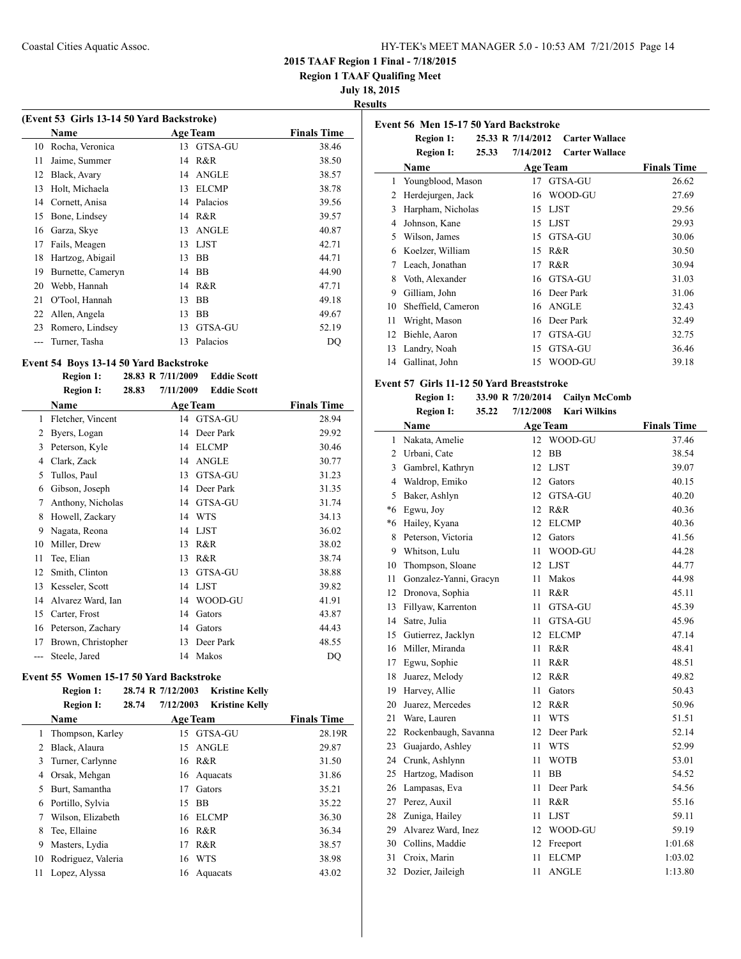**Region 1 TAAF Qualifing Meet**

**July 18, 2015**

### **Results**

| (Event 53 Girls 13-14 50 Yard Backstroke) |                   |    |                 |                    |  |  |
|-------------------------------------------|-------------------|----|-----------------|--------------------|--|--|
|                                           | Name              |    | <b>Age Team</b> | <b>Finals Time</b> |  |  |
| 10                                        | Rocha, Veronica   | 13 | GTSA-GU         | 38.46              |  |  |
| 11                                        | Jaime, Summer     | 14 | R&R             | 38.50              |  |  |
| 12                                        | Black, Avary      | 14 | ANGLE           | 38.57              |  |  |
| 13                                        | Holt, Michaela    | 13 | <b>ELCMP</b>    | 38.78              |  |  |
| 14                                        | Cornett, Anisa    | 14 | Palacios        | 39.56              |  |  |
| 15                                        | Bone, Lindsey     | 14 | R&R             | 39.57              |  |  |
| 16                                        | Garza, Skye       | 13 | <b>ANGLE</b>    | 40.87              |  |  |
| 17                                        | Fails, Meagen     | 13 | <b>LJST</b>     | 42.71              |  |  |
| 18                                        | Hartzog, Abigail  | 13 | <b>BB</b>       | 44.71              |  |  |
| 19                                        | Burnette, Cameryn | 14 | BB              | 44.90              |  |  |
| 20                                        | Webb, Hannah      | 14 | R&R             | 47.71              |  |  |
| 21                                        | O'Tool, Hannah    | 13 | <b>BB</b>       | 49.18              |  |  |
| 22                                        | Allen, Angela     | 13 | BB              | 49.67              |  |  |
| 23                                        | Romero, Lindsey   | 13 | GTSA-GU         | 52.19              |  |  |
|                                           | Turner, Tasha     | 13 | Palacios        | DQ                 |  |  |
|                                           |                   |    |                 |                    |  |  |

### **Event 54 Boys 13-14 50 Yard Backstroke**

|       | <b>Region 1:</b>   | 28.83 R 7/11/2009  | <b>Eddie Scott</b> |                    |
|-------|--------------------|--------------------|--------------------|--------------------|
|       | <b>Region I:</b>   | 28.83<br>7/11/2009 | <b>Eddie Scott</b> |                    |
|       | Name               |                    | <b>Age Team</b>    | <b>Finals Time</b> |
| 1     | Fletcher, Vincent  |                    | 14 GTSA-GU         | 28.94              |
| 2     | Byers, Logan       | 14                 | Deer Park          | 29.92              |
| 3     | Peterson, Kyle     | 14                 | <b>ELCMP</b>       | 30.46              |
| 4     | Clark, Zack        | 14                 | <b>ANGLE</b>       | 30.77              |
| 5     | Tullos, Paul       | 13                 | GTSA-GU            | 31.23              |
| 6     | Gibson, Joseph     | 14                 | Deer Park          | 31.35              |
| 7     | Anthony, Nicholas  | 14                 | GTSA-GU            | 31.74              |
| 8     | Howell, Zackary    | 14                 | <b>WTS</b>         | 34.13              |
| 9     | Nagata, Reona      | 14                 | <b>LJST</b>        | 36.02              |
| 10    | Miller, Drew       | 13                 | R&R                | 38.02              |
| 11    | Tee, Elian         | 13                 | R&R                | 38.74              |
| 12    | Smith, Clinton     | 13                 | GTSA-GU            | 38.88              |
| 13    | Kesseler, Scott    | 14                 | <b>LJST</b>        | 39.82              |
| 14    | Alvarez Ward, Ian  | 14                 | WOOD-GU            | 41.91              |
| 15    | Carter, Frost      | 14                 | Gators             | 43.87              |
| 16    | Peterson, Zachary  | 14                 | Gators             | 44.43              |
| 17    | Brown, Christopher | 13                 | Deer Park          | 48.55              |
| $---$ | Steele, Jared      | 14                 | Makos              | DQ                 |

### **Event 55 Women 15-17 50 Yard Backstroke**

**Region 1: 28.74 R 7/12/2003 Kristine Kelly**

| 28.74<br><b>Region I:</b> | 7/12/2003<br><b>Kristine Kelly</b> |                    |
|---------------------------|------------------------------------|--------------------|
| Name                      | <b>Age Team</b>                    | <b>Finals Time</b> |
| Thompson, Karley<br>1     | GTSA-GU<br>15                      | 28.19R             |
| Black, Alaura             | <b>ANGLE</b><br>15                 | 29.87              |
| Turner, Carlynne          | 16 R&R                             | 31.50              |
| Orsak, Mehgan             | 16 Aquacats                        | 31.86              |
| Burt, Samantha            | Gators<br>17                       | 35.21              |
| Portillo, Sylvia          | <b>BB</b><br>15                    | 35.22              |
| Wilson, Elizabeth         | ELCMP<br>16                        | 36.30              |
| Tee, Ellaine              | R&R<br>16                          | 36.34              |
| Masters, Lydia            | R&R<br>17                          | 38.57              |
| Rodriguez, Valeria        | <b>WTS</b><br>16                   | 38.98              |
| Lopez, Alyssa             | Aquacats<br>16                     | 43.02              |
|                           |                                    |                    |

|    | <b>Region 1:</b>   | 25.33 R 7/14/2012 |           | <b>Carter Wallace</b> |                    |
|----|--------------------|-------------------|-----------|-----------------------|--------------------|
|    | <b>Region I:</b>   | 25.33             | 7/14/2012 | <b>Carter Wallace</b> |                    |
|    | Name               |                   |           | <b>Age Team</b>       | <b>Finals Time</b> |
| 1  | Youngblood, Mason  |                   | 17        | GTSA-GU               | 26.62              |
| 2  | Herdejurgen, Jack  |                   | 16        | WOOD-GU               | 27.69              |
| 3  | Harpham, Nicholas  |                   | 15        | LJST                  | 29.56              |
| 4  | Johnson, Kane      |                   | 15        | LJST                  | 29.93              |
| 5. | Wilson, James      |                   | 15        | GTSA-GU               | 30.06              |
| 6  | Koelzer, William   |                   | 15        | R&R                   | 30.50              |
| 7  | Leach, Jonathan    |                   | 17        | R & R                 | 30.94              |
| 8  | Voth, Alexander    |                   | 16        | GTSA-GU               | 31.03              |
| 9  | Gilliam, John      |                   | 16        | Deer Park             | 31.06              |
| 10 | Sheffield, Cameron |                   |           | 16 ANGLE              | 32.43              |
| 11 | Wright, Mason      |                   | 16        | Deer Park             | 32.49              |
| 12 | Biehle, Aaron      |                   | 17        | GTSA-GU               | 32.75              |
| 13 | Landry, Noah       |                   | 15        | GTSA-GU               | 36.46              |
| 14 | Gallinat, John     |                   | 15        | WOOD-GU               | 39.18              |

#### **Event 57 Girls 11-12 50 Yard Breaststroke**

**Event 56 Men 15-17 50 Yard Backstroke**

| <b>Region 1:</b> |       | 33.90 R 7/20/2014 | <b>Cailyn McComb</b> |
|------------------|-------|-------------------|----------------------|
| <b>Region I:</b> | 35.22 | 7/12/2008         | Kari Wilkins         |

|         | Name                   |    | <b>Age Team</b> | <b>Finals Time</b> |
|---------|------------------------|----|-----------------|--------------------|
| 1       | Nakata, Amelie         |    | 12 WOOD-GU      | 37.46              |
| 2       | Urbani, Cate           | 12 | <b>BB</b>       | 38.54              |
| 3       | Gambrel, Kathryn       | 12 | <b>LJST</b>     | 39.07              |
| 4       | Waldrop, Emiko         | 12 | Gators          | 40.15              |
| 5       | Baker, Ashlyn          | 12 | <b>GTSA-GU</b>  | 40.20              |
| $*6$    | Egwu, Joy              | 12 | R&R             | 40.36              |
| $*_{6}$ | Hailey, Kyana          | 12 | <b>ELCMP</b>    | 40.36              |
| 8       | Peterson, Victoria     | 12 | Gators          | 41.56              |
| 9       | Whitson, Lulu          | 11 | WOOD-GU         | 44.28              |
| 10      | Thompson, Sloane       | 12 | <b>LJST</b>     | 44.77              |
| 11      | Gonzalez-Yanni, Gracyn | 11 | Makos           | 44.98              |
| 12      | Dronova, Sophia        | 11 | R&R             | 45.11              |
| 13      | Fillyaw, Karrenton     | 11 | GTSA-GU         | 45.39              |
| 14      | Satre, Julia           | 11 | GTSA-GU         | 45.96              |
| 15      | Gutierrez, Jacklyn     | 12 | <b>ELCMP</b>    | 47.14              |
| 16      | Miller, Miranda        | 11 | R&R             | 48.41              |
| 17      | Egwu, Sophie           | 11 | R&R             | 48.51              |
| 18      | Juarez, Melody         | 12 | R&R             | 49.82              |
| 19      | Harvey, Allie          | 11 | Gators          | 50.43              |
| 20      | Juarez, Mercedes       | 12 | R&R             | 50.96              |
| 21      | Ware, Lauren           | 11 | <b>WTS</b>      | 51.51              |
| 22      | Rockenbaugh, Savanna   | 12 | Deer Park       | 52.14              |
| 23      | Guajardo, Ashley       | 11 | <b>WTS</b>      | 52.99              |
| 24      | Crunk, Ashlynn         | 11 | <b>WOTB</b>     | 53.01              |
| 25      | Hartzog, Madison       | 11 | <b>BB</b>       | 54.52              |
| 26      | Lampasas, Eva          | 11 | Deer Park       | 54.56              |
| 27      | Perez, Auxil           | 11 | R&R             | 55.16              |
| 28      | Zuniga, Hailey         | 11 | <b>LJST</b>     | 59.11              |
| 29      | Alvarez Ward, Inez     | 12 | WOOD-GU         | 59.19              |
| 30      | Collins, Maddie        | 12 | Freeport        | 1:01.68            |
| 31      | Croix, Marin           | 11 | <b>ELCMP</b>    | 1:03.02            |
| 32      | Dozier, Jaileigh       | 11 | <b>ANGLE</b>    | 1:13.80            |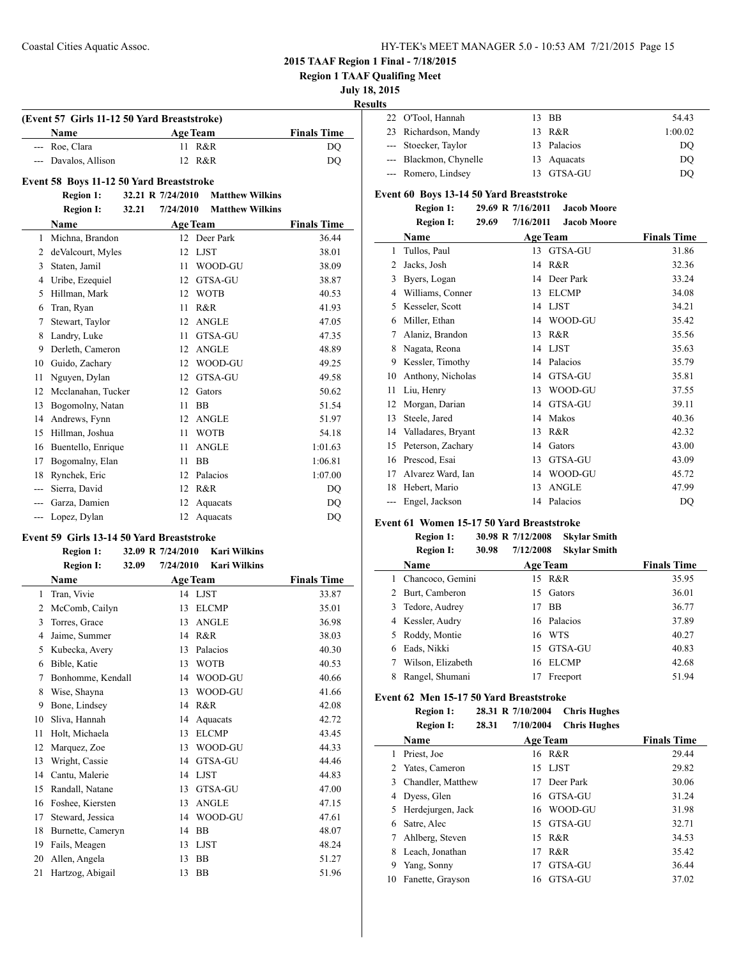**Region 1 TAAF Qualifing Meet**

### **July 18, 2015**

**Results**

 $\overline{\phantom{a}}$ 

| . |                        |             |         |
|---|------------------------|-------------|---------|
|   | 22 O'Tool, Hannah      | 13 BB       | 54.43   |
|   | 23 Richardson, Mandy   | 13 R&R      | 1:00.02 |
|   | --- Stoecker, Taylor   | 13 Palacios | DO      |
|   | --- Blackmon, Chynelle | 13 Aquacats | DO      |
|   | --- Romero, Lindsey    | 13 GTSA-GU  | DO      |

#### **Event 60 Boys 13-14 50 Yard Breaststroke**

### **Region 1: 29.69 R 7/16/2011 Jacob Moore**

|    | <b>Region I:</b>   | 29.69 | 7/16/2011       | <b>Jacob Moore</b> |                    |
|----|--------------------|-------|-----------------|--------------------|--------------------|
|    | Name               |       | <b>Age Team</b> |                    | <b>Finals Time</b> |
| 1  | Tullos, Paul       |       | 13              | GTSA-GU            | 31.86              |
| 2  | Jacks, Josh        |       | 14              | R&R                | 32.36              |
| 3  | Byers, Logan       |       | 14              | Deer Park          | 33.24              |
| 4  | Williams, Conner   |       | 13              | <b>ELCMP</b>       | 34.08              |
| 5  | Kesseler, Scott    |       | 14              | <b>LJST</b>        | 34.21              |
| 6  | Miller, Ethan      |       | 14              | WOOD-GU            | 35.42              |
| 7  | Alaniz, Brandon    |       | 13              | R&R                | 35.56              |
| 8  | Nagata, Reona      |       | 14              | <b>LJST</b>        | 35.63              |
| 9  | Kessler, Timothy   |       | 14              | Palacios           | 35.79              |
| 10 | Anthony, Nicholas  |       | 14              | GTSA-GU            | 35.81              |
| 11 | Liu, Henry         |       | 13              | WOOD-GU            | 37.55              |
| 12 | Morgan, Darian     |       | 14              | GTSA-GU            | 39.11              |
| 13 | Steele, Jared      |       | 14              | Makos              | 40.36              |
| 14 | Valladares, Bryant |       | 13              | R&R                | 42.32              |
| 15 | Peterson, Zachary  |       | 14              | Gators             | 43.00              |
| 16 | Prescod, Esai      |       | 13              | GTSA-GU            | 43.09              |
| 17 | Alvarez Ward, Ian  |       | 14              | WOOD-GU            | 45.72              |
| 18 | Hebert, Mario      |       | 13              | <b>ANGLE</b>       | 47.99              |
|    | Engel, Jackson     |       | 14              | Palacios           | DQ                 |

### **Event 61 Women 15-17 50 Yard Breaststroke**

|    | <b>Region 1:</b>  |       | 30.98 R 7/12/2008 | <b>Skylar Smith</b> |                    |
|----|-------------------|-------|-------------------|---------------------|--------------------|
|    | <b>Region I:</b>  | 30.98 | 7/12/2008         | <b>Skylar Smith</b> |                    |
|    | <b>Name</b>       |       |                   | <b>Age Team</b>     | <b>Finals Time</b> |
|    | Chancoco, Gemini  |       |                   | 15 R&R              | 35.95              |
|    | Burt, Camberon    |       | 15                | Gators              | 36.01              |
|    | Tedore, Audrey    |       | 17                | <b>BB</b>           | 36.77              |
|    | 4 Kessler, Audry  |       |                   | 16 Palacios         | 37.89              |
| 5. | Roddy, Montie     |       | 16                | <b>WTS</b>          | 40.27              |
| 6  | Eads, Nikki       |       |                   | 15 GTSA-GU          | 40.83              |
|    | Wilson, Elizabeth |       | 16                | <b>ELCMP</b>        | 42.68              |
| 8  | Rangel, Shumani   |       | 17                | Freeport            | 51.94              |

### **Event 62 Men 15-17 50 Yard Breaststroke**

**Region 1: 28.31 R 7/10/2004 Chris Hughes Region I: 28.31 7/10/2004 Chris Hughes**

|    | Name                |    | <b>Age Team</b> | <b>Finals Time</b> |
|----|---------------------|----|-----------------|--------------------|
|    | Priest, Joe         |    | 16 R&R          | 29.44              |
|    | 2 Yates, Cameron    |    | 15 LJST         | 29.82              |
|    | 3 Chandler, Matthew |    | 17 Deer Park    | 30.06              |
| 4  | Dyess, Glen         |    | 16 GTSA-GU      | 31.24              |
|    | 5 Herdejurgen, Jack |    | 16 WOOD-GU      | 31.98              |
| 6  | Satre, Alec         |    | 15 GTSA-GU      | 32.71              |
|    | 7 Ahlberg, Steven   |    | 15 R&R          | 34.53              |
| 8  | Leach, Jonathan     | 17 | R&R             | 35.42              |
| 9  | Yang, Sonny         | 17 | GTSA-GU         | 36.44              |
| 10 | Fanette, Grayson    | 16 | GTSA-GU         | 37.02              |
|    |                     |    |                 |                    |

|     | (Event 57 Girls 11-12 50 Yard Breaststroke)     |                   |           |                        |                    |  |  |  |
|-----|-------------------------------------------------|-------------------|-----------|------------------------|--------------------|--|--|--|
|     | <b>Name</b>                                     |                   |           | <b>Age Team</b>        | <b>Finals Time</b> |  |  |  |
| --- | Roe, Clara                                      |                   | 11        | R&R                    | DQ                 |  |  |  |
|     | Davalos, Allison                                |                   | 12        | R&R                    | DQ                 |  |  |  |
|     | <b>Event 58 Boys 11-12 50 Yard Breaststroke</b> |                   |           |                        |                    |  |  |  |
|     | <b>Region 1:</b>                                | 32.21 R 7/24/2010 |           | <b>Matthew Wilkins</b> |                    |  |  |  |
|     | <b>Region I:</b>                                | 32.21             | 7/24/2010 | <b>Matthew Wilkins</b> |                    |  |  |  |
|     | <b>Name</b>                                     |                   |           | <b>Age Team</b>        | <b>Finals Time</b> |  |  |  |
| 1   | Michna, Brandon                                 |                   |           | 12 Deer Park           | 36.44              |  |  |  |
| 2   | deValcourt, Myles                               |                   | 12        | <b>LJST</b>            | 38.01              |  |  |  |
| 3   | Staten, Jamil                                   |                   | 11        | WOOD-GU                | 38.09              |  |  |  |
| 4   | Uribe, Ezequiel                                 |                   | 12        | GTSA-GU                | 38.87              |  |  |  |
| 5   | Hillman, Mark                                   |                   | 12        | <b>WOTB</b>            | 40.53              |  |  |  |
| 6   | Tran, Ryan                                      |                   | 11        | R&R                    | 41.93              |  |  |  |
| 7   | Stewart, Taylor                                 |                   | 12        | <b>ANGLE</b>           | 47.05              |  |  |  |
| 8   | Landry, Luke                                    |                   | 11        | GTSA-GU                | 47.35              |  |  |  |
| 9   | Derleth, Cameron                                |                   | 12        | <b>ANGLE</b>           | 48.89              |  |  |  |

 Guido, Zachary 12 WOOD-GU 49.25 Nguyen, Dylan 12 GTSA-GU 49.58 12 Mcclanahan, Tucker 12 Gators 50.62 13 Bogomolny, Natan 11 BB 51.54 14 Andrews, Fynn 12 ANGLE 51.97 Hillman, Joshua 11 WOTB 54.18 Buentello, Enrique 11 ANGLE 1:01.63 17 Bogomalny, Elan 11 BB 1:06.81 Rynchek, Eric 12 Palacios 1:07.00 --- Sierra, David 12 R&R DQ --- Garza, Damien 12 Aquacats DQ --- Lopez, Dylan 12 Aquacats DQ

#### **Event 59 Girls 13-14 50 Yard Breaststroke**

#### **Region 1: 32.09 R 7/24/2010 Kari Wilkins Region I: 32.09 7/24/2010 Kari Wilkins**

|    | Name              |    | <b>Age Team</b> | <b>Finals Time</b> |
|----|-------------------|----|-----------------|--------------------|
| 1  | Tran, Vivie       |    | 14 LJST         | 33.87              |
| 2  | McComb, Cailyn    | 13 | <b>ELCMP</b>    | 35.01              |
| 3  | Torres, Grace     | 13 | <b>ANGLE</b>    | 36.98              |
| 4  | Jaime, Summer     | 14 | R&R             | 38.03              |
| 5  | Kubecka, Avery    | 13 | Palacios        | 40.30              |
| 6  | Bible, Katie      | 13 | <b>WOTB</b>     | 40.53              |
| 7  | Bonhomme, Kendall | 14 | WOOD-GU         | 40.66              |
| 8  | Wise, Shayna      | 13 | WOOD-GU         | 41.66              |
| 9  | Bone, Lindsey     | 14 | R&R             | 42.08              |
| 10 | Sliva, Hannah     | 14 | Aquacats        | 42.72              |
| 11 | Holt, Michaela    | 13 | <b>ELCMP</b>    | 43.45              |
| 12 | Marquez, Zoe      | 13 | WOOD-GU         | 44.33              |
| 13 | Wright, Cassie    | 14 | GTSA-GU         | 44.46              |
| 14 | Cantu, Malerie    | 14 | <b>LJST</b>     | 44.83              |
| 15 | Randall, Natane   | 13 | GTSA-GU         | 47.00              |
| 16 | Foshee, Kiersten  | 13 | <b>ANGLE</b>    | 47.15              |
| 17 | Steward, Jessica  | 14 | WOOD-GU         | 47.61              |
| 18 | Burnette, Cameryn | 14 | <b>BB</b>       | 48.07              |
| 19 | Fails, Meagen     | 13 | <b>LJST</b>     | 48.24              |
| 20 | Allen, Angela     | 13 | BB              | 51.27              |
| 21 | Hartzog, Abigail  | 13 | <b>BB</b>       | 51.96              |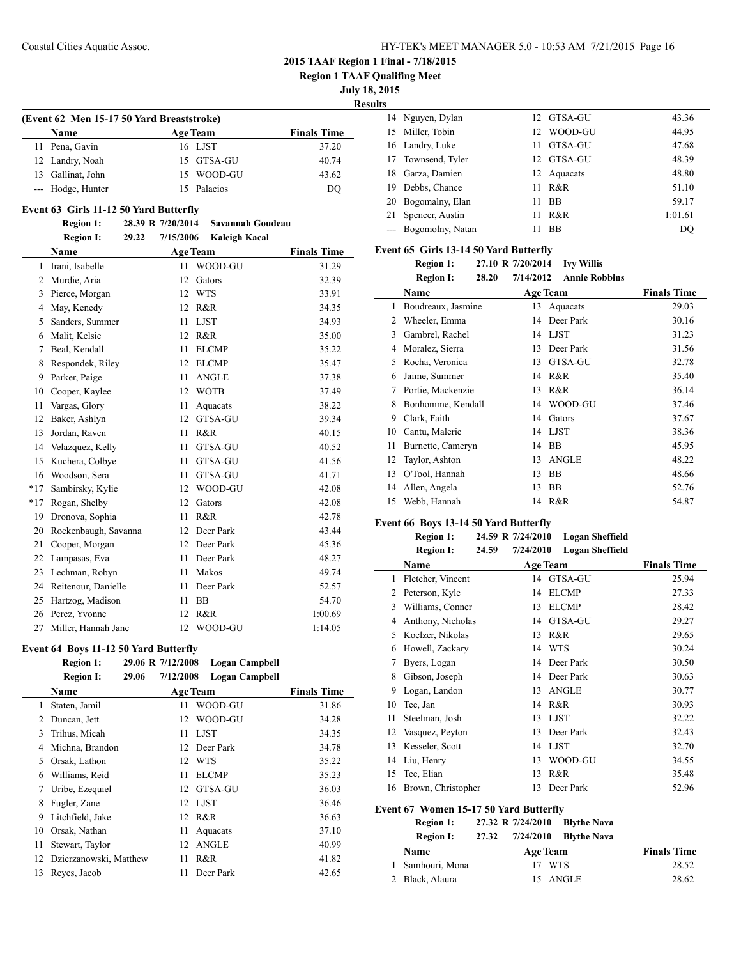**Region 1 TAAF Qualifing Meet**

 $\overline{\phantom{0}}$ 

 $\overline{\phantom{0}}$ 

**July 18, 2015**

**Results**

| (Event 62 Men 15-17 50 Yard Breaststroke) |                   |  |                 |                    |  |  |
|-------------------------------------------|-------------------|--|-----------------|--------------------|--|--|
|                                           | <b>Name</b>       |  | <b>Age Team</b> | <b>Finals Time</b> |  |  |
|                                           | 11 Pena, Gavin    |  | 16 LJST         | 37.20              |  |  |
|                                           | 12 Landry, Noah   |  | 15 GTSA-GU      | 40.74              |  |  |
|                                           | 13 Gallinat, John |  | 15 WOOD-GU      | 43.62              |  |  |
|                                           | --- Hodge, Hunter |  | 15 Palacios     | DO                 |  |  |

### **Event 63 Girls 11-12 50 Yard Butterfly**

### **Region 1: 28.39 R 7/20/2014 Savannah Goudeau Region I: 29.22 7/15/2006 Kaleigh Kacal**

|       | кедин 1.<br><i>LJ</i> .LL |    | 7713/2000 — IXAICIGH IXAVAI |                    |
|-------|---------------------------|----|-----------------------------|--------------------|
|       | <b>Name</b>               |    | <b>Age Team</b>             | <b>Finals Time</b> |
| 1     | Irani, Isabelle           | 11 | WOOD-GU                     | 31.29              |
| 2     | Murdie, Aria              | 12 | Gators                      | 32.39              |
| 3     | Pierce, Morgan            | 12 | <b>WTS</b>                  | 33.91              |
| 4     | May, Kenedy               | 12 | R&R                         | 34.35              |
| 5     | Sanders, Summer           | 11 | <b>LJST</b>                 | 34.93              |
| 6     | Malit, Kelsie             | 12 | R&R                         | 35.00              |
| 7     | Beal, Kendall             | 11 | <b>ELCMP</b>                | 35.22              |
| 8     | Respondek, Riley          | 12 | <b>ELCMP</b>                | 35.47              |
| 9     | Parker, Paige             | 11 | <b>ANGLE</b>                | 37.38              |
| 10    | Cooper, Kaylee            | 12 | <b>WOTB</b>                 | 37.49              |
| 11    | Vargas, Glory             | 11 | Aquacats                    | 38.22              |
| 12    | Baker, Ashlyn             | 12 | <b>GTSA-GU</b>              | 39.34              |
| 13    | Jordan, Raven             | 11 | R&R                         | 40.15              |
| 14    | Velazquez, Kelly          | 11 | <b>GTSA-GU</b>              | 40.52              |
| 15    | Kuchera, Colbye           | 11 | <b>GTSA-GU</b>              | 41.56              |
| 16    | Woodson, Sera             | 11 | GTSA-GU                     | 41.71              |
| $*17$ | Sambirsky, Kylie          | 12 | WOOD-GU                     | 42.08              |
| $*17$ | Rogan, Shelby             | 12 | Gators                      | 42.08              |
| 19    | Dronova, Sophia           | 11 | R&R                         | 42.78              |
| 20    | Rockenbaugh, Savanna      | 12 | Deer Park                   | 43.44              |
| 21    | Cooper, Morgan            | 12 | Deer Park                   | 45.36              |
| 22    | Lampasas, Eva             | 11 | Deer Park                   | 48.27              |
| 23    | Lechman, Robyn            | 11 | Makos                       | 49.74              |
| 24    | Reitenour, Danielle       | 11 | Deer Park                   | 52.57              |
| 25    | Hartzog, Madison          | 11 | <b>BB</b>                   | 54.70              |
| 26    | Perez, Yvonne             | 12 | R&R                         | 1:00.69            |
| 27    | Miller, Hannah Jane       | 12 | WOOD-GU                     | 1:14.05            |

### **Event 64 Boys 11-12 50 Yard Butterfly**

|                | $E$ , ent o : boys 11 12 co 181 a batterny |       |                   |                       |                    |
|----------------|--------------------------------------------|-------|-------------------|-----------------------|--------------------|
|                | <b>Region 1:</b>                           |       | 29.06 R 7/12/2008 | Logan Campbell        |                    |
|                | <b>Region I:</b>                           | 29.06 | 7/12/2008         | <b>Logan Campbell</b> |                    |
|                | Name                                       |       |                   | <b>Age Team</b>       | <b>Finals Time</b> |
| 1              | Staten, Jamil                              |       | 11                | WOOD-GU               | 31.86              |
| $\overline{c}$ | Duncan, Jett                               |       | 12                | WOOD-GU               | 34.28              |
| 3              | Trihus, Micah                              |       | 11                | <b>LJST</b>           | 34.35              |
| 4              | Michna, Brandon                            |       | 12                | Deer Park             | 34.78              |
| 5              | Orsak, Lathon                              |       | 12                | <b>WTS</b>            | 35.22              |
| 6              | Williams, Reid                             |       | 11                | <b>ELCMP</b>          | 35.23              |
| 7              | Uribe, Ezequiel                            |       | 12                | GTSA-GU               | 36.03              |
| 8              | Fugler, Zane                               |       | 12                | LJST                  | 36.46              |
| 9              | Litchfield, Jake                           |       | 12                | R&R                   | 36.63              |
| 10             | Orsak, Nathan                              |       | 11                | Aquacats              | 37.10              |
| 11             | Stewart, Taylor                            |       | 12                | <b>ANGLE</b>          | 40.99              |
| 12             | Dzierzanowski, Matthew                     |       | 11                | R&R                   | 41.82              |
| 13             | Reves, Jacob                               |       | 11                | Deer Park             | 42.65              |
|                |                                            |       |                   |                       |                    |

|    | 14 Nguyen, Dylan     |     | 12 GTSA-GU  | 43.36   |
|----|----------------------|-----|-------------|---------|
| 15 | Miller, Tobin        | 12  | WOOD-GU     | 44.95   |
|    | 16 Landry, Luke      | 11. | GTSA-GU     | 47.68   |
|    | 17 Townsend, Tyler   |     | 12 GTSA-GU  | 48.39   |
| 18 | Garza, Damien        |     | 12 Aquacats | 48.80   |
| 19 | Debbs, Chance        | 11  | R&R         | 51.10   |
|    | 20 Bogomalny, Elan   | 11  | <b>BB</b>   | 59.17   |
| 21 | Spencer, Austin      | 11  | R&R         | 1:01.61 |
|    | --- Bogomolny, Natan | 11  | <b>BB</b>   | DO      |
|    |                      |     |             |         |

### **Event 65 Girls 13-14 50 Yard Butterfly**

|    | <b>Region I:</b><br>28.20 | 7/14/2012<br><b>Annie Robbins</b> |                    |
|----|---------------------------|-----------------------------------|--------------------|
|    | Name                      | <b>Age Team</b>                   | <b>Finals Time</b> |
| 1  | Boudreaux, Jasmine        | 13<br>Aquacats                    | 29.03              |
| 2  | Wheeler, Emma             | Deer Park<br>14                   | 30.16              |
| 3  | Gambrel, Rachel           | 14 LJST                           | 31.23              |
| 4  | Moralez, Sierra           | Deer Park<br>13                   | 31.56              |
| 5  | Rocha, Veronica           | GTSA-GU<br>13                     | 32.78              |
| 6  | Jaime, Summer             | R&R<br>14                         | 35.40              |
| 7  | Portie, Mackenzie         | R&R<br>13                         | 36.14              |
| 8  | Bonhomme, Kendall         | WOOD-GU<br>14                     | 37.46              |
| 9  | Clark, Faith              | 14<br>Gators                      | 37.67              |
| 10 | Cantu, Malerie            | 14 LJST                           | 38.36              |
| 11 | Burnette, Cameryn         | <b>BB</b><br>14                   | 45.95              |
| 12 | Taylor, Ashton            | ANGLE<br>13                       | 48.22              |
| 13 | O'Tool, Hannah            | 13<br>BB                          | 48.66              |
| 14 | Allen, Angela             | BB<br>13                          | 52.76              |
| 15 | Webb, Hannah              | 14 R&R                            | 54.87              |

### **Event 66 Boys 13-14 50 Yard Butterfly**

|                                        | <b>Region 1:</b>   | 24.59 R 7/24/2010 |           | <b>Logan Sheffield</b> |                    |
|----------------------------------------|--------------------|-------------------|-----------|------------------------|--------------------|
|                                        | <b>Region I:</b>   | 24.59             | 7/24/2010 | <b>Logan Sheffield</b> |                    |
|                                        | Name               |                   |           | <b>Age Team</b>        | <b>Finals Time</b> |
| 1                                      | Fletcher, Vincent  |                   |           | 14 GTSA-GU             | 25.94              |
| 2                                      | Peterson, Kyle     |                   | 14        | <b>ELCMP</b>           | 27.33              |
| 3                                      | Williams, Conner   |                   | 13        | <b>ELCMP</b>           | 28.42              |
| 4                                      | Anthony, Nicholas  |                   | 14        | GTSA-GU                | 29.27              |
| 5                                      | Koelzer, Nikolas   |                   | 13        | R&R                    | 29.65              |
| 6                                      | Howell, Zackary    |                   | 14        | <b>WTS</b>             | 30.24              |
| 7                                      | Byers, Logan       |                   | 14        | Deer Park              | 30.50              |
| 8                                      | Gibson, Joseph     |                   | 14        | Deer Park              | 30.63              |
| 9                                      | Logan, Landon      |                   | 13        | <b>ANGLE</b>           | 30.77              |
| 10                                     | Tee, Jan           |                   | 14        | R&R                    | 30.93              |
| 11                                     | Steelman, Josh     |                   | 13        | <b>LJST</b>            | 32.22              |
| 12                                     | Vasquez, Peyton    |                   | 13        | Deer Park              | 32.43              |
| 13                                     | Kesseler, Scott    |                   | 14        | <b>LJST</b>            | 32.70              |
| 14                                     | Liu, Henry         |                   | 13        | WOOD-GU                | 34.55              |
| 15                                     | Tee, Elian         |                   | 13        | R&R                    | 35.48              |
| 16                                     | Brown, Christopher |                   | 13        | Deer Park              | 52.96              |
| Event 67 Women 15-17 50 Yard Butterfly |                    |                   |           |                        |                    |

### **Region 1: 27.32 R 7/24/2010 Blythe Nava**

| <b>Region I:</b> | 27.32 |                 | $7/24/2010$ Blythe Nava |                    |
|------------------|-------|-----------------|-------------------------|--------------------|
| <b>Name</b>      |       | <b>Age Team</b> |                         | <b>Finals Time</b> |
| Samhouri, Mona   |       | 17 WTS          |                         | 28.52              |
| 2 Black, Alaura  |       |                 | 15 ANGLE                | 28.62              |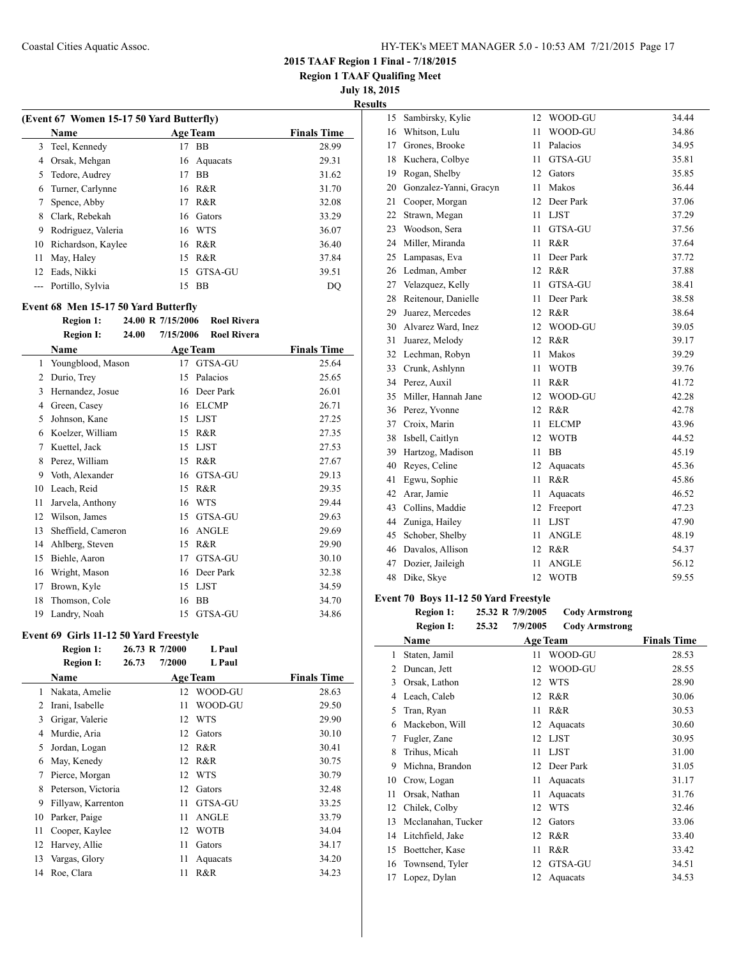**Region 1 TAAF Qualifing Meet**

**July 18, 2015**

**Results**

|    | (Event 67 Women 15-17 50 Yard Butterfly) |     |                 |                    |
|----|------------------------------------------|-----|-----------------|--------------------|
|    | <b>Name</b>                              |     | <b>Age Team</b> | <b>Finals Time</b> |
| 3  | Teel, Kennedy                            | 17  | BB              | 28.99              |
| 4  | Orsak, Mehgan                            |     | 16 Aquacats     | 29.31              |
| 5  | Tedore, Audrey                           | 17  | <b>BB</b>       | 31.62              |
| 6  | Turner, Carlynne                         |     | 16 R&R          | 31.70              |
| 7  | Spence, Abby                             | 17  | R&R             | 32.08              |
| 8  | Clark, Rebekah                           | 16. | Gators          | 33.29              |
| 9  | Rodriguez, Valeria                       |     | 16 WTS          | 36.07              |
| 10 | Richardson, Kaylee                       |     | 16 R&R          | 36.40              |
| 11 | May, Haley                               | 15  | R&R             | 37.84              |
| 12 | Eads, Nikki                              | 15  | GTSA-GU         | 39.51              |
|    | Portillo, Sylvia                         | 15  | BB              | DO                 |
|    |                                          |     |                 |                    |

### **Event 68 Men 15-17 50 Yard Butterfly**

|    | <b>Region 1:</b>   | 24.00 R 7/15/2006  |    | <b>Roel Rivera</b> |                    |
|----|--------------------|--------------------|----|--------------------|--------------------|
|    | <b>Region I:</b>   | 7/15/2006<br>24.00 |    | <b>Roel Rivera</b> |                    |
|    | Name               |                    |    | <b>Age Team</b>    | <b>Finals Time</b> |
| 1  | Youngblood, Mason  |                    | 17 | GTSA-GU            | 25.64              |
| 2  | Durio, Trey        |                    | 15 | Palacios           | 25.65              |
| 3  | Hernandez, Josue   |                    | 16 | Deer Park          | 26.01              |
| 4  | Green, Casey       |                    | 16 | <b>ELCMP</b>       | 26.71              |
| 5  | Johnson, Kane      |                    | 15 | <b>LJST</b>        | 27.25              |
| 6  | Koelzer, William   |                    | 15 | R&R                | 27.35              |
| 7  | Kuettel, Jack      |                    | 15 | <b>LJST</b>        | 27.53              |
| 8  | Perez, William     |                    | 15 | R&R                | 27.67              |
| 9  | Voth, Alexander    |                    | 16 | GTSA-GU            | 29.13              |
| 10 | Leach, Reid        |                    | 15 | R&R                | 29.35              |
| 11 | Jarvela, Anthony   |                    | 16 | <b>WTS</b>         | 29.44              |
| 12 | Wilson, James      |                    | 15 | GTSA-GU            | 29.63              |
| 13 | Sheffield, Cameron |                    | 16 | <b>ANGLE</b>       | 29.69              |
| 14 | Ahlberg, Steven    |                    | 15 | R&R                | 29.90              |
| 15 | Biehle, Aaron      |                    | 17 | GTSA-GU            | 30.10              |
| 16 | Wright, Mason      |                    | 16 | Deer Park          | 32.38              |
| 17 | Brown, Kyle        |                    | 15 | <b>LJST</b>        | 34.59              |
| 18 | Thomson, Cole      |                    | 16 | <b>BB</b>          | 34.70              |
| 19 | Landry, Noah       |                    | 15 | GTSA-GU            | 34.86              |

### **Event 69 Girls 11-12 50 Yard Freestyle**

|    | <b>Region 1:</b>   |       | 26.73 R 7/2000 | L Paul          |                    |
|----|--------------------|-------|----------------|-----------------|--------------------|
|    | <b>Region I:</b>   | 26.73 | 7/2000         | L Paul          |                    |
|    | <b>Name</b>        |       |                | <b>Age Team</b> | <b>Finals Time</b> |
| 1  | Nakata, Amelie     |       | 12             | WOOD-GU         | 28.63              |
| 2  | Irani, Isabelle    |       | 11             | WOOD-GU         | 29.50              |
| 3  | Grigar, Valerie    |       | 12             | <b>WTS</b>      | 29.90              |
| 4  | Murdie, Aria       |       | 12             | Gators          | 30.10              |
| 5  | Jordan, Logan      |       | 12             | R&R             | 30.41              |
| 6  | May, Kenedy        |       | 12             | R&R             | 30.75              |
| 7  | Pierce, Morgan     |       | 12             | <b>WTS</b>      | 30.79              |
| 8  | Peterson, Victoria |       | 12             | Gators          | 32.48              |
| 9  | Fillyaw, Karrenton |       | 11             | GTSA-GU         | 33.25              |
| 10 | Parker, Paige      |       | 11             | <b>ANGLE</b>    | 33.79              |
| 11 | Cooper, Kaylee     |       | 12             | <b>WOTB</b>     | 34.04              |
| 12 | Harvey, Allie      |       | 11             | Gators          | 34.17              |
| 13 | Vargas, Glory      |       | 11             | Aquacats        | 34.20              |
| 14 | Roe, Clara         |       | 11             | R&R             | 34.23              |
|    |                    |       |                |                 |                    |

| 15 | Sambirsky, Kylie       | 12 | WOOD-GU      | 34.44 |
|----|------------------------|----|--------------|-------|
| 16 | Whitson, Lulu          | 11 | WOOD-GU      | 34.86 |
| 17 | Grones, Brooke         | 11 | Palacios     | 34.95 |
| 18 | Kuchera, Colbye        | 11 | GTSA-GU      | 35.81 |
| 19 | Rogan, Shelby          | 12 | Gators       | 35.85 |
| 20 | Gonzalez-Yanni, Gracyn | 11 | Makos        | 36.44 |
| 21 | Cooper, Morgan         | 12 | Deer Park    | 37.06 |
| 22 | Strawn, Megan          | 11 | <b>LJST</b>  | 37.29 |
| 23 | Woodson, Sera          | 11 | GTSA-GU      | 37.56 |
| 24 | Miller, Miranda        | 11 | R&R          | 37.64 |
| 25 | Lampasas, Eva          | 11 | Deer Park    | 37.72 |
| 26 | Ledman, Amber          | 12 | R&R          | 37.88 |
| 27 | Velazquez, Kelly       | 11 | GTSA-GU      | 38.41 |
| 28 | Reitenour, Danielle    | 11 | Deer Park    | 38.58 |
| 29 | Juarez, Mercedes       | 12 | R&R          | 38.64 |
| 30 | Alvarez Ward, Inez     | 12 | WOOD-GU      | 39.05 |
| 31 | Juarez, Melody         | 12 | R&R          | 39.17 |
| 32 | Lechman, Robyn         | 11 | Makos        | 39.29 |
| 33 | Crunk, Ashlynn         | 11 | <b>WOTB</b>  | 39.76 |
| 34 | Perez, Auxil           | 11 | R&R          | 41.72 |
| 35 | Miller, Hannah Jane    | 12 | WOOD-GU      | 42.28 |
| 36 | Perez, Yvonne          | 12 | R&R          | 42.78 |
|    | 37 Croix, Marin        | 11 | <b>ELCMP</b> | 43.96 |
| 38 | Isbell, Caitlyn        | 12 | <b>WOTB</b>  | 44.52 |
| 39 | Hartzog, Madison       | 11 | <b>BB</b>    | 45.19 |
| 40 | Reyes, Celine          | 12 | Aquacats     | 45.36 |
| 41 | Egwu, Sophie           | 11 | R&R          | 45.86 |
| 42 | Arar, Jamie            | 11 | Aquacats     | 46.52 |
| 43 | Collins, Maddie        | 12 | Freeport     | 47.23 |
| 44 | Zuniga, Hailey         | 11 | <b>LJST</b>  | 47.90 |
| 45 | Schober, Shelby        | 11 | <b>ANGLE</b> | 48.19 |
| 46 | Davalos, Allison       | 12 | R&R          | 54.37 |
| 47 | Dozier, Jaileigh       | 11 | <b>ANGLE</b> | 56.12 |
| 48 | Dike, Skye             | 12 | <b>WOTB</b>  | 59.55 |

### **Event 70 Boys 11-12 50 Yard Freestyle**

 $\frac{1}{2}$ 

| <b>Region 1:</b> | 25.32 R 7/9/2005 |          | Cody Armstrong |
|------------------|------------------|----------|----------------|
| Region I.        | 25 32            | 7/9/2005 | Cody Armstrong |

|    | Region 1.<br>29.JZ | 11212003<br>COUY AT ILISLI ON 2 |                    |
|----|--------------------|---------------------------------|--------------------|
|    | Name               | <b>Age Team</b>                 | <b>Finals Time</b> |
| 1  | Staten, Jamil      | WOOD-GU<br>11                   | 28.53              |
| 2  | Duncan, Jett       | WOOD-GU<br>12                   | 28.55              |
| 3  | Orsak, Lathon      | <b>WTS</b><br>12                | 28.90              |
| 4  | Leach, Caleb       | R&R<br>12                       | 30.06              |
| 5  | Tran, Ryan         | R&R<br>11                       | 30.53              |
| 6  | Mackebon, Will     | 12<br>Aquacats                  | 30.60              |
| 7  | Fugler, Zane       | <b>LJST</b><br>12               | 30.95              |
| 8  | Trihus, Micah      | <b>LJST</b><br>11               | 31.00              |
| 9  | Michna, Brandon    | Deer Park<br>12                 | 31.05              |
| 10 | Crow, Logan        | 11<br>Aquacats                  | 31.17              |
| 11 | Orsak, Nathan      | 11<br>Aquacats                  | 31.76              |
| 12 | Chilek, Colby      | WTS<br>12                       | 32.46              |
| 13 | Mcclanahan, Tucker | 12<br>Gators                    | 33.06              |
| 14 | Litchfield, Jake   | 12<br>R&R                       | 33.40              |
| 15 | Boettcher, Kase    | R&R<br>11                       | 33.42              |
| 16 | Townsend, Tyler    | 12<br>GTSA-GU                   | 34.51              |
| 17 | Lopez, Dylan       | 12<br>Aquacats                  | 34.53              |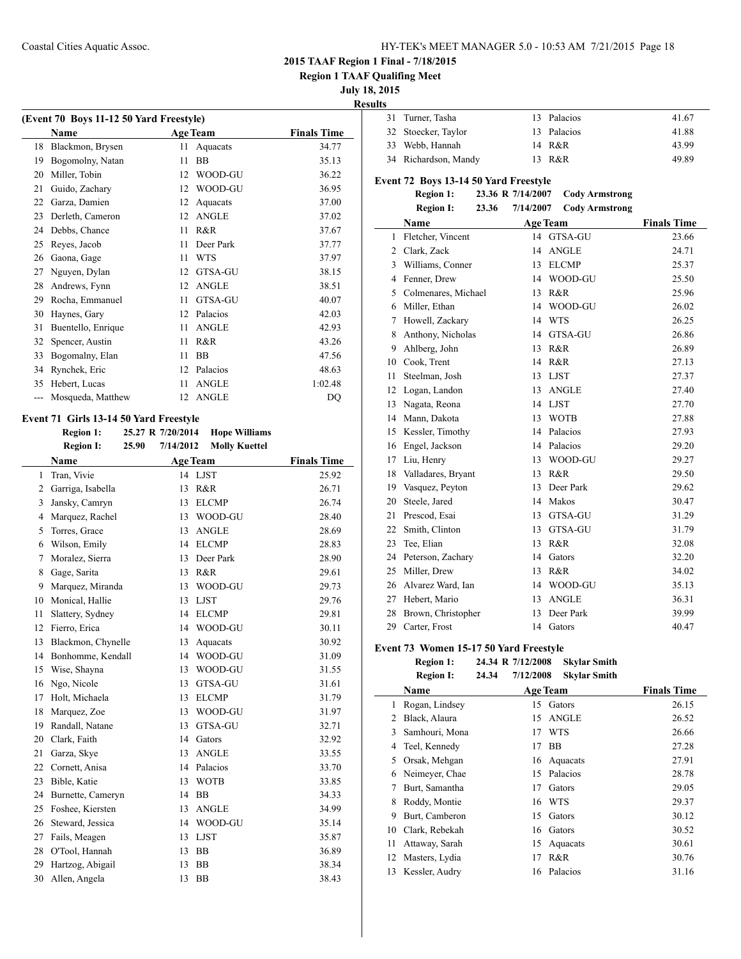**Region 1 TAAF Qualifing Meet**

**July 18, 2015**

**Results**

|    | (Event 70 Boys 11-12 50 Yard Freestyle) |    |                 |                    |
|----|-----------------------------------------|----|-----------------|--------------------|
|    | Name                                    |    | <b>Age Team</b> | <b>Finals Time</b> |
| 18 | Blackmon, Brysen                        | 11 | Aquacats        | 34.77              |
| 19 | Bogomolny, Natan                        | 11 | <b>BB</b>       | 35.13              |
| 20 | Miller, Tobin                           | 12 | WOOD-GU         | 36.22              |
| 21 | Guido, Zachary                          | 12 | WOOD-GU         | 36.95              |
| 22 | Garza, Damien                           | 12 | Aquacats        | 37.00              |
| 23 | Derleth, Cameron                        | 12 | <b>ANGLE</b>    | 37.02              |
| 24 | Debbs, Chance                           | 11 | R&R             | 37.67              |
| 25 | Reyes, Jacob                            | 11 | Deer Park       | 37.77              |
| 26 | Gaona, Gage                             | 11 | <b>WTS</b>      | 37.97              |
| 27 | Nguyen, Dylan                           | 12 | <b>GTSA-GU</b>  | 38.15              |
| 28 | Andrews, Fynn                           | 12 | <b>ANGLE</b>    | 38.51              |
| 29 | Rocha, Emmanuel                         | 11 | <b>GTSA-GU</b>  | 40.07              |
| 30 | Haynes, Gary                            | 12 | Palacios        | 42.03              |
| 31 | Buentello, Enrique                      | 11 | <b>ANGLE</b>    | 42.93              |
| 32 | Spencer, Austin                         | 11 | R&R             | 43.26              |
| 33 | Bogomalny, Elan                         | 11 | <b>BB</b>       | 47.56              |
| 34 | Rynchek, Eric                           | 12 | Palacios        | 48.63              |
| 35 | Hebert, Lucas                           | 11 | <b>ANGLE</b>    | 1:02.48            |
|    | Mosqueda, Matthew                       | 12 | <b>ANGLE</b>    | DQ                 |
|    |                                         |    |                 |                    |

### **Event 71 Girls 13-14 50 Yard Freestyle**

**Region 1: 25.27 R 7/20/2014 Hope Williams Region I: 25.90 7/14/2012 Molly Kuettel Name Age Team Finals Time** 1 Tran, Vivie 14 LJST 25.92 Garriga, Isabella 13 R&R 26.71 Jansky, Camryn 13 ELCMP 26.74 Marquez, Rachel 13 WOOD-GU 28.40 5 Torres, Grace 13 ANGLE 28.69 Wilson, Emily 14 ELCMP 28.83 Moralez, Sierra 13 Deer Park 28.90 8 Gage, Sarita 13 R&R 29.61 Marquez, Miranda 13 WOOD-GU 29.73 Monical, Hallie 13 LJST 29.76 11 Slattery, Sydney 14 ELCMP 29.81 Fierro, Erica 14 WOOD-GU 30.11 Blackmon, Chynelle 13 Aquacats 30.92 Bonhomme, Kendall 14 WOOD-GU 31.09 Wise, Shayna 13 WOOD-GU 31.55 Ngo, Nicole 13 GTSA-GU 31.61 Holt, Michaela 13 ELCMP 31.79 Marquez, Zoe 13 WOOD-GU 31.97 Randall, Natane 13 GTSA-GU 32.71 Clark, Faith 14 Gators 32.92 Garza, Skye 13 ANGLE 33.55 Cornett, Anisa 14 Palacios 33.70 Bible, Katie 13 WOTB 33.85 Burnette, Cameryn 14 BB 34.33 Foshee, Kiersten 13 ANGLE 34.99 Steward, Jessica 14 WOOD-GU 35.14 27 Fails, Meagen 13 LJST 35.87 O'Tool, Hannah 13 BB 36.89 Hartzog, Abigail 13 BB 38.34 Allen, Angela 13 BB 38.43

| . . |                      |             |       |
|-----|----------------------|-------------|-------|
|     | 31 Turner, Tasha     | 13 Palacios | 41.67 |
|     | 32 Stoecker, Taylor  | 13 Palacios | 41.88 |
|     | 33 Webb, Hannah      | 14 R&R      | 43.99 |
|     | 34 Richardson, Mandy | 13 R&R      | 49.89 |

### **Event 72 Boys 13-14 50 Yard Freestyle**

**Region 1: 23.36 R 7/14/2007 Cody Armstrong Region I: 23.36 7/14/2007 Cody Armstrong**

|                | negion 1.           | 111112001 | Couy in mou ong |                    |
|----------------|---------------------|-----------|-----------------|--------------------|
|                | Name                |           | <b>Age Team</b> | <b>Finals Time</b> |
| 1              | Fletcher, Vincent   |           | 14 GTSA-GU      | 23.66              |
| $\overline{2}$ | Clark, Zack         | 14        | <b>ANGLE</b>    | 24.71              |
| 3              | Williams, Conner    | 13        | <b>ELCMP</b>    | 25.37              |
| $\overline{4}$ | Fenner, Drew        | 14        | WOOD-GU         | 25.50              |
| 5              | Colmenares, Michael | 13        | R&R             | 25.96              |
| 6              | Miller, Ethan       | 14        | WOOD-GU         | 26.02              |
| 7              | Howell, Zackary     | 14        | <b>WTS</b>      | 26.25              |
| 8              | Anthony, Nicholas   | 14        | GTSA-GU         | 26.86              |
| 9              | Ahlberg, John       | 13        | R&R             | 26.89              |
| 10             | Cook, Trent         | 14        | R&R             | 27.13              |
| 11             | Steelman, Josh      | 13        | <b>LJST</b>     | 27.37              |
| 12             | Logan, Landon       | 13        | <b>ANGLE</b>    | 27.40              |
| 13             | Nagata, Reona       | 14        | <b>LJST</b>     | 27.70              |
| 14             | Mann, Dakota        | 13        | <b>WOTB</b>     | 27.88              |
| 15             | Kessler, Timothy    | 14        | Palacios        | 27.93              |
| 16             | Engel, Jackson      | 14        | Palacios        | 29.20              |
| 17             | Liu, Henry          | 13        | WOOD-GU         | 29.27              |
| 18             | Valladares, Bryant  | 13        | R&R             | 29.50              |
| 19             | Vasquez, Peyton     | 13        | Deer Park       | 29.62              |
| 20             | Steele, Jared       | 14        | Makos           | 30.47              |
| 21             | Prescod, Esai       | 13        | GTSA-GU         | 31.29              |
| 22             | Smith, Clinton      | 13        | GTSA-GU         | 31.79              |
| 23             | Tee, Elian          | 13        | R&R             | 32.08              |
| 24             | Peterson, Zachary   | 14        | Gators          | 32.20              |
| 25             | Miller, Drew        | 13        | R&R             | 34.02              |
| 26             | Alvarez Ward, Ian   | 14        | WOOD-GU         | 35.13              |
| 27             | Hebert, Mario       | 13        | <b>ANGLE</b>    | 36.31              |
| 28             | Brown, Christopher  | 13        | Deer Park       | 39.99              |
| 29             | Carter, Frost       | 14        | Gators          | 40.47              |

### **Event 73 Women 15-17 50 Yard Freestyle**

| <b>Region 1:</b> |       | 24.34 R 7/12/2008 | <b>Skylar Smith</b> |
|------------------|-------|-------------------|---------------------|
| <b>Region I:</b> | 24.34 | 7/12/2008         | <b>Skylar Smith</b> |

|    |                |    | $11.247 - 0.000$ . $0.001$ $0.0001$ $0.0001$ |                    |
|----|----------------|----|----------------------------------------------|--------------------|
|    | Name           |    | <b>Age Team</b>                              | <b>Finals Time</b> |
| 1  | Rogan, Lindsey | 15 | Gators                                       | 26.15              |
| 2  | Black, Alaura  | 15 | <b>ANGLE</b>                                 | 26.52              |
| 3  | Samhouri, Mona | 17 | <b>WTS</b>                                   | 26.66              |
| 4  | Teel, Kennedy  | 17 | BB                                           | 27.28              |
| 5  | Orsak, Mehgan  |    | 16 Aquacats                                  | 27.91              |
| 6  | Neimeyer, Chae | 15 | Palacios                                     | 28.78              |
| 7  | Burt, Samantha | 17 | Gators                                       | 29.05              |
| 8  | Roddy, Montie  | 16 | <b>WTS</b>                                   | 29.37              |
| 9  | Burt, Camberon | 15 | Gators                                       | 30.12              |
| 10 | Clark, Rebekah | 16 | Gators                                       | 30.52              |
| 11 | Attaway, Sarah | 15 | Aquacats                                     | 30.61              |
| 12 | Masters, Lydia | 17 | R&R                                          | 30.76              |
| 13 | Kessler, Audry |    | 16 Palacios                                  | 31.16              |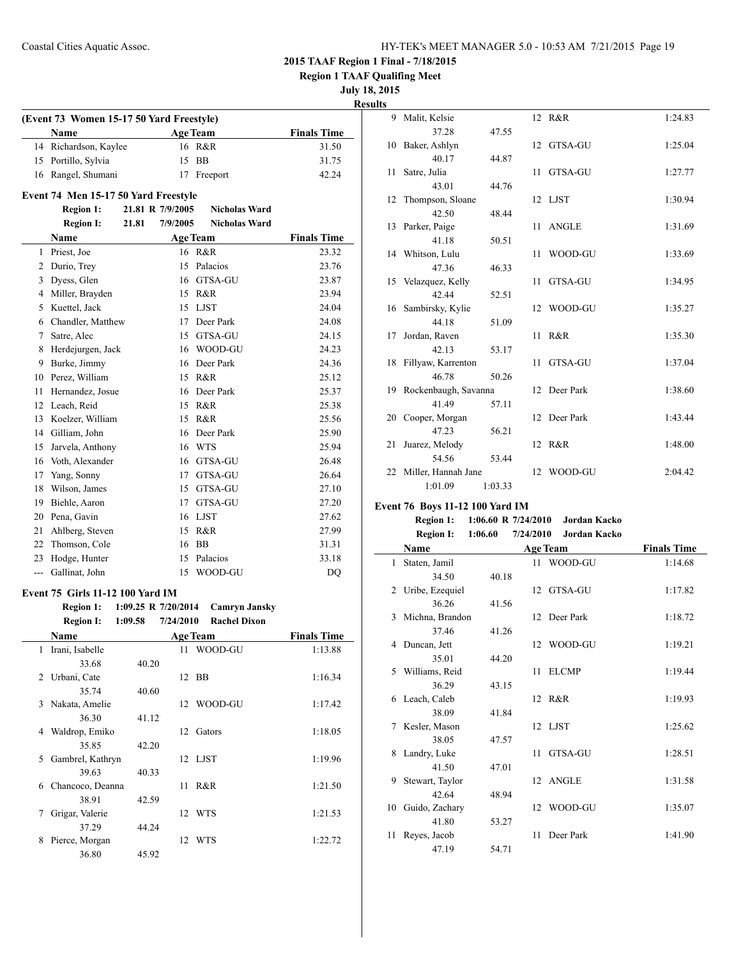**Region 1 TAAF Qualifing Meet**

**July 18, 2015**

**Results**

| <b>Name</b>           | <b>Age Team</b> | <b>Finals Time</b> |
|-----------------------|-----------------|--------------------|
| 14 Richardson, Kaylee | 16 R&R          | 31.50              |
| 15 Portillo, Sylvia   | 15 BB           | 31.75              |
| 16 Rangel, Shumani    | 17 Freeport     | 42.24              |

### **Region 1: 21.81 R 7/9/2005 Nicholas Ward Region I: 21.81 7/9/2005 Nicholas Ward Name Age Team Finals Time** 1 Priest, Joe 16 R&R 23.32 2 Durio, Trey 15 Palacios 23.76 3 Dyess, Glen 16 GTSA-GU 23.87 4 Miller, Brayden 15 R&R 23.94 5 Kuettel, Jack 15 LJST 24.04 6 Chandler, Matthew 17 Deer Park 24.08 7 Satre, Alec 15 GTSA-GU 24.15 8 Herdejurgen, Jack 16 WOOD-GU 24.23 9 Burke, Jimmy 16 Deer Park 24.36 10 Perez, William 15 R&R 25.12 11 Hernandez, Josue 16 Deer Park 25.37 12 Leach, Reid 15 R&R 25.38 13 Koelzer, William 15 R&R 25.56 14 Gilliam, John 16 Deer Park 25.90 15 Jarvela, Anthony 16 WTS 25.94 16 Voth, Alexander 16 GTSA-GU 26.48 17 Yang, Sonny 17 GTSA-GU 26.64 18 Wilson, James 15 GTSA-GU 27.10 19 Biehle, Aaron 17 GTSA-GU 27.20 20 Pena, Gavin 16 LJST 27.62 21 Ahlberg, Steven 15 R&R 27.99 22 Thomson, Cole 16 BB 31.31 23 Hodge, Hunter 15 Palacios 33.18 --- Gallinat, John 15 WOOD-GU DQ

#### **Event 75 Girls 11-12 100 Yard IM**

|   | <b>Region 1:</b><br><b>Region I:</b> | 1:09.25 R $7/20/2014$<br>1:09.58 | 7/24/2010       | <b>Camryn Jansky</b><br><b>Rachel Dixon</b> |                    |
|---|--------------------------------------|----------------------------------|-----------------|---------------------------------------------|--------------------|
|   | <b>Name</b>                          |                                  |                 | <b>Age Team</b>                             | <b>Finals Time</b> |
| 1 | Irani, Isabelle                      |                                  | 11              | WOOD-GU                                     | 1:13.88            |
|   | 33.68                                | 40.20                            |                 |                                             |                    |
| 2 | Urbani, Cate                         |                                  |                 | 12 BB                                       | 1:16.34            |
|   | 35.74                                | 40.60                            |                 |                                             |                    |
| 3 | Nakata, Amelie                       |                                  | 12              | WOOD-GU                                     | 1:17.42            |
|   | 36.30                                | 41.12                            |                 |                                             |                    |
| 4 | Waldrop, Emiko                       |                                  | 12              | Gators                                      | 1:18.05            |
|   | 35.85                                | 42.20                            |                 |                                             |                    |
| 5 | Gambrel, Kathryn                     |                                  |                 | 12 LJST                                     | 1:19.96            |
|   | 39.63                                | 40.33                            |                 |                                             |                    |
| 6 | Chancoco, Deanna                     |                                  | 11              | R&R                                         | 1:21.50            |
|   | 38.91                                | 42.59                            |                 |                                             |                    |
| 7 | Grigar, Valerie                      |                                  |                 | 12 WTS                                      | 1:21.53            |
|   | 37.29                                | 44.24                            |                 |                                             |                    |
| 8 | Pierce, Morgan                       |                                  | 12 <sub>1</sub> | WTS                                         | 1:22.72            |
|   | 36.80                                | 45.92                            |                 |                                             |                    |

|    | 9 Malit, Kelsie         |         |      | 12 R&R       | 1:24.83 |
|----|-------------------------|---------|------|--------------|---------|
|    | 37.28                   | 47.55   |      |              |         |
|    | 10 Baker, Ashlyn        |         |      | 12 GTSA-GU   | 1:25.04 |
|    | 40.17                   | 44.87   |      |              |         |
| 11 | Satre, Julia            |         | 11 - | GTSA-GU      | 1:27.77 |
|    | 43.01                   | 44.76   |      |              |         |
| 12 | Thompson, Sloane        |         |      | 12 LJST      | 1:30.94 |
|    | 42.50                   | 48.44   |      |              |         |
|    | 13 Parker, Paige        |         | 11.  | <b>ANGLE</b> | 1:31.69 |
|    | 41.18                   | 50.51   |      |              |         |
|    | 14 Whitson, Lulu        |         | 11   | WOOD-GU      | 1:33.69 |
|    | 47.36                   | 46.33   |      |              |         |
|    | 15 Velazquez, Kelly     |         | 11   | GTSA-GU      | 1:34.95 |
|    | 42.44                   | 52.51   |      |              |         |
|    | 16 Sambirsky, Kylie     |         |      | 12 WOOD-GU   | 1:35.27 |
|    | 44.18                   | 51.09   |      |              |         |
| 17 | Jordan, Raven           |         | 11   | R&R          | 1:35.30 |
|    | 42.13                   | 53.17   |      |              |         |
|    | 18 Fillyaw, Karrenton   |         | 11   | GTSA-GU      | 1:37.04 |
|    | 46.78                   | 50.26   |      |              |         |
|    | 19 Rockenbaugh, Savanna |         |      | 12 Deer Park | 1:38.60 |
|    | 41.49                   | 57.11   |      |              |         |
| 20 | Cooper, Morgan          |         |      | 12 Deer Park | 1:43.44 |
|    | 47.23                   | 56.21   |      |              |         |
| 21 | Juarez, Melody          |         |      | 12 R&R       | 1:48.00 |
|    | 54.56                   | 53.44   |      |              |         |
|    | 22 Miller, Hannah Jane  |         |      | 12 WOOD-GU   | 2:04.42 |
|    | 1:01.09                 | 1:03.33 |      |              |         |

### **Event 76 Boys 11-12 100 Yard IM**

| <b>Region 1:</b> |         | 1:06.60 R $7/24/2010$ | Jordan Kacko |
|------------------|---------|-----------------------|--------------|
| Dogion I.        | 1.06.60 | 7/24/2010             | Jordan Kaeko |

|    | <b>ITCEION 1.</b> | 1.00.00 |    | $112712010$ JUIUAH IXAVNU |                    |
|----|-------------------|---------|----|---------------------------|--------------------|
|    | Name              |         |    | <b>Age Team</b>           | <b>Finals Time</b> |
| 1  | Staten, Jamil     |         |    | 11 WOOD-GU                | 1:14.68            |
|    | 34.50             | 40.18   |    |                           |                    |
| 2  | Uribe, Ezequiel   |         |    | 12 GTSA-GU                | 1:17.82            |
|    | 36.26             | 41.56   |    |                           |                    |
| 3  | Michna, Brandon   |         |    | 12 Deer Park              | 1:18.72            |
|    | 37.46             | 41.26   |    |                           |                    |
| 4  | Duncan, Jett      |         |    | 12 WOOD-GU                | 1:19.21            |
|    | 35.01             | 44.20   |    |                           |                    |
| 5. | Williams, Reid    |         | 11 | <b>ELCMP</b>              | 1:19.44            |
|    | 36.29             | 43.15   |    |                           |                    |
|    | 6 Leach, Caleb    |         |    | 12 R&R                    | 1:19.93            |
|    | 38.09             | 41.84   |    |                           |                    |
| 7  | Kesler, Mason     |         |    | 12 LJST                   | 1:25.62            |
|    | 38.05             | 47.57   |    |                           |                    |
| 8  | Landry, Luke      |         | 11 | GTSA-GU                   | 1:28.51            |
|    | 41.50             | 47.01   |    |                           |                    |
| 9  | Stewart, Taylor   |         |    | 12 ANGLE                  | 1:31.58            |
|    | 42.64             | 48.94   |    |                           |                    |
| 10 | Guido, Zachary    |         | 12 | WOOD-GU                   | 1:35.07            |
|    | 41.80             | 53.27   |    |                           |                    |
| 11 | Reyes, Jacob      |         | 11 | Deer Park                 | 1:41.90            |
|    | 47.19             | 54.71   |    |                           |                    |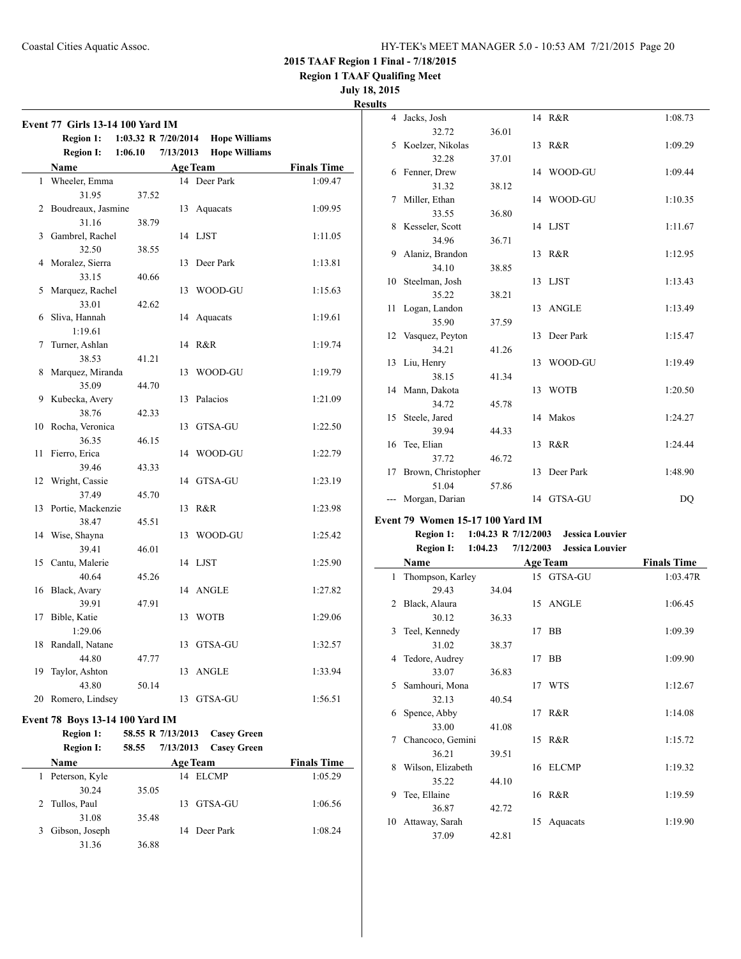**Region 1 TAAF Qualifing Meet**

### **July 18, 2015**

| 1<br>2<br>3<br>4 | 1:06.10<br><b>Region I:</b><br><b>Name</b><br>Wheeler, Emma<br>31.95<br>Boudreaux, Jasmine<br>31.16<br>Gambrel, Rachel<br>32.50 | 37.52<br>38.79 | 7/13/2013<br>13 | <b>Hope Williams</b><br><b>Age Team</b><br>14 Deer Park | <b>Finals Time</b><br>1:09.47 |
|------------------|---------------------------------------------------------------------------------------------------------------------------------|----------------|-----------------|---------------------------------------------------------|-------------------------------|
|                  |                                                                                                                                 |                |                 |                                                         |                               |
|                  |                                                                                                                                 |                |                 |                                                         |                               |
|                  |                                                                                                                                 |                |                 |                                                         |                               |
|                  |                                                                                                                                 |                |                 |                                                         |                               |
|                  |                                                                                                                                 |                |                 | Aquacats                                                | 1:09.95                       |
|                  |                                                                                                                                 |                |                 |                                                         |                               |
|                  |                                                                                                                                 |                |                 | 14 LJST                                                 | 1:11.05                       |
|                  |                                                                                                                                 | 38.55          |                 |                                                         |                               |
|                  | Moralez, Sierra                                                                                                                 |                | 13              | Deer Park                                               | 1:13.81                       |
|                  | 33.15                                                                                                                           | 40.66          |                 |                                                         |                               |
| 5                | Marquez, Rachel                                                                                                                 |                |                 | 13 WOOD-GU                                              | 1:15.63                       |
|                  | 33.01                                                                                                                           | 42.62          |                 |                                                         |                               |
| 6                | Sliva, Hannah                                                                                                                   |                | 14              | Aquacats                                                | 1:19.61                       |
|                  | 1:19.61                                                                                                                         |                |                 |                                                         |                               |
| 7                | Turner, Ashlan                                                                                                                  |                | 14              | R&R                                                     | 1:19.74                       |
|                  | 38.53                                                                                                                           | 41.21          |                 |                                                         |                               |
| 8                | Marquez, Miranda                                                                                                                |                | 13              | WOOD-GU                                                 | 1:19.79                       |
|                  | 35.09                                                                                                                           | 44.70          |                 |                                                         |                               |
| 9                | Kubecka, Avery                                                                                                                  |                |                 | 13 Palacios                                             | 1:21.09                       |
|                  | 38.76                                                                                                                           | 42.33          |                 |                                                         |                               |
| 10               | Rocha, Veronica                                                                                                                 |                | 13              | GTSA-GU                                                 | 1:22.50                       |
|                  | 36.35                                                                                                                           | 46.15          |                 |                                                         |                               |
| 11               | Fierro, Erica                                                                                                                   |                |                 | 14 WOOD-GU                                              | 1:22.79                       |
|                  | 39.46                                                                                                                           | 43.33          |                 |                                                         |                               |
| 12               | Wright, Cassie                                                                                                                  |                | 14              | GTSA-GU                                                 | 1:23.19                       |
|                  | 37.49                                                                                                                           | 45.70          |                 |                                                         |                               |
| 13               | Portie, Mackenzie                                                                                                               |                |                 | 13 R&R                                                  | 1:23.98                       |
|                  | 38.47                                                                                                                           | 45.51          |                 |                                                         |                               |
| 14               | Wise, Shayna                                                                                                                    |                |                 | 13 WOOD-GU                                              | 1:25.42                       |
|                  | 39.41                                                                                                                           | 46.01          |                 |                                                         |                               |
| 15               | Cantu, Malerie                                                                                                                  |                |                 | 14 LJST                                                 | 1:25.90                       |
|                  | 40.64                                                                                                                           | 45.26          |                 |                                                         |                               |
| 16               | Black, Avary                                                                                                                    |                | 14              | <b>ANGLE</b>                                            | 1:27.82                       |
|                  | 39.91                                                                                                                           | 47.91          |                 |                                                         |                               |
| 17               | Bible, Katie                                                                                                                    |                | 13              | <b>WOTB</b>                                             | 1:29.06                       |
|                  | 1:29.06                                                                                                                         |                |                 |                                                         |                               |
| 18               | Randall, Natane                                                                                                                 |                | 13              | GTSA-GU                                                 | 1:32.57                       |
|                  | 44.80                                                                                                                           | 47.77          |                 |                                                         |                               |
| 19               | Taylor, Ashton                                                                                                                  |                | 13              | <b>ANGLE</b>                                            | 1:33.94                       |
| 20               | 43.80<br>Romero, Lindsey                                                                                                        | 50.14          |                 | 13 GTSA-GU                                              | 1:56.51                       |

### **Event 78 Boys 13-14 100 Yard IM**

|   | <b>Region 1:</b><br><b>Region I:</b> | 58.55 R 7/13/2013<br>7/13/2013<br>58.55 | <b>Casey Green</b><br><b>Casey Green</b> |
|---|--------------------------------------|-----------------------------------------|------------------------------------------|
|   | <b>Name</b>                          | <b>Age Team</b>                         | <b>Finals Time</b>                       |
| 1 | Peterson, Kyle                       | 14 ELCMP                                | 1:05.29                                  |
|   | 30.24                                | 35.05                                   |                                          |
|   | 2 Tullos, Paul                       | 13 GTSA-GU                              | 1:06.56                                  |
|   | 31.08                                | 35.48                                   |                                          |
| 3 | Gibson, Joseph                       | 14 Deer Park                            | 1:08.24                                  |
|   | 31.36                                | 36.88                                   |                                          |

| <b>Results</b> |                       |       |              |         |
|----------------|-----------------------|-------|--------------|---------|
|                | 4 Jacks, Josh         |       | 14 R&R       | 1:08.73 |
|                | 32.72                 | 36.01 |              |         |
|                | 5 Koelzer, Nikolas    |       | 13 R&R       | 1:09.29 |
|                | 32.28                 | 37.01 |              |         |
|                | 6 Fenner, Drew        |       | 14 WOOD-GU   | 1:09.44 |
|                | 31.32                 | 38.12 |              |         |
|                | 7 Miller, Ethan       |       | 14 WOOD-GU   | 1:10.35 |
|                | 33.55                 | 36.80 |              |         |
|                | 8 Kesseler, Scott     |       | 14 LJST      | 1:11.67 |
|                | 34.96                 | 36.71 |              |         |
|                | 9 Alaniz, Brandon     |       | 13 R&R       | 1:12.95 |
|                | 34.10                 | 38.85 |              |         |
|                | 10 Steelman, Josh     |       | 13 LJST      | 1:13.43 |
|                | 35.22                 | 38.21 |              |         |
|                | 11 Logan, Landon      |       | 13 ANGLE     | 1:13.49 |
|                | 35.90                 | 37.59 |              |         |
|                | 12 Vasquez, Peyton    |       | 13 Deer Park | 1:15.47 |
|                | 34.21                 | 41.26 |              |         |
|                | 13 Liu, Henry         |       | 13 WOOD-GU   | 1:19.49 |
|                | 38.15                 | 41.34 |              |         |
|                | 14 Mann, Dakota       |       | 13 WOTB      | 1:20.50 |
|                | 34.72                 | 45.78 |              |         |
|                | 15 Steele, Jared      |       | 14 Makos     | 1:24.27 |
|                | 39.94                 | 44.33 |              |         |
|                | 16 Tee, Elian         |       | 13 R&R       | 1:24.44 |
|                | 37.72                 | 46.72 |              |         |
|                | 17 Brown, Christopher |       | 13 Deer Park | 1:48.90 |
|                | 51.04                 | 57.86 |              |         |
|                | Morgan, Darian        |       | 14 GTSA-GU   | DQ      |

### **Event 79 Women 15-17 100 Yard IM**

### **Region 1: 1:04.23 R 7/12/2003 Jessica Louvier Region I: 1:04.23 7/12/2003 Jessica Louvier**

|    | Name              |       |    | <b>Age Team</b> | <b>Finals Time</b> |  |  |
|----|-------------------|-------|----|-----------------|--------------------|--|--|
| 1  | Thompson, Karley  |       |    | 15 GTSA-GU      | 1:03.47R           |  |  |
|    | 29.43             | 34.04 |    |                 |                    |  |  |
| 2  | Black, Alaura     |       |    | 15 ANGLE        | 1:06.45            |  |  |
|    | 30.12             | 36.33 |    |                 |                    |  |  |
| 3  | Teel, Kennedy     |       |    | 17 BB           | 1:09.39            |  |  |
|    | 31.02             | 38.37 |    |                 |                    |  |  |
| 4  | Tedore, Audrey    |       |    | 17 BB           | 1:09.90            |  |  |
|    | 33.07             | 36.83 |    |                 |                    |  |  |
| 5  | Samhouri, Mona    |       |    | 17 WTS          | 1:12.67            |  |  |
|    | 32.13             | 40.54 |    |                 |                    |  |  |
| 6  | Spence, Abby      |       |    | 17 R&R          | 1:14.08            |  |  |
|    | 33.00             | 41.08 |    |                 |                    |  |  |
| 7  | Chancoco, Gemini  |       |    | 15 R&R          | 1:15.72            |  |  |
|    | 36.21             | 39.51 |    |                 |                    |  |  |
| 8  | Wilson, Elizabeth |       |    | 16 ELCMP        | 1:19.32            |  |  |
|    | 35.22             | 44.10 |    |                 |                    |  |  |
| 9  | Tee, Ellaine      |       |    | 16 R&R          | 1:19.59            |  |  |
|    | 36.87             | 42.72 |    |                 |                    |  |  |
| 10 | Attaway, Sarah    |       | 15 | Aquacats        | 1:19.90            |  |  |
|    | 37.09             | 42.81 |    |                 |                    |  |  |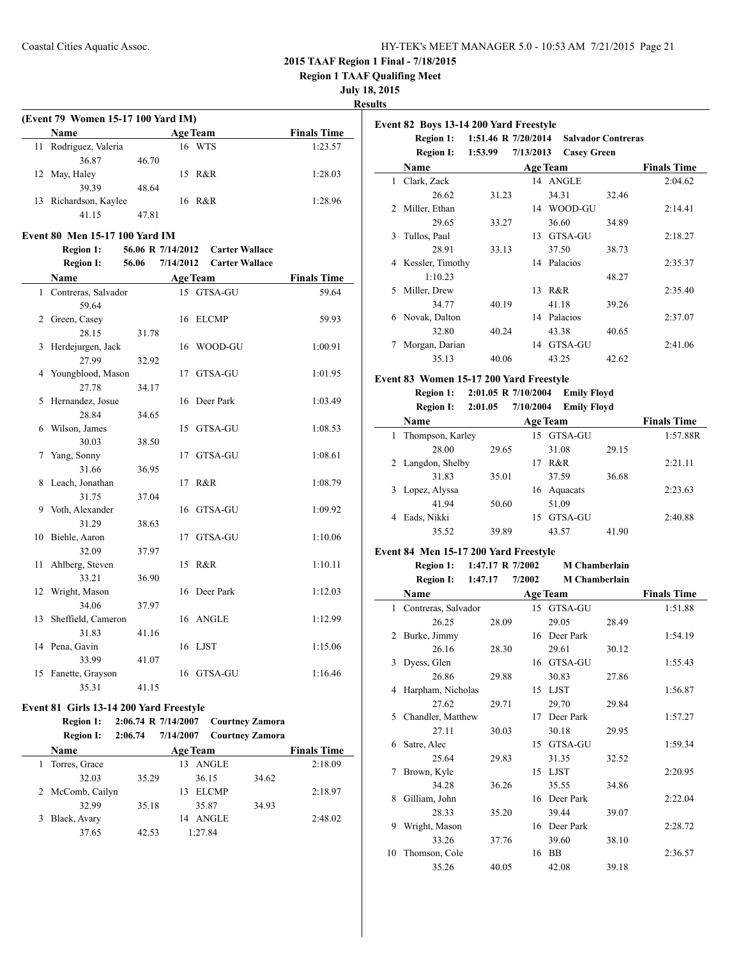**Region 1 TAAF Qualifing Meet**

**July 18, 2015**

### **Results**

 $\overline{a}$ 

| (Event 79 Women 15-17 100 Yard IM) |                       |       |                 |  |                    |  |  |  |
|------------------------------------|-----------------------|-------|-----------------|--|--------------------|--|--|--|
|                                    | <b>Name</b>           |       | <b>Age Team</b> |  | <b>Finals Time</b> |  |  |  |
|                                    | 11 Rodriguez, Valeria |       | 16 WTS          |  | 1:23.57            |  |  |  |
|                                    | 36.87                 | 46.70 |                 |  |                    |  |  |  |
|                                    | 12 May, Haley         |       | 15 R&R          |  | 1:28.03            |  |  |  |
|                                    | 39.39                 | 48.64 |                 |  |                    |  |  |  |
|                                    | 13 Richardson, Kaylee |       | 16 R&R          |  | 1:28.96            |  |  |  |
|                                    | 41 15                 | 47 81 |                 |  |                    |  |  |  |

### **Event 80 Men 15-17 100 Yard IM**

**Region 1: 56.06 R 7/14/2012 Carter Wallace Region I: 56.06 7/14/2012 Carter Wallace**

|    | Kegion 1.             | JU.UU | 11172012 |                 |                    |
|----|-----------------------|-------|----------|-----------------|--------------------|
|    | Name                  |       |          | <b>Age Team</b> | <b>Finals Time</b> |
|    | 1 Contreras, Salvador |       |          | 15 GTSA-GU      | 59.64              |
|    | 59.64                 |       |          |                 |                    |
| 2  | Green, Casey          |       |          | 16 ELCMP        | 59.93              |
|    | 28.15                 | 31.78 |          |                 |                    |
| 3  | Herdejurgen, Jack     |       |          | 16 WOOD-GU      | 1:00.91            |
|    | 27.99                 | 32.92 |          |                 |                    |
| 4  | Youngblood, Mason     |       | 17       | GTSA-GU         | 1:01.95            |
|    | 27.78                 | 34.17 |          |                 |                    |
| 5  | Hernandez, Josue      |       |          | 16 Deer Park    | 1:03.49            |
|    | 28.84                 | 34.65 |          |                 |                    |
| 6  | Wilson, James         |       |          | 15 GTSA-GU      | 1:08.53            |
|    | 30.03                 | 38.50 |          |                 |                    |
| 7  | Yang, Sonny           |       | 17       | GTSA-GU         | 1:08.61            |
|    | 31.66                 | 36.95 |          |                 |                    |
| 8  | Leach, Jonathan       |       | 17       | R&R             | 1:08.79            |
|    | 31.75                 | 37.04 |          |                 |                    |
| 9  | Voth, Alexander       |       |          | 16 GTSA-GU      | 1:09.92            |
|    | 31.29                 | 38.63 |          |                 |                    |
| 10 | Biehle, Aaron         |       | 17       | GTSA-GU         | 1:10.06            |
|    | 32.09                 | 37.97 |          |                 |                    |
| 11 | Ahlberg, Steven       |       |          | 15 R&R          | 1:10.11            |
|    | 33.21                 | 36.90 |          |                 |                    |
| 12 | Wright, Mason         |       |          | 16 Deer Park    | 1:12.03            |
|    | 34.06                 | 37.97 |          |                 |                    |
| 13 | Sheffield, Cameron    |       |          | 16 ANGLE        | 1:12.99            |
|    | 31.83                 | 41.16 |          |                 |                    |
|    | 14 Pena, Gavin        |       |          | 16 LJST         | 1:15.06            |
|    | 33.99                 | 41.07 |          |                 |                    |
| 15 | Fanette, Grayson      |       |          | 16 GTSA-GU      | 1:16.46            |
|    | 35.31                 | 41.15 |          |                 |                    |

### **Event 81 Girls 13-14 200 Yard Freestyle**

### **Region 1: 2:06.74 R 7/14/2007 Courtney Zamora Region I: 2:06.74 7/14/2007 Courtney Zamora**

| <b>Name</b>      |       | <b>Finals Time</b> |       |         |
|------------------|-------|--------------------|-------|---------|
| Torres, Grace    |       | 13 ANGLE           |       | 2:18.09 |
| 32.03            | 35.29 | 36.15              | 34.62 |         |
| 2 McComb, Cailyn |       | <b>ELCMP</b><br>13 |       | 2:18.97 |
| 32.99            | 35.18 | 35.87              | 34.93 |         |
| 3 Black, Avary   |       | 14 ANGLE           |       | 2:48.02 |
| 37.65            | 42.53 | 1:27.84            |       |         |
|                  |       |                    |       |         |

|   | Event 82 Boys 13-14 200 Yard Freestyle |                     |           |                    |                           |                    |
|---|----------------------------------------|---------------------|-----------|--------------------|---------------------------|--------------------|
|   | <b>Region 1:</b>                       | 1:51.46 R 7/20/2014 |           |                    | <b>Salvador Contreras</b> |                    |
|   | <b>Region I:</b>                       | 1:53.99             | 7/13/2013 | <b>Casey Green</b> |                           |                    |
|   | Name                                   |                     |           | <b>Age Team</b>    |                           | <b>Finals Time</b> |
| 1 | Clark, Zack                            |                     |           | 14 ANGLE           |                           | 2:04.62            |
|   | 26.62                                  | 31.23               |           | 34.31              | 32.46                     |                    |
| 2 | Miller, Ethan                          |                     | 14        | WOOD-GU            |                           | 2:14.41            |
|   | 29.65                                  | 33.27               |           | 36.60              | 34.89                     |                    |
| 3 | Tullos, Paul                           |                     | 13        | GTSA-GU            |                           | 2:18.27            |
|   | 28.91                                  | 33.13               |           | 37.50              | 38.73                     |                    |
| 4 | Kessler, Timothy                       |                     | 14        | Palacios           |                           | 2:35.37            |
|   | 1:10.23                                |                     |           |                    | 48.27                     |                    |
| 5 | Miller, Drew                           |                     | 13        | R&R                |                           | 2:35.40            |
|   | 34.77                                  | 40.19               |           | 41.18              | 39.26                     |                    |
| 6 | Novak, Dalton                          |                     | 14        | Palacios           |                           | 2:37.07            |
|   | 32.80                                  | 40.24               |           | 43.38              | 40.65                     |                    |
|   | Morgan, Darian                         |                     | 14        | GTSA-GU            |                           | 2:41.06            |
|   | 35.13                                  | 40.06               |           | 43.25              | 42.62                     |                    |

### **Event 83 Women 15-17 200 Yard Freestyle**

**Region 1: 2:01.05 R 7/10/2004 Emily Floyd**

**Region I: 2:01.05 7/10/2004 Emily Floyd**

| Name              |       |    | <b>Age Team</b> |       | <b>Finals Time</b> |
|-------------------|-------|----|-----------------|-------|--------------------|
| Thompson, Karley  |       |    | 15 GTSA-GU      |       | 1:57.88R           |
| 28.00             | 29.65 |    | 31.08           | 29.15 |                    |
| 2 Langdon, Shelby |       | 17 | R&R             |       | 2:21.11            |
| 31.83             | 35.01 |    | 37.59           | 36.68 |                    |
| Lopez, Alyssa     |       | 16 | Aquacats        |       | 2:23.63            |
| 41.94             | 50.60 |    | 51.09           |       |                    |
| Eads, Nikki<br>4  |       | 15 | GTSA-GU         |       | 2:40.88            |
| 35.52             | 39.89 |    | 43.57           | 41.90 |                    |

### **Event 84 Men 15-17 200 Yard Freestyle**

**Region 1: 1:47.17 R 7/2002 M Chamberlain Region I: 1:47.17 7/2002 M Chamberlain**

|    | Region 1:           | 1:4/1/ | 77200Z | <b>M</b> Chamberiain |       |                    |
|----|---------------------|--------|--------|----------------------|-------|--------------------|
|    | Name                |        |        | <b>Age Team</b>      |       | <b>Finals Time</b> |
| 1. | Contreras, Salvador |        |        | 15 GTSA-GU           |       | 1:51.88            |
|    | 26.25               | 28.09  |        | 29.05                | 28.49 |                    |
| 2  | Burke, Jimmy        |        | 16     | Deer Park            |       | 1:54.19            |
|    | 26.16               | 28.30  |        | 29.61                | 30.12 |                    |
| 3  | Dyess, Glen         |        |        | 16 GTSA-GU           |       | 1:55.43            |
|    | 26.86               | 29.88  |        | 30.83                | 27.86 |                    |
| 4  | Harpham, Nicholas   |        | 15     | <b>LJST</b>          |       | 1:56.87            |
|    | 27.62               | 29.71  |        | 29.70                | 29.84 |                    |
| 5  | Chandler, Matthew   |        | 17     | Deer Park            |       | 1:57.27            |
|    | 27.11               | 30.03  |        | 30.18                | 29.95 |                    |
| 6  | Satre, Alec         |        | 15     | GTSA-GU              |       | 1:59.34            |
|    | 25.64               | 29.83  |        | 31.35                | 32.52 |                    |
| 7  | Brown, Kyle         |        | 15     | <b>LJST</b>          |       | 2:20.95            |
|    | 34.28               | 36.26  |        | 35.55                | 34.86 |                    |
| 8  | Gilliam, John       |        | 16     | Deer Park            |       | 2:22.04            |
|    | 28.33               | 35.20  |        | 39.44                | 39.07 |                    |
| 9  | Wright, Mason       |        | 16     | Deer Park            |       | 2:28.72            |
|    | 33.26               | 37.76  |        | 39.60                | 38.10 |                    |
| 10 | Thomson, Cole       |        | 16     | <b>BB</b>            |       | 2:36.57            |
|    | 35.26               | 40.05  |        | 42.08                | 39.18 |                    |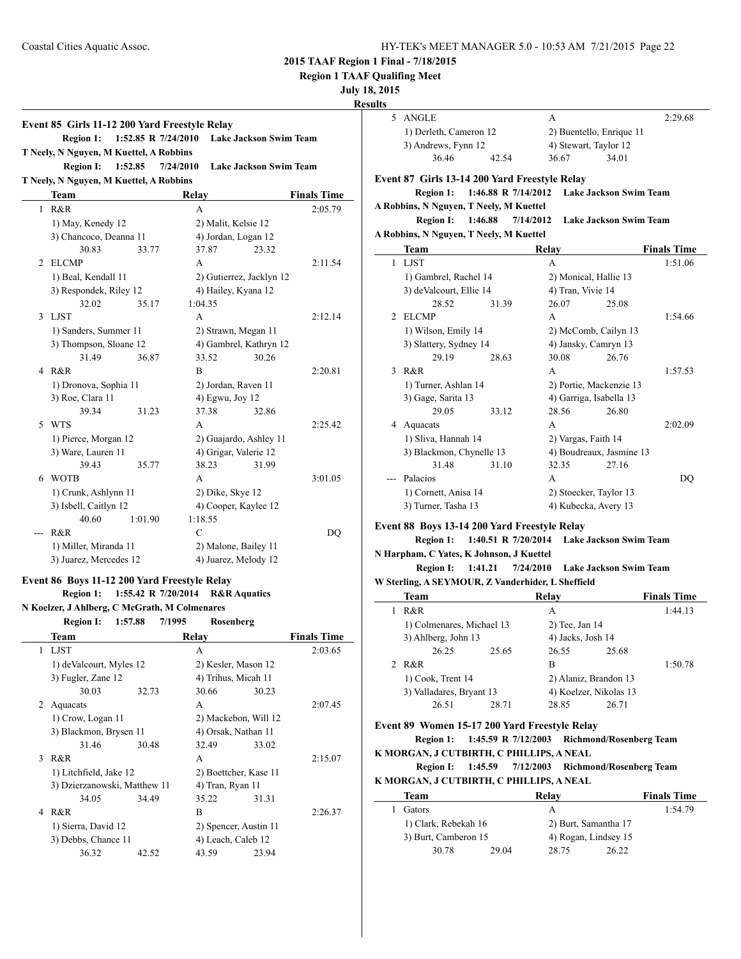**Region 1 TAAF Qualifing Meet**

### **July 18, 2015**

**Results**

|     | Event 85 Girls 11-12 200 Yard Freestyle Relay                          |                        |                               |
|-----|------------------------------------------------------------------------|------------------------|-------------------------------|
|     | <b>Region 1:</b><br>1:52.85 R 7/24/2010                                |                        | <b>Lake Jackson Swim Team</b> |
|     | T Neely, N Nguyen, M Kuettel, A Robbins<br><b>Region I:</b><br>1:52.85 | 7/24/2010              | <b>Lake Jackson Swim Team</b> |
|     | T Neely, N Nguyen, M Kuettel, A Robbins                                |                        |                               |
|     | Team                                                                   | Relay                  | <b>Finals Time</b>            |
| 1   | R&R                                                                    | A                      | 2:05.79                       |
|     | 1) May, Kenedy 12                                                      | 2) Malit, Kelsie 12    |                               |
|     | 3) Chancoco, Deanna 11                                                 | 4) Jordan, Logan 12    |                               |
|     | 30.83<br>33.77                                                         | 37.87                  | 23.32                         |
| 2   | <b>ELCMP</b>                                                           | A                      | 2:11.54                       |
|     | 1) Beal, Kendall 11                                                    |                        | 2) Gutierrez, Jacklyn 12      |
|     | 3) Respondek, Riley 12                                                 | 4) Hailey, Kyana 12    |                               |
|     | 32.02<br>35.17                                                         | 1:04.35                |                               |
| 3   | LJST                                                                   | A                      | 2:12.14                       |
|     | 1) Sanders, Summer 11                                                  | 2) Strawn, Megan 11    |                               |
|     | 3) Thompson, Sloane 12                                                 |                        | 4) Gambrel, Kathryn 12        |
|     | 31.49<br>36.87                                                         | 33.52                  | 30.26                         |
| 4   | R&R                                                                    | B                      | 2:20.81                       |
|     | 1) Dronova, Sophia 11                                                  | 2) Jordan, Raven 11    |                               |
|     | 3) Roe, Clara 11                                                       | 4) Egwu, Joy 12        |                               |
|     | 39.34<br>31.23                                                         | 37.38                  | 32.86                         |
| 5   | <b>WTS</b>                                                             | A                      | 2:25.42                       |
|     | 1) Pierce, Morgan 12                                                   | 2) Guajardo, Ashley 11 |                               |
|     | 3) Ware, Lauren 11                                                     | 4) Grigar, Valerie 12  |                               |
|     | 39.43<br>35.77                                                         | 38.23                  | 31.99                         |
| 6   | WOTB                                                                   | A                      | 3:01.05                       |
|     | 1) Crunk, Ashlynn 11                                                   | 2) Dike, Skye 12       |                               |
|     | 3) Isbell, Caitlyn 12                                                  | 4) Cooper, Kaylee 12   |                               |
|     | 40.60<br>1:01.90                                                       | 1:18.55                |                               |
| --- | R&R                                                                    | C                      | DQ                            |
|     | 1) Miller, Miranda 11                                                  | 2) Malone, Bailey 11   |                               |
|     | 3) Juarez, Mercedes 12                                                 | 4) Juarez, Melody 12   |                               |
|     | Event 86 Boys 11-12 200 Yard Freestyle Relay                           |                        |                               |
|     | Region 1: 1:55.42 R 7/20/2014                                          |                        | <b>R&amp;R</b> Aquatics       |
|     | N Koelzer, J Ahlberg, C McGrath, M Colmenares                          |                        |                               |
|     | Region I:<br>1:57.88                                                   | 7/1995<br>Rosenberg    |                               |
|     | <u>Team</u>                                                            | <b>Relay</b>           | <b>Finals Time</b>            |
| 1   | LJST                                                                   | А                      | 2:03.65                       |
|     | 1) deValcourt, Myles 12                                                | 2) Kesler, Mason 12    |                               |
|     | 3) Fugler, Zane 12                                                     | 4) Trihus, Micah 11    |                               |
|     | 30.03<br>32.73                                                         | 30.66                  | 30.23                         |
| 2   | Aquacats                                                               | A                      | 2:07.45                       |
|     | 1) Crow, Logan 11                                                      | 2) Mackebon, Will 12   |                               |
|     | 3) Blackmon, Brysen 11                                                 | 4) Orsak, Nathan 11    |                               |
|     | 31.46<br>30.48                                                         | 32.49                  | 33.02                         |
| 3   | R&R                                                                    | A                      | 2:15.07                       |
|     | 1) Litchfield, Jake 12                                                 | 2) Boettcher, Kase 11  |                               |
|     | 3) Dzierzanowski, Matthew 11                                           | 4) Tran, Ryan 11       |                               |
|     | 34.05<br>34.49                                                         | 35.22                  | 31.31                         |
| 4   | R&R                                                                    | B                      | 2:26.37                       |
|     | 1) Sierra, David 12                                                    | 2) Spencer, Austin 11  |                               |
|     | 3) Debbs, Chance 11                                                    | 4) Leach, Caleb 12     |                               |
|     | 36.32<br>42.52                                                         | 43.59                  | 23.94                         |

| 5 ANGLE                |       |                          |       | 2:29.68 |
|------------------------|-------|--------------------------|-------|---------|
| 1) Derleth, Cameron 12 |       | 2) Buentello, Enrique 11 |       |         |
| 3) Andrews, Fynn 12    |       | 4) Stewart, Taylor 12    |       |         |
| 36.46                  | 42.54 | 36.67                    | 34.01 |         |

### **Event 87 Girls 13-14 200 Yard Freestyle Relay**

**Region 1: 1:46.88 R 7/14/2012 Lake Jackson Swim Team**

# **A Robbins, N Nguyen, T Neely, M Kuettel**

| Region I:                               | 1:46.88 | 7/14/2012 | Lake Jackson Swim Team |
|-----------------------------------------|---------|-----------|------------------------|
| A Robbins, N Nguven, T Neelv, M Kuettel |         |           |                        |

|                               | Team                     |       | Relay                    |       | <b>Finals Time</b> |
|-------------------------------|--------------------------|-------|--------------------------|-------|--------------------|
| 1                             | <b>LJST</b>              |       | A                        |       | 1:51.06            |
|                               | 1) Gambrel, Rachel 14    |       | 2) Monical, Hallie 13    |       |                    |
|                               | 3) deValcourt, Ellie 14  |       | 4) Tran, Vivie 14        |       |                    |
|                               | 28.52                    | 31.39 | 26.07                    | 25.08 |                    |
| $\mathfrak{D}_{\mathfrak{p}}$ | <b>ELCMP</b>             |       | A                        |       | 1:54.66            |
|                               | 1) Wilson, Emily 14      |       | 2) McComb, Cailyn 13     |       |                    |
|                               | 3) Slattery, Sydney 14   |       | 4) Jansky, Camryn 13     |       |                    |
|                               | 29.19                    | 28.63 | 30.08                    | 26.76 |                    |
| $\mathbf{3}$                  | R & R                    |       | A                        |       | 1:57.53            |
|                               | 1) Turner, Ashlan 14     |       | 2) Portie, Mackenzie 13  |       |                    |
|                               | 3) Gage, Sarita 13       |       | 4) Garriga, Isabella 13  |       |                    |
|                               | 29.05                    | 33.12 | 28.56                    | 26.80 |                    |
| 4                             | Aquacats                 |       | A                        |       | 2:02.09            |
|                               | 1) Sliva, Hannah 14      |       | 2) Vargas, Faith 14      |       |                    |
|                               | 3) Blackmon, Chynelle 13 |       | 4) Boudreaux, Jasmine 13 |       |                    |
|                               | 31.48                    | 31.10 | 32.35                    | 27.16 |                    |
|                               | Palacios                 |       | А                        |       | DO                 |
|                               | 1) Cornett, Anisa 14     |       | 2) Stoecker, Taylor 13   |       |                    |
|                               | 3) Turner, Tasha 13      |       | 4) Kubecka, Avery 13     |       |                    |

### **Event 88 Boys 13-14 200 Yard Freestyle Relay**

**Region 1: 1:40.51 R 7/20/2014 Lake Jackson Swim Team**

### **N Harpham, C Yates, K Johnson, J Kuettel**

**Region I: 1:41.21 7/24/2010 Lake Jackson Swim Team W Sterling, A SEYMOUR, Z Vanderhider, L Sheffield**

| Team                      |       | Relay                  |       | <b>Finals Time</b> |
|---------------------------|-------|------------------------|-------|--------------------|
| R&R                       |       | А                      |       | 1:44.13            |
| 1) Colmenares, Michael 13 |       | 2) Tee, Jan 14         |       |                    |
| 3) Ahlberg, John 13       |       | 4) Jacks, Josh 14      |       |                    |
| 26.25                     | 25.65 | 26.55                  | 25.68 |                    |
| R&R                       |       | B                      |       | 1:50.78            |
| 1) Cook, Trent 14         |       | 2) Alaniz, Brandon 13  |       |                    |
| 3) Valladares, Bryant 13  |       | 4) Koelzer, Nikolas 13 |       |                    |
| 26.51                     | 28.71 | 28.85                  | 26.71 |                    |
|                           |       |                        |       |                    |

### **Event 89 Women 15-17 200 Yard Freestyle Relay**

**Region 1: 1:45.59 R 7/12/2003 Richmond/Rosenberg Team K MORGAN, J CUTBIRTH, C PHILLIPS, A NEAL**

### **Region I: 1:45.59 7/12/2003 Richmond/Rosenberg Team**

### **K MORGAN, J CUTBIRTH, C PHILLIPS, A NEAL**

| Team                 |       | Relay                |       | <b>Finals Time</b> |
|----------------------|-------|----------------------|-------|--------------------|
| Gators               |       |                      |       | 1:54.79            |
| 1) Clark, Rebekah 16 |       | 2) Burt, Samantha 17 |       |                    |
| 3) Burt, Camberon 15 |       | 4) Rogan, Lindsey 15 |       |                    |
| 30.78                | 29.04 | 28.75                | 26.22 |                    |